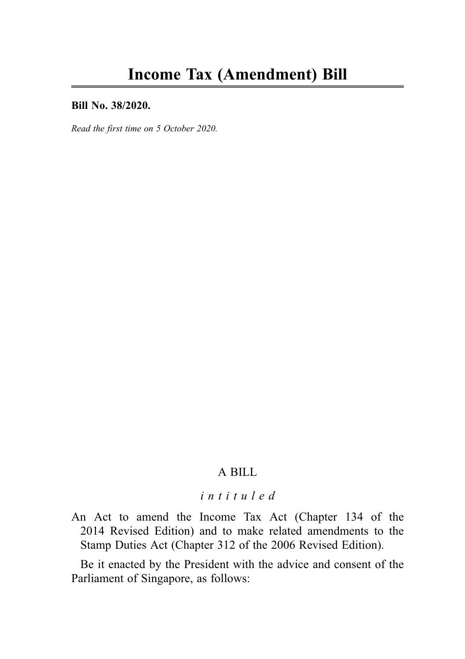#### Bill No. 38/2020.

Read the first time on 5 October 2020.

# A BILL

# intituled

An Act to amend the Income Tax Act (Chapter 134 of the 2014 Revised Edition) and to make related amendments to the Stamp Duties Act (Chapter 312 of the 2006 Revised Edition).

Be it enacted by the President with the advice and consent of the Parliament of Singapore, as follows: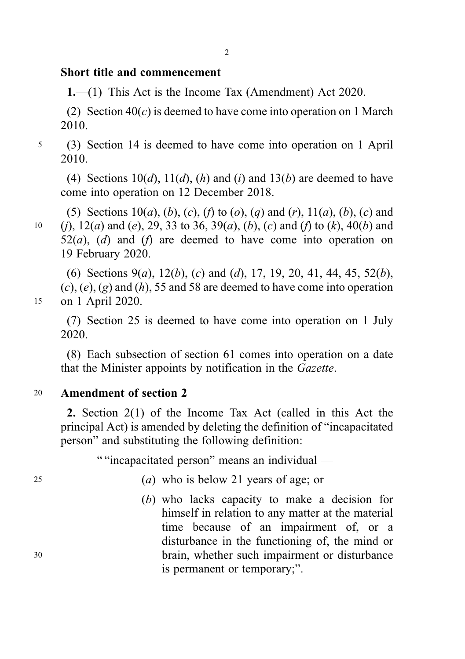# Short title and commencement

1.—(1) This Act is the Income Tax (Amendment) Act 2020.

(2) Section  $40(c)$  is deemed to have come into operation on 1 March 2010.

<sup>5</sup> (3) Section 14 is deemed to have come into operation on 1 April 2010.

(4) Sections  $10(d)$ ,  $11(d)$ ,  $(h)$  and  $(i)$  and  $13(b)$  are deemed to have come into operation on 12 December 2018.

(5) Sections  $10(a)$ , (b), (c), (f) to (o), (q) and (r),  $11(a)$ , (b), (c) and 10 (i),  $12(a)$  and (e), 29, 33 to 36, 39(a), (b), (c) and (f) to (k), 40(b) and  $52(a)$ , (d) and (f) are deemed to have come into operation on 19 February 2020.

(6) Sections  $9(a)$ ,  $12(b)$ , (c) and (d), 17, 19, 20, 41, 44, 45, 52(b),  $(c)$ ,  $(e)$ ,  $(g)$  and  $(h)$ , 55 and 58 are deemed to have come into operation <sup>15</sup> on 1 April 2020.

(7) Section 25 is deemed to have come into operation on 1 July 2020.

(8) Each subsection of section 61 comes into operation on a date that the Minister appoints by notification in the Gazette.

# <sup>20</sup> Amendment of section 2

2. Section 2(1) of the Income Tax Act (called in this Act the principal Act) is amended by deleting the definition of "incapacitated person" and substituting the following definition:

" "incapacitated person" means an individual —

- <sup>25</sup> (a) who is below 21 years of age; or
- (b) who lacks capacity to make a decision for himself in relation to any matter at the material time because of an impairment of, or a disturbance in the functioning of, the mind or <sup>30</sup> brain, whether such impairment or disturbance is permanent or temporary;".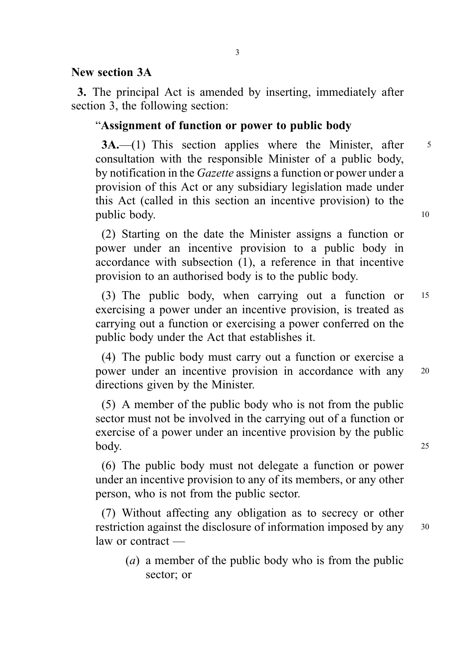# New section 3A

3. The principal Act is amended by inserting, immediately after section 3, the following section:

# "Assignment of function or power to public body

3A.—(1) This section applies where the Minister, after 5 consultation with the responsible Minister of a public body, by notification in the Gazette assigns a function or power under a provision of this Act or any subsidiary legislation made under this Act (called in this section an incentive provision) to the public body. 10

(2) Starting on the date the Minister assigns a function or power under an incentive provision to a public body in accordance with subsection (1), a reference in that incentive provision to an authorised body is to the public body.

(3) The public body, when carrying out a function or <sup>15</sup> exercising a power under an incentive provision, is treated as carrying out a function or exercising a power conferred on the public body under the Act that establishes it.

(4) The public body must carry out a function or exercise a power under an incentive provision in accordance with any <sup>20</sup> directions given by the Minister.

(5) A member of the public body who is not from the public sector must not be involved in the carrying out of a function or exercise of a power under an incentive provision by the public body. 25

(6) The public body must not delegate a function or power under an incentive provision to any of its members, or any other person, who is not from the public sector.

(7) Without affecting any obligation as to secrecy or other restriction against the disclosure of information imposed by any <sup>30</sup> law or contract —

(a) a member of the public body who is from the public sector; or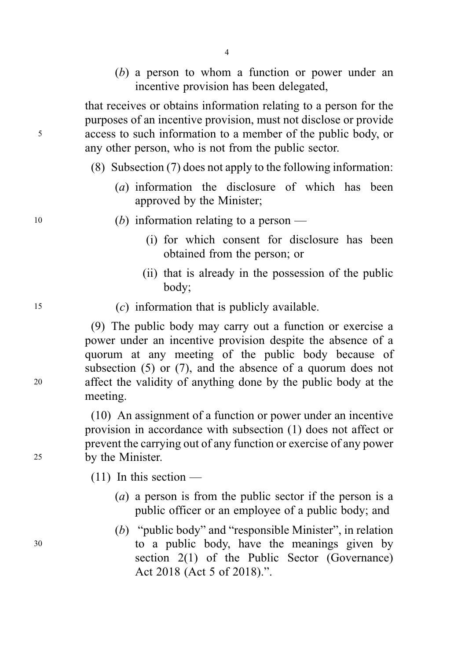(b) a person to whom a function or power under an incentive provision has been delegated,

that receives or obtains information relating to a person for the purposes of an incentive provision, must not disclose or provide <sup>5</sup> access to such information to a member of the public body, or any other person, who is not from the public sector.

- (8) Subsection (7) does not apply to the following information:
	- (a) information the disclosure of which has been approved by the Minister;
- $10$  (b) information relating to a person
	- (i) for which consent for disclosure has been obtained from the person; or
	- (ii) that is already in the possession of the public body;
- <sup>15</sup> (c) information that is publicly available.

(9) The public body may carry out a function or exercise a power under an incentive provision despite the absence of a quorum at any meeting of the public body because of subsection (5) or (7), and the absence of a quorum does not <sup>20</sup> affect the validity of anything done by the public body at the meeting.

(10) An assignment of a function or power under an incentive provision in accordance with subsection (1) does not affect or prevent the carrying out of any function or exercise of any power <sup>25</sup> by the Minister.

 $(11)$  In this section —

- (a) a person is from the public sector if the person is a public officer or an employee of a public body; and
- (b) "public body" and "responsible Minister", in relation <sup>30</sup> to a public body, have the meanings given by section 2(1) of the Public Sector (Governance) Act 2018 (Act 5 of 2018).".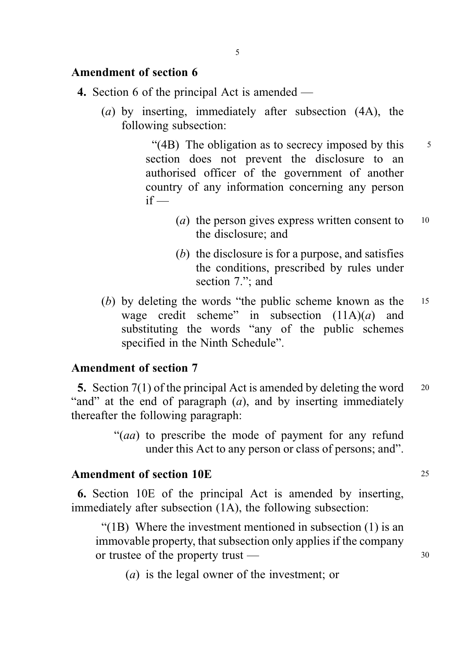# Amendment of section 6

- 4. Section 6 of the principal Act is amended
	- (a) by inserting, immediately after subsection (4A), the following subsection:

"(4B) The obligation as to secrecy imposed by this  $\frac{5}{5}$ section does not prevent the disclosure to an authorised officer of the government of another country of any information concerning any person  $if -$ 

- (*a*) the person gives express written consent to  $10$ the disclosure; and
- (b) the disclosure is for a purpose, and satisfies the conditions, prescribed by rules under section 7."; and
- (b) by deleting the words "the public scheme known as the <sup>15</sup> wage credit scheme" in subsection  $(11A)(a)$  and substituting the words "any of the public schemes specified in the Ninth Schedule".

#### Amendment of section 7

5. Section 7(1) of the principal Act is amended by deleting the word <sup>20</sup> "and" at the end of paragraph  $(a)$ , and by inserting immediately thereafter the following paragraph:

> "(aa) to prescribe the mode of payment for any refund under this Act to any person or class of persons; and".

## Amendment of section 10E 25

6. Section 10E of the principal Act is amended by inserting, immediately after subsection (1A), the following subsection:

"(1B) Where the investment mentioned in subsection (1) is an immovable property, that subsection only applies if the company or trustee of the property trust — 30

(a) is the legal owner of the investment; or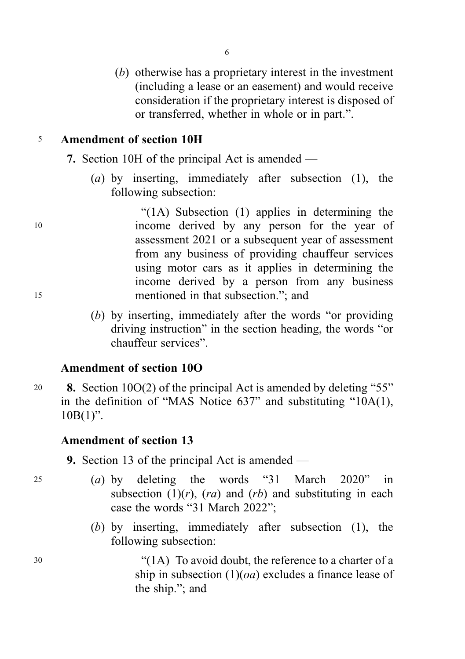(b) otherwise has a proprietary interest in the investment (including a lease or an easement) and would receive consideration if the proprietary interest is disposed of or transferred, whether in whole or in part.".

6

# <sup>5</sup> Amendment of section 10H

- 7. Section 10H of the principal Act is amended
	- (a) by inserting, immediately after subsection  $(1)$ , the following subsection:

"(1A) Subsection (1) applies in determining the <sup>10</sup> income derived by any person for the year of assessment 2021 or a subsequent year of assessment from any business of providing chauffeur services using motor cars as it applies in determining the income derived by a person from any business <sup>15</sup> mentioned in that subsection."; and

> (b) by inserting, immediately after the words "or providing driving instruction" in the section heading, the words "or chauffeur services".

# Amendment of section 10O

<sup>20</sup> 8. Section 10O(2) of the principal Act is amended by deleting "55" in the definition of "MAS Notice 637" and substituting "10A(1),  $10B(1)$ ".

#### Amendment of section 13

- 9. Section 13 of the principal Act is amended —
- <sup>25</sup> (a) by deleting the words "31 March 2020" in subsection  $(1)(r)$ ,  $(ra)$  and  $(rb)$  and substituting in each case the words "31 March 2022";
	- (b) by inserting, immediately after subsection (1), the following subsection:

<sup>30</sup> "(1A) To avoid doubt, the reference to a charter of a ship in subsection  $(1)(oa)$  excludes a finance lease of the ship."; and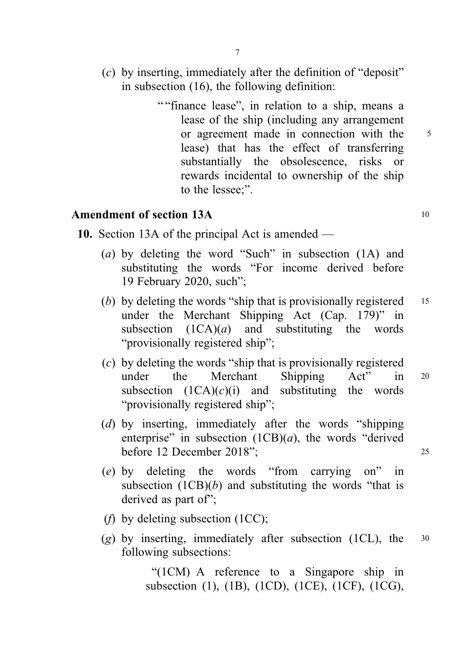- (c) by inserting, immediately after the definition of "deposit" in subsection (16), the following definition:
	- " "finance lease", in relation to a ship, means a lease of the ship (including any arrangement or agreement made in connection with the 5 lease) that has the effect of transferring substantially the obsolescence, risks or rewards incidental to ownership of the ship to the lessee;".

# Amendment of section 13A 10

- 10. Section 13A of the principal Act is amended
	- (a) by deleting the word "Such" in subsection (1A) and substituting the words "For income derived before 19 February 2020, such";
	- (b) by deleting the words "ship that is provisionally registered  $15$ under the Merchant Shipping Act (Cap. 179)" in subsection  $(1CA)(a)$  and substituting the words "provisionally registered ship";
	- (c) by deleting the words "ship that is provisionally registered under the Merchant Shipping Act" in <sup>20</sup> subsection  $(1CA)(c)(i)$  and substituting the words "provisionally registered ship";
	- (d) by inserting, immediately after the words "shipping enterprise" in subsection  $(1CB)(a)$ , the words "derived" before 12 December 2018"; <sup>25</sup>
		-
	- (e) by deleting the words "from carrying on" in subsection  $(1CB)(b)$  and substituting the words "that is derived as part of":
	- (*f*) by deleting subsection  $(1CC)$ ;
	- (g) by inserting, immediately after subsection (1CL), the  $30$ following subsections:

"(1CM) A reference to a Singapore ship in subsection (1), (1B), (1CD), (1CE), (1CF), (1CG),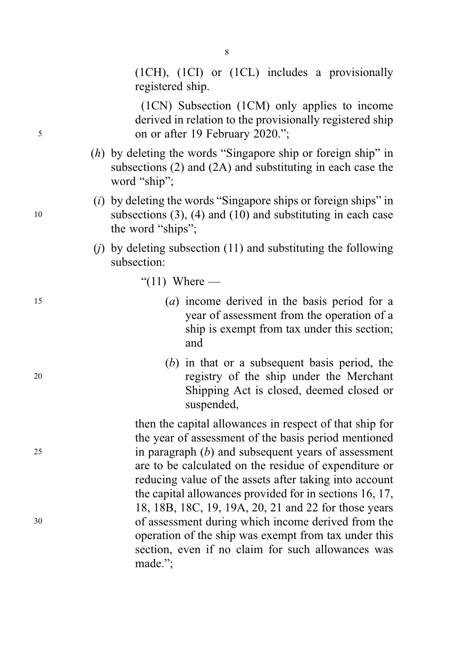(1CH), (1CI) or (1CL) includes a provisionally registered ship.

(1CN) Subsection (1CM) only applies to income derived in relation to the provisionally registered ship <sup>5</sup> on or after 19 February 2020.";

> (h) by deleting the words "Singapore ship or foreign ship" in subsections (2) and (2A) and substituting in each case the word "ship";

8

- $(i)$  by deleting the words "Singapore ships or foreign ships" in <sup>10</sup> subsections (3), (4) and (10) and substituting in each case the word "ships";
	- (*j*) by deleting subsection  $(11)$  and substituting the following subsection:
		- " $(11)$  Where —
- <sup>15</sup> (a) income derived in the basis period for a year of assessment from the operation of a ship is exempt from tax under this section; and
- (b) in that or a subsequent basis period, the <sup>20</sup> registry of the ship under the Merchant Shipping Act is closed, deemed closed or suspended,

then the capital allowances in respect of that ship for the year of assessment of the basis period mentioned <sup>25</sup> in paragraph (b) and subsequent years of assessment are to be calculated on the residue of expenditure or reducing value of the assets after taking into account the capital allowances provided for in sections 16, 17, 18, 18B, 18C, 19, 19A, 20, 21 and 22 for those years <sup>30</sup> of assessment during which income derived from the operation of the ship was exempt from tax under this section, even if no claim for such allowances was made.";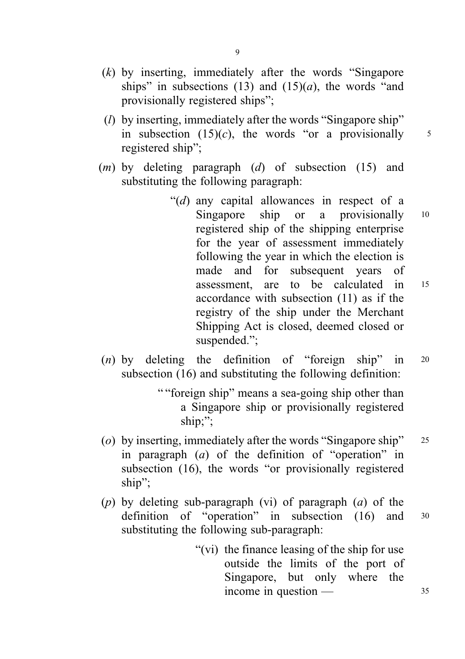- (k) by inserting, immediately after the words "Singapore ships" in subsections (13) and (15)(*a*), the words "and provisionally registered ships";
- $(l)$  by inserting, immediately after the words "Singapore ship" in subsection  $(15)(c)$ , the words "or a provisionally 5 registered ship";
- $(m)$  by deleting paragraph  $(d)$  of subsection (15) and substituting the following paragraph:
	- "( $d$ ) any capital allowances in respect of a Singapore ship or a provisionally 10 registered ship of the shipping enterprise for the year of assessment immediately following the year in which the election is made and for subsequent years of assessment, are to be calculated in <sup>15</sup> accordance with subsection (11) as if the registry of the ship under the Merchant Shipping Act is closed, deemed closed or suspended.";
- $(n)$  by deleting the definition of "foreign ship" in 20 subsection (16) and substituting the following definition:
	- " "foreign ship" means a sea-going ship other than a Singapore ship or provisionally registered ship;";
- (o) by inserting, immediately after the words "Singapore ship" <sup>25</sup> in paragraph  $(a)$  of the definition of "operation" in subsection (16), the words "or provisionally registered ship";
- (p) by deleting sub-paragraph (vi) of paragraph  $(a)$  of the definition of "operation" in subsection (16) and <sup>30</sup> substituting the following sub-paragraph:
	- "(vi) the finance leasing of the ship for use outside the limits of the port of Singapore, but only where the income in question — 35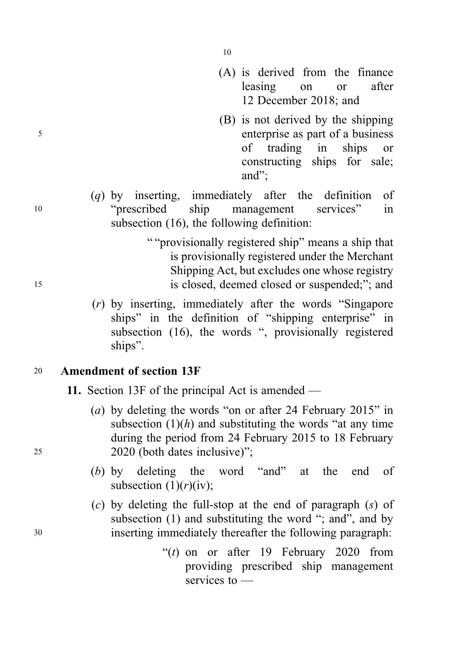- (A) is derived from the finance leasing on or after 12 December 2018; and
- (B) is not derived by the shipping <sup>5</sup> enterprise as part of a business of trading in ships or constructing ships for sale; and";
- (q) by inserting, immediately after the definition of <sup>10</sup> "prescribed ship management services" in subsection (16), the following definition:
- " "provisionally registered ship" means a ship that is provisionally registered under the Merchant Shipping Act, but excludes one whose registry <sup>15</sup> is closed, deemed closed or suspended;"; and
	- (r) by inserting, immediately after the words "Singapore ships" in the definition of "shipping enterprise" in subsection (16), the words ", provisionally registered ships".

# <sup>20</sup> Amendment of section 13F

- 11. Section 13F of the principal Act is amended —
- (a) by deleting the words "on or after 24 February 2015" in subsection  $(1)(h)$  and substituting the words "at any time" during the period from 24 February 2015 to 18 February <sup>25</sup> 2020 (both dates inclusive)";
	- (b) by deleting the word "and" at the end of subsection  $(1)(r)(iv)$ ;
- (c) by deleting the full-stop at the end of paragraph (s) of subsection (1) and substituting the word "; and ", and by <sup>30</sup> inserting immediately thereafter the following paragraph:
	- " $(t)$  on or after 19 February 2020 from providing prescribed ship management services to —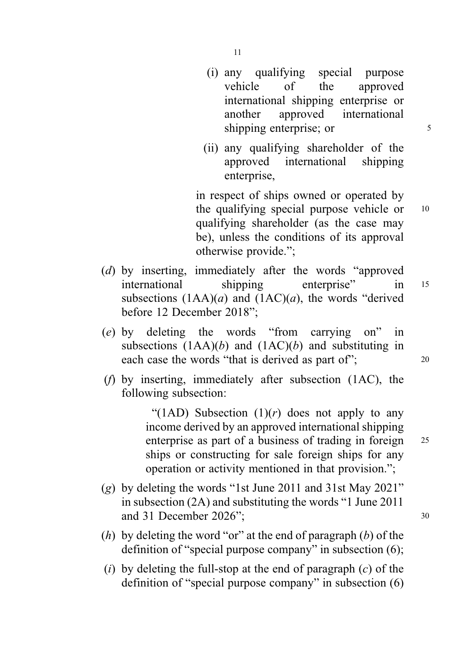- (i) any qualifying special purpose vehicle of the approved international shipping enterprise or another approved international shipping enterprise; or 5
- (ii) any qualifying shareholder of the approved international shipping enterprise,

in respect of ships owned or operated by the qualifying special purpose vehicle or 10 qualifying shareholder (as the case may be), unless the conditions of its approval otherwise provide.";

- (d) by inserting, immediately after the words "approved international shipping enterprise" in <sup>15</sup> subsections  $(1AA)(a)$  and  $(1AC)(a)$ , the words "derived" before 12 December 2018";
- (e) by deleting the words "from carrying on" in subsections  $(1AA)(b)$  and  $(1AC)(b)$  and substituting in each case the words "that is derived as part of";  $^{20}$
- (f) by inserting, immediately after subsection (1AC), the following subsection:

"(1AD) Subsection  $(1)(r)$  does not apply to any income derived by an approved international shipping enterprise as part of a business of trading in foreign 25 ships or constructing for sale foreign ships for any operation or activity mentioned in that provision.";

- (g) by deleting the words "1st June 2011 and 31st May 2021" in subsection (2A) and substituting the words "1 June 2011 and 31 December 2026": 30
- (h) by deleting the word "or" at the end of paragraph (b) of the definition of "special purpose company" in subsection (6);
- (i) by deleting the full-stop at the end of paragraph  $(c)$  of the definition of "special purpose company" in subsection (6)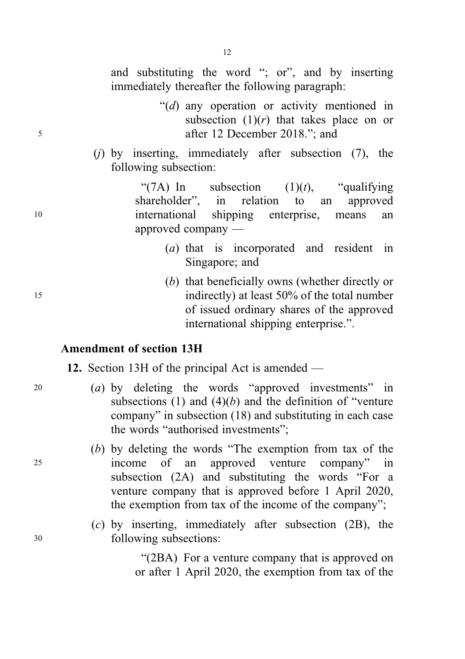and substituting the word "; or", and by inserting immediately thereafter the following paragraph:

- " $(d)$  any operation or activity mentioned in subsection  $(1)(r)$  that takes place on or <sup>5</sup> after 12 December 2018."; and
	- $(i)$  by inserting, immediately after subsection  $(7)$ , the following subsection:

"(7A) In subsection  $(1)(t)$ , "qualifying" shareholder", in relation to an approved <sup>10</sup> international shipping enterprise, means an approved company —

- (a) that is incorporated and resident in Singapore; and
- (b) that beneficially owns (whether directly or <sup>15</sup> indirectly) at least 50% of the total number of issued ordinary shares of the approved international shipping enterprise.".

## Amendment of section 13H

12. Section 13H of the principal Act is amended —

- <sup>20</sup> (a) by deleting the words "approved investments" in subsections (1) and  $(4)(b)$  and the definition of "venture" company" in subsection (18) and substituting in each case the words "authorised investments";
- (b) by deleting the words "The exemption from tax of the <sup>25</sup> income of an approved venture company" in subsection (2A) and substituting the words "For a venture company that is approved before 1 April 2020, the exemption from tax of the income of the company";
- (c) by inserting, immediately after subsection (2B), the <sup>30</sup> following subsections:

"(2BA) For a venture company that is approved on or after 1 April 2020, the exemption from tax of the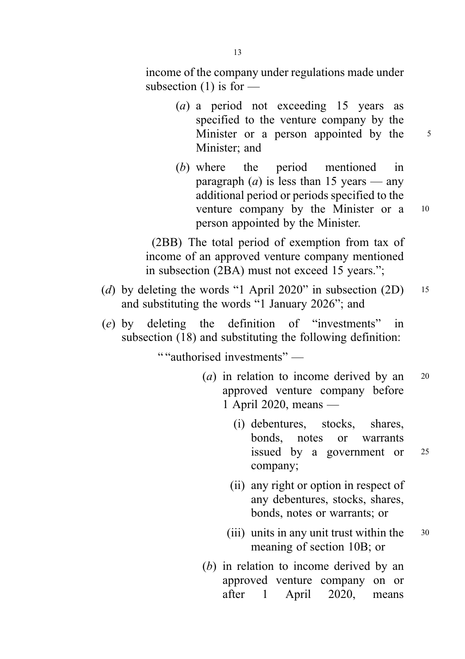income of the company under regulations made under subsection  $(1)$  is for —

- (a) a period not exceeding 15 years as specified to the venture company by the Minister or a person appointed by the 5 Minister; and
- (b) where the period mentioned in paragraph (*a*) is less than 15 years — any additional period or periods specified to the venture company by the Minister or a <sup>10</sup> person appointed by the Minister.

(2BB) The total period of exemption from tax of income of an approved venture company mentioned in subsection (2BA) must not exceed 15 years.";

- (d) by deleting the words "1 April 2020" in subsection  $(2D)$  15 and substituting the words "1 January 2026"; and
- (e) by deleting the definition of "investments" in subsection (18) and substituting the following definition:

" "authorised investments" —

- (*a*) in relation to income derived by an  $20$ approved venture company before 1 April 2020, means —
	- (i) debentures, stocks, shares, bonds, notes or warrants issued by a government or <sup>25</sup> company;
	- (ii) any right or option in respect of any debentures, stocks, shares, bonds, notes or warrants; or
	- (iii) units in any unit trust within the  $\frac{30}{2}$ meaning of section 10B; or
- (b) in relation to income derived by an approved venture company on or after 1 April 2020, means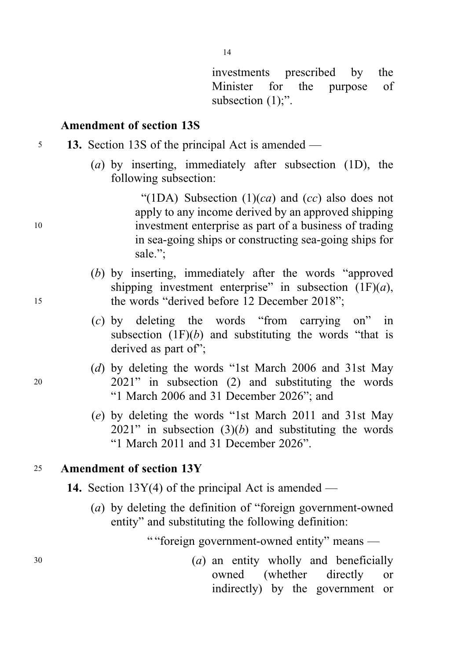investments prescribed by the Minister for the purpose of subsection  $(1)$ ;".

#### Amendment of section 13S

- <sup>5</sup> 13. Section 13S of the principal Act is amended
	- (a) by inserting, immediately after subsection (1D), the following subsection:

"(1DA) Subsection  $(1)(ca)$  and  $(cc)$  also does not apply to any income derived by an approved shipping <sup>10</sup> investment enterprise as part of a business of trading in sea-going ships or constructing sea-going ships for sale.";

- (b) by inserting, immediately after the words "approved shipping investment enterprise" in subsection  $(1F)(a)$ , <sup>15</sup> the words "derived before 12 December 2018";
	- (c) by deleting the words "from carrying on" in subsection  $(1F)(b)$  and substituting the words "that is derived as part of";
- (d) by deleting the words "1st March 2006 and 31st May <sup>20</sup> 2021" in subsection (2) and substituting the words "1 March 2006 and 31 December 2026"; and
	- (e) by deleting the words "1st March 2011 and 31st May  $2021$ " in subsection  $(3)(b)$  and substituting the words "1 March 2011 and 31 December 2026".

# <sup>25</sup> Amendment of section 13Y

- **14.** Section 13Y(4) of the principal Act is amended
	- (a) by deleting the definition of "foreign government-owned entity" and substituting the following definition:

" "foreign government-owned entity" means —

<sup>30</sup> (a) an entity wholly and beneficially owned (whether directly or indirectly) by the government or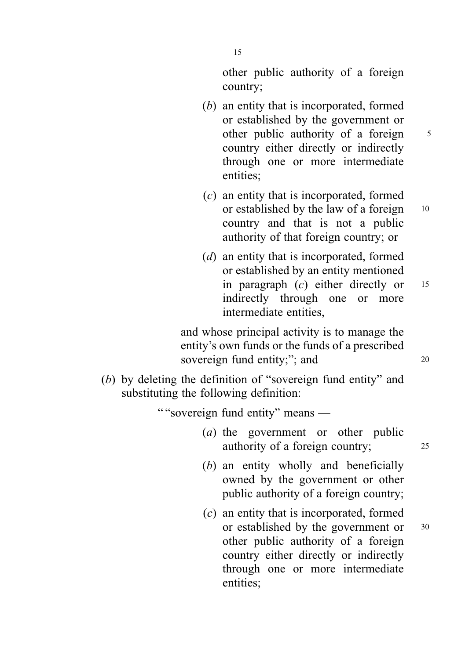other public authority of a foreign country;

- (b) an entity that is incorporated, formed or established by the government or other public authority of a foreign 5 country either directly or indirectly through one or more intermediate entities;
- (c) an entity that is incorporated, formed or established by the law of a foreign 10 country and that is not a public authority of that foreign country; or
- (d) an entity that is incorporated, formed or established by an entity mentioned in paragraph  $(c)$  either directly or  $15$ indirectly through one or more intermediate entities,

and whose principal activity is to manage the entity's own funds or the funds of a prescribed sovereign fund entity;"; and 20

(b) by deleting the definition of "sovereign fund entity" and substituting the following definition:

" "sovereign fund entity" means —

- (a) the government or other public authority of a foreign country; <sup>25</sup>
- (b) an entity wholly and beneficially owned by the government or other public authority of a foreign country;
- (c) an entity that is incorporated, formed or established by the government or  $30$ other public authority of a foreign country either directly or indirectly through one or more intermediate entities;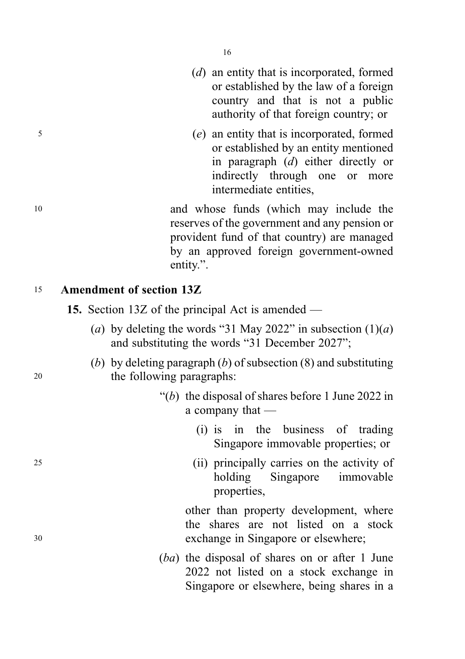- (d) an entity that is incorporated, formed or established by the law of a foreign country and that is not a public authority of that foreign country; or
- <sup>5</sup> (e) an entity that is incorporated, formed or established by an entity mentioned in paragraph (d) either directly or indirectly through one or more intermediate entities,

<sup>10</sup> and whose funds (which may include the reserves of the government and any pension or provident fund of that country) are managed by an approved foreign government-owned entity.".

# <sup>15</sup> Amendment of section 13Z

- 15. Section 13Z of the principal Act is amended
	- (a) by deleting the words "31 May 2022" in subsection  $(1)(a)$ and substituting the words "31 December 2027";
- (b) by deleting paragraph  $(b)$  of subsection  $(8)$  and substituting <sup>20</sup> the following paragraphs:
	- " $(b)$  the disposal of shares before 1 June 2022 in a company that —
		- (i) is in the business of trading Singapore immovable properties; or
- <sup>25</sup> (ii) principally carries on the activity of holding Singapore immovable properties,

other than property development, where the shares are not listed on a stock <sup>30</sup> exchange in Singapore or elsewhere;

> (ba) the disposal of shares on or after 1 June 2022 not listed on a stock exchange in Singapore or elsewhere, being shares in a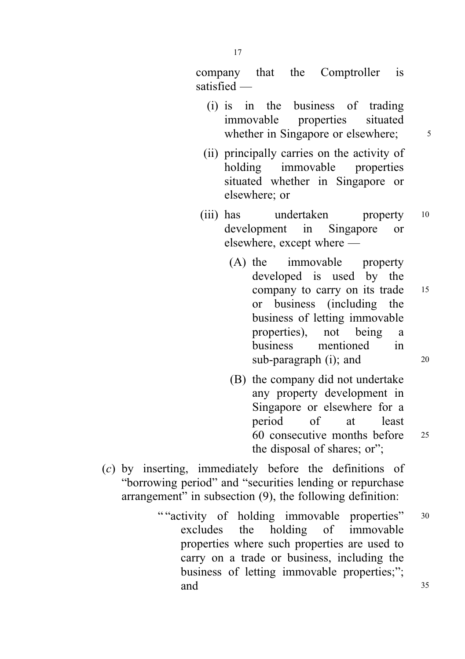company that the Comptroller is satisfied —

- (i) is in the business of trading immovable properties situated whether in Singapore or elsewhere;  $\frac{5}{5}$
- (ii) principally carries on the activity of holding immovable properties situated whether in Singapore or elsewhere; or
- (iii) has undertaken property 10 development in Singapore or elsewhere, except where —
	- (A) the immovable property developed is used by the company to carry on its trade 15 or business (including the business of letting immovable properties), not being a business mentioned in sub-paragraph  $(i)$ ; and  $20$
	- (B) the company did not undertake any property development in Singapore or elsewhere for a period of at least 60 consecutive months before <sup>25</sup> the disposal of shares; or";
- (c) by inserting, immediately before the definitions of "borrowing period" and "securities lending or repurchase arrangement" in subsection (9), the following definition:
	- " "activity of holding immovable properties" 30 excludes the holding of immovable properties where such properties are used to carry on a trade or business, including the business of letting immovable properties;"; and 35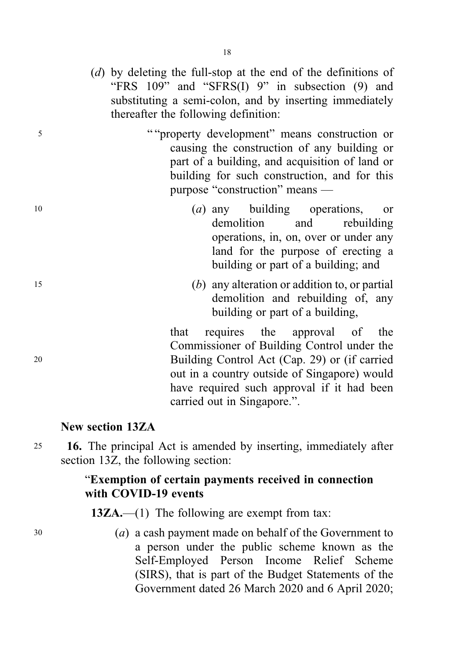(d) by deleting the full-stop at the end of the definitions of "FRS 109" and "SFRS(I) 9" in subsection (9) and substituting a semi-colon, and by inserting immediately thereafter the following definition:

<sup>5</sup> " "property development" means construction or causing the construction of any building or part of a building, and acquisition of land or building for such construction, and for this purpose "construction" means —

- <sup>10</sup> (a) any building operations, or demolition and rebuilding operations, in, on, over or under any land for the purpose of erecting a building or part of a building; and
- <sup>15</sup> (b) any alteration or addition to, or partial demolition and rebuilding of, any building or part of a building,

that requires the approval of the Commissioner of Building Control under the <sup>20</sup> Building Control Act (Cap. 29) or (if carried out in a country outside of Singapore) would have required such approval if it had been carried out in Singapore.".

# New section 13ZA

<sup>25</sup> 16. The principal Act is amended by inserting, immediately after section 13Z, the following section:

# "Exemption of certain payments received in connection with COVID-19 events

13ZA.—(1) The following are exempt from tax:

<sup>30</sup> (a) a cash payment made on behalf of the Government to a person under the public scheme known as the Self-Employed Person Income Relief Scheme (SIRS), that is part of the Budget Statements of the Government dated 26 March 2020 and 6 April 2020;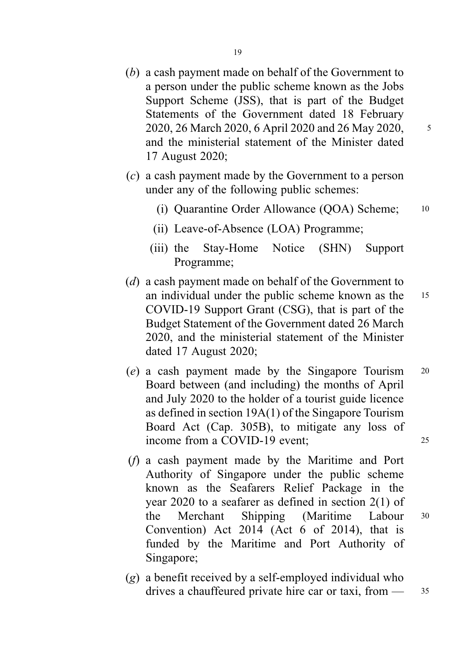- (b) a cash payment made on behalf of the Government to a person under the public scheme known as the Jobs Support Scheme (JSS), that is part of the Budget Statements of the Government dated 18 February 2020, 26 March 2020, 6 April 2020 and 26 May 2020, 5 and the ministerial statement of the Minister dated 17 August 2020;
- (c) a cash payment made by the Government to a person under any of the following public schemes:
	- (i) Quarantine Order Allowance (QOA) Scheme; <sup>10</sup>
	- (ii) Leave-of-Absence (LOA) Programme;
	- (iii) the Stay-Home Notice (SHN) Support Programme;
- (d) a cash payment made on behalf of the Government to an individual under the public scheme known as the <sup>15</sup> COVID-19 Support Grant (CSG), that is part of the Budget Statement of the Government dated 26 March 2020, and the ministerial statement of the Minister dated 17 August 2020;
- (e) a cash payment made by the Singapore Tourism <sup>20</sup> Board between (and including) the months of April and July 2020 to the holder of a tourist guide licence as defined in section 19A(1) of the Singapore Tourism Board Act (Cap. 305B), to mitigate any loss of income from a COVID-19 event: 25
- (f) a cash payment made by the Maritime and Port Authority of Singapore under the public scheme known as the Seafarers Relief Package in the year 2020 to a seafarer as defined in section 2(1) of the Merchant Shipping (Maritime Labour <sup>30</sup> Convention) Act 2014 (Act 6 of 2014), that is funded by the Maritime and Port Authority of Singapore;
- (g) a benefit received by a self-employed individual who drives a chauffeured private hire car or taxi, from  $\frac{35}{2}$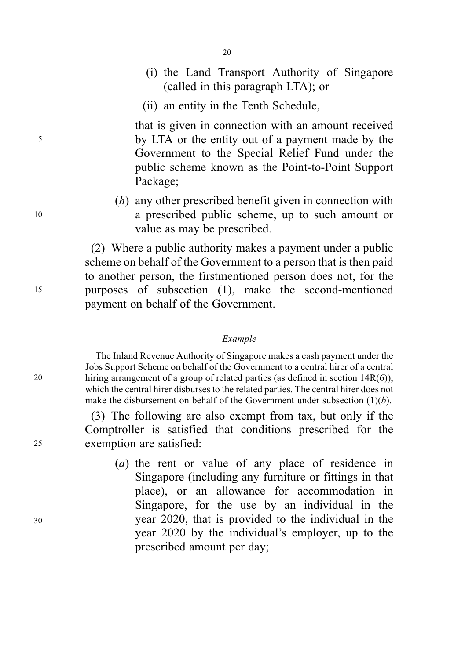- 
- (i) the Land Transport Authority of Singapore (called in this paragraph LTA); or
- (ii) an entity in the Tenth Schedule,

20

that is given in connection with an amount received <sup>5</sup> by LTA or the entity out of a payment made by the Government to the Special Relief Fund under the public scheme known as the Point-to-Point Support Package;

(h) any other prescribed benefit given in connection with <sup>10</sup> a prescribed public scheme, up to such amount or value as may be prescribed.

(2) Where a public authority makes a payment under a public scheme on behalf of the Government to a person that is then paid to another person, the firstmentioned person does not, for the <sup>15</sup> purposes of subsection (1), make the second-mentioned payment on behalf of the Government.

#### Example

The Inland Revenue Authority of Singapore makes a cash payment under the Jobs Support Scheme on behalf of the Government to a central hirer of a central hiring arrangement of a group of related parties (as defined in section 14R(6)), which the central hirer disburses to the related parties. The central hirer does not make the disbursement on behalf of the Government under subsection  $(1)(b)$ .

(3) The following are also exempt from tax, but only if the Comptroller is satisfied that conditions prescribed for the exemption are satisfied:

(a) the rent or value of any place of residence in Singapore (including any furniture or fittings in that place), or an allowance for accommodation in Singapore, for the use by an individual in the year 2020, that is provided to the individual in the year 2020 by the individual's employer, up to the prescribed amount per day;

20

25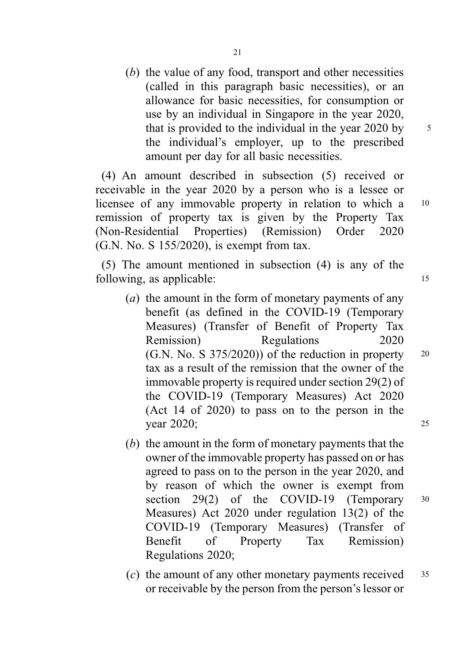(b) the value of any food, transport and other necessities (called in this paragraph basic necessities), or an allowance for basic necessities, for consumption or use by an individual in Singapore in the year 2020, that is provided to the individual in the year  $2020$  by  $\frac{5}{10}$ the individual's employer, up to the prescribed amount per day for all basic necessities.

(4) An amount described in subsection (5) received or receivable in the year 2020 by a person who is a lessee or licensee of any immovable property in relation to which a 10 remission of property tax is given by the Property Tax (Non-Residential Properties) (Remission) Order 2020 (G.N. No. S 155/2020), is exempt from tax.

(5) The amount mentioned in subsection (4) is any of the following, as applicable: 15

- (a) the amount in the form of monetary payments of any benefit (as defined in the COVID-19 (Temporary Measures) (Transfer of Benefit of Property Tax Remission) Regulations 2020  $(G.N. No. S 375/2020)$  of the reduction in property  $20$ tax as a result of the remission that the owner of the immovable property is required under section 29(2) of the COVID-19 (Temporary Measures) Act 2020 (Act 14 of 2020) to pass on to the person in the year 2020; 25
- (b) the amount in the form of monetary payments that the owner of the immovable property has passed on or has agreed to pass on to the person in the year 2020, and by reason of which the owner is exempt from section 29(2) of the COVID-19 (Temporary 30 Measures) Act 2020 under regulation 13(2) of the COVID-19 (Temporary Measures) (Transfer of Benefit of Property Tax Remission) Regulations 2020;
- (c) the amount of any other monetary payments received  $35$ or receivable by the person from the person's lessor or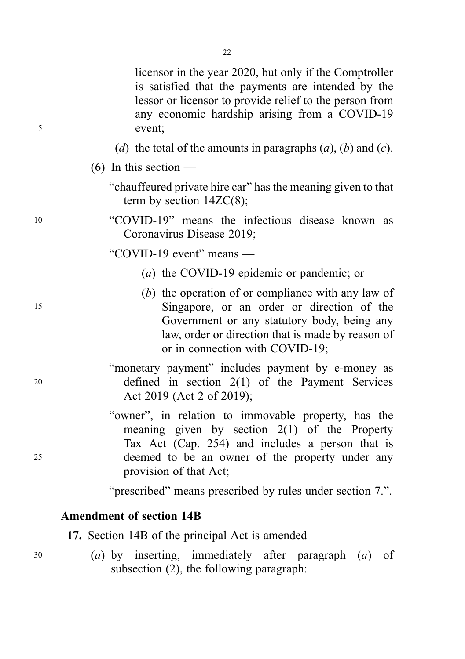|    | term by section $14ZC(8)$ ;                                                                                                                                                                                                             |
|----|-----------------------------------------------------------------------------------------------------------------------------------------------------------------------------------------------------------------------------------------|
| 10 | "COVID-19" means the infectious disease known as<br>Coronavirus Disease 2019;                                                                                                                                                           |
|    | "COVID-19 event" means $-$                                                                                                                                                                                                              |
|    | ( <i>a</i> ) the COVID-19 epidemic or pandemic; or                                                                                                                                                                                      |
| 15 | (b) the operation of or compliance with any law of<br>Singapore, or an order or direction of the<br>Government or any statutory body, being any<br>law, order or direction that is made by reason of<br>or in connection with COVID-19; |

<sup>5</sup> event;

(6) In this section  $-$ 

"monetary payment" includes payment by e-money as <sup>20</sup> defined in section 2(1) of the Payment Services Act 2019 (Act 2 of 2019);

"owner", in relation to immovable property, has the meaning given by section 2(1) of the Property Tax Act (Cap. 254) and includes a person that is <sup>25</sup> deemed to be an owner of the property under any provision of that Act;

"prescribed" means prescribed by rules under section 7.".

# Amendment of section 14B

17. Section 14B of the principal Act is amended —

<sup>30</sup> (a) by inserting, immediately after paragraph (a) of subsection (2), the following paragraph:

22

licensor in the year 2020, but only if the Comptroller is satisfied that the payments are intended by the lessor or licensor to provide relief to the person from any economic hardship arising from a COVID-19

(d) the total of the amounts in paragraphs  $(a)$ ,  $(b)$  and  $(c)$ .

"chauffeured private hire car" has the meaning given to that

- 
-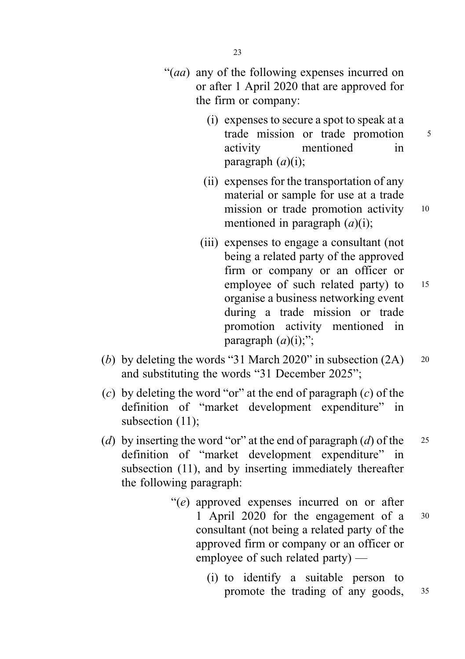- "(aa) any of the following expenses incurred on or after 1 April 2020 that are approved for the firm or company:
	- (i) expenses to secure a spot to speak at a trade mission or trade promotion 5 activity mentioned in paragraph  $(a)(i)$ ;
	- (ii) expenses for the transportation of any material or sample for use at a trade mission or trade promotion activity 10 mentioned in paragraph  $(a)(i)$ ;
	- (iii) expenses to engage a consultant (not being a related party of the approved firm or company or an officer or employee of such related party) to 15 organise a business networking event during a trade mission or trade promotion activity mentioned in paragraph  $(a)(i)$ ;";
- (b) by deleting the words "31 March 2020" in subsection  $(2A)$  20 and substituting the words "31 December 2025";
- (c) by deleting the word "or" at the end of paragraph (c) of the definition of "market development expenditure" in subsection (11);
- (d) by inserting the word "or" at the end of paragraph (d) of the  $25$ definition of "market development expenditure" in subsection (11), and by inserting immediately thereafter the following paragraph:
	- "(e) approved expenses incurred on or after 1 April 2020 for the engagement of a <sup>30</sup> consultant (not being a related party of the approved firm or company or an officer or employee of such related party) —
		- (i) to identify a suitable person to promote the trading of any goods, 35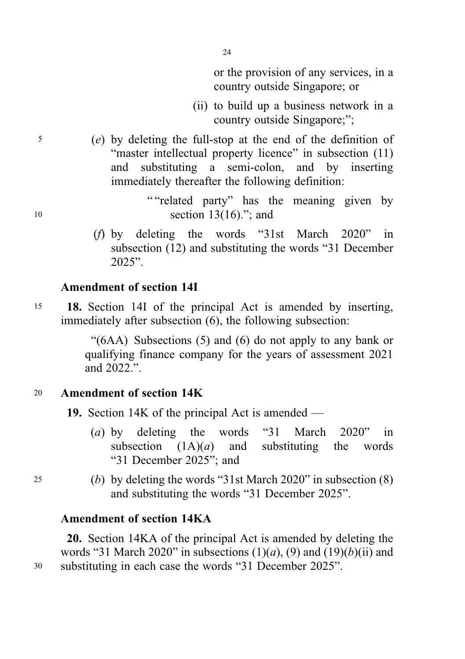or the provision of any services, in a country outside Singapore; or

- (ii) to build up a business network in a country outside Singapore;";
- <sup>5</sup> (e) by deleting the full-stop at the end of the definition of "master intellectual property licence" in subsection (11) and substituting a semi-colon, and by inserting immediately thereafter the following definition:

24

" "related party" has the meaning given by 10 section 13(16)."; and

> (f) by deleting the words "31st March 2020" in subsection (12) and substituting the words "31 December 2025".

# Amendment of section 14I

<sup>15</sup> 18. Section 14I of the principal Act is amended by inserting, immediately after subsection (6), the following subsection:

> "(6AA) Subsections (5) and (6) do not apply to any bank or qualifying finance company for the years of assessment 2021 and 2022.".

# <sup>20</sup> Amendment of section 14K

19. Section 14K of the principal Act is amended —

- (a) by deleting the words "31 March 2020" in subsection  $(1A)(a)$  and substituting the words subsection  $(1A)(a)$  and substituting the words "31 December 2025"; and
- <sup>25</sup> (b) by deleting the words "31st March 2020" in subsection (8) and substituting the words "31 December 2025".

# Amendment of section 14KA

20. Section 14KA of the principal Act is amended by deleting the words "31 March 2020" in subsections  $(1)(a)$ ,  $(9)$  and  $(19)(b)$ (ii) and <sup>30</sup> substituting in each case the words "31 December 2025".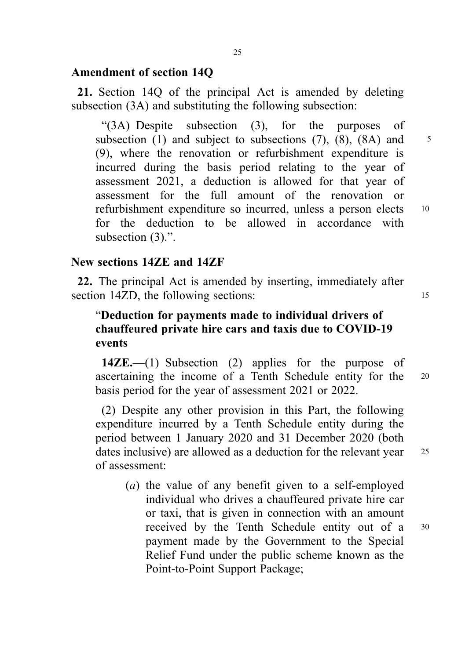#### Amendment of section 14Q

21. Section 14Q of the principal Act is amended by deleting subsection (3A) and substituting the following subsection:

"(3A) Despite subsection (3), for the purposes of subsection (1) and subject to subsections (7), (8), (8A) and  $\frac{5}{3}$ (9), where the renovation or refurbishment expenditure is incurred during the basis period relating to the year of assessment 2021, a deduction is allowed for that year of assessment for the full amount of the renovation or refurbishment expenditure so incurred, unless a person elects <sup>10</sup> for the deduction to be allowed in accordance with subsection (3).".

# New sections 14ZE and 14ZF

22. The principal Act is amended by inserting, immediately after section 14ZD, the following sections: 15

# "Deduction for payments made to individual drivers of chauffeured private hire cars and taxis due to COVID-19 events

14ZE.—(1) Subsection (2) applies for the purpose of ascertaining the income of a Tenth Schedule entity for the <sup>20</sup> basis period for the year of assessment 2021 or 2022.

(2) Despite any other provision in this Part, the following expenditure incurred by a Tenth Schedule entity during the period between 1 January 2020 and 31 December 2020 (both dates inclusive) are allowed as a deduction for the relevant year 25 of assessment:

(a) the value of any benefit given to a self-employed individual who drives a chauffeured private hire car or taxi, that is given in connection with an amount received by the Tenth Schedule entity out of a <sup>30</sup> payment made by the Government to the Special Relief Fund under the public scheme known as the Point-to-Point Support Package;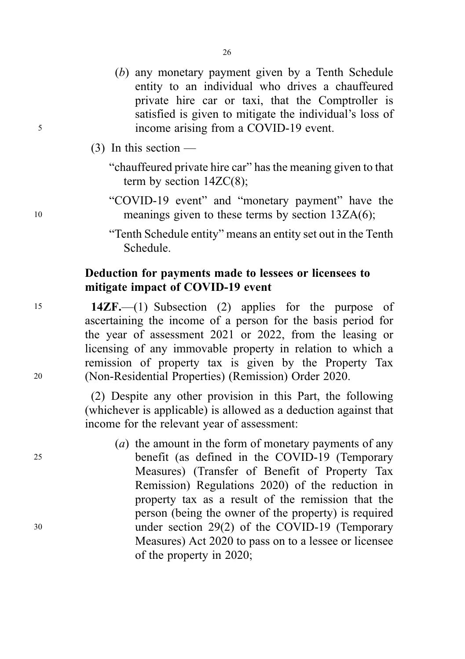- (b) any monetary payment given by a Tenth Schedule entity to an individual who drives a chauffeured private hire car or taxi, that the Comptroller is satisfied is given to mitigate the individual's loss of <sup>5</sup> income arising from a COVID-19 event.
	- (3) In this section
		- "chauffeured private hire car" has the meaning given to that term by section 14ZC(8);
- "COVID-19 event" and "monetary payment" have the <sup>10</sup> meanings given to these terms by section 13ZA(6);
	- "Tenth Schedule entity" means an entity set out in the Tenth Schedule.

# Deduction for payments made to lessees or licensees to mitigate impact of COVID-19 event

<sup>15</sup> 14ZF.—(1) Subsection (2) applies for the purpose of ascertaining the income of a person for the basis period for the year of assessment 2021 or 2022, from the leasing or licensing of any immovable property in relation to which a remission of property tax is given by the Property Tax <sup>20</sup> (Non-Residential Properties) (Remission) Order 2020.

> (2) Despite any other provision in this Part, the following (whichever is applicable) is allowed as a deduction against that income for the relevant year of assessment:

( $a$ ) the amount in the form of monetary payments of any <sup>25</sup> benefit (as defined in the COVID-19 (Temporary Measures) (Transfer of Benefit of Property Tax Remission) Regulations 2020) of the reduction in property tax as a result of the remission that the person (being the owner of the property) is required <sup>30</sup> under section 29(2) of the COVID-19 (Temporary Measures) Act 2020 to pass on to a lessee or licensee of the property in 2020;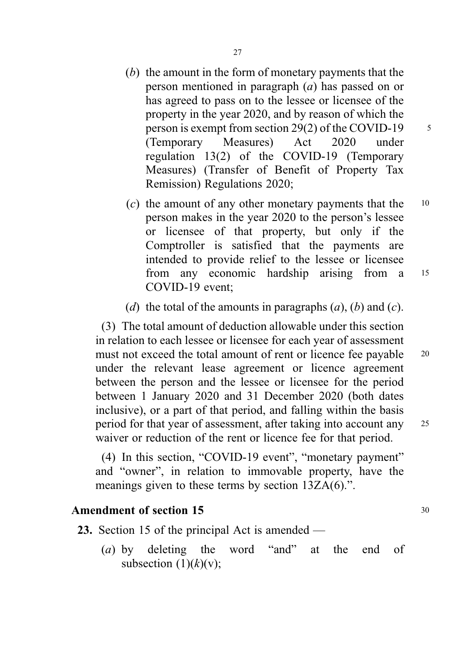- (b) the amount in the form of monetary payments that the person mentioned in paragraph (a) has passed on or has agreed to pass on to the lessee or licensee of the property in the year 2020, and by reason of which the person is exempt from section 29(2) of the COVID-19  $\frac{5}{5}$ (Temporary Measures) Act 2020 under regulation 13(2) of the COVID-19 (Temporary Measures) (Transfer of Benefit of Property Tax Remission) Regulations 2020;
- (c) the amount of any other monetary payments that the  $10$ person makes in the year 2020 to the person's lessee or licensee of that property, but only if the Comptroller is satisfied that the payments are intended to provide relief to the lessee or licensee from any economic hardship arising from a <sup>15</sup> COVID-19 event;
- (d) the total of the amounts in paragraphs  $(a)$ ,  $(b)$  and  $(c)$ .

(3) The total amount of deduction allowable under this section in relation to each lessee or licensee for each year of assessment must not exceed the total amount of rent or licence fee payable 20 under the relevant lease agreement or licence agreement between the person and the lessee or licensee for the period between 1 January 2020 and 31 December 2020 (both dates inclusive), or a part of that period, and falling within the basis period for that year of assessment, after taking into account any <sup>25</sup> waiver or reduction of the rent or licence fee for that period.

(4) In this section, "COVID-19 event", "monetary payment" and "owner", in relation to immovable property, have the meanings given to these terms by section 13ZA(6).".

## Amendment of section 15 30

23. Section 15 of the principal Act is amended —

(a) by deleting the word "and" at the end of subsection  $(1)(k)(v)$ ;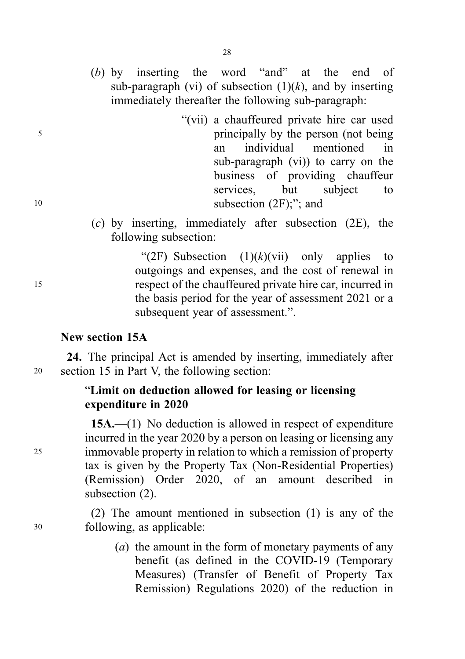- (b) by inserting the word "and" at the end of sub-paragraph (vi) of subsection  $(1)(k)$ , and by inserting immediately thereafter the following sub-paragraph:
- "(vii) a chauffeured private hire car used <sup>5</sup> principally by the person (not being an individual mentioned in sub-paragraph (vi)) to carry on the business of providing chauffeur services, but subject to 10 subsection  $(2F)$ ;"; and
	- (c) by inserting, immediately after subsection (2E), the following subsection:

"(2F) Subsection  $(1)(k)(vii)$  only applies to outgoings and expenses, and the cost of renewal in <sup>15</sup> respect of the chauffeured private hire car, incurred in the basis period for the year of assessment 2021 or a subsequent year of assessment.".

#### New section 15A

24. The principal Act is amended by inserting, immediately after <sup>20</sup> section 15 in Part V, the following section:

# "Limit on deduction allowed for leasing or licensing expenditure in 2020

15A.—(1) No deduction is allowed in respect of expenditure incurred in the year 2020 by a person on leasing or licensing any <sup>25</sup> immovable property in relation to which a remission of property tax is given by the Property Tax (Non-Residential Properties) (Remission) Order 2020, of an amount described in subsection (2).

(2) The amount mentioned in subsection (1) is any of the <sup>30</sup> following, as applicable:

> (a) the amount in the form of monetary payments of any benefit (as defined in the COVID-19 (Temporary Measures) (Transfer of Benefit of Property Tax Remission) Regulations 2020) of the reduction in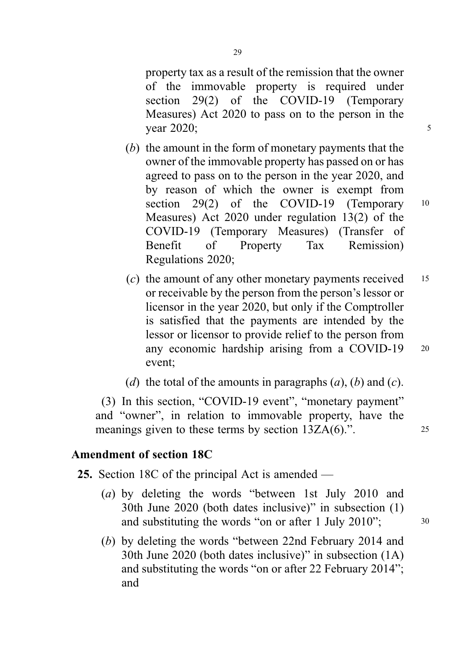property tax as a result of the remission that the owner of the immovable property is required under section 29(2) of the COVID-19 (Temporary Measures) Act 2020 to pass on to the person in the  $\frac{1}{2}$  year 2020;

- (b) the amount in the form of monetary payments that the owner of the immovable property has passed on or has agreed to pass on to the person in the year 2020, and by reason of which the owner is exempt from section 29(2) of the COVID-19 (Temporary 10 Measures) Act 2020 under regulation 13(2) of the COVID-19 (Temporary Measures) (Transfer of Benefit of Property Tax Remission) Regulations 2020;
- (c) the amount of any other monetary payments received  $15$ or receivable by the person from the person's lessor or licensor in the year 2020, but only if the Comptroller is satisfied that the payments are intended by the lessor or licensor to provide relief to the person from any economic hardship arising from a COVID-19 <sup>20</sup> event;
- (d) the total of the amounts in paragraphs  $(a)$ ,  $(b)$  and  $(c)$ .

(3) In this section, "COVID-19 event", "monetary payment" and "owner", in relation to immovable property, have the meanings given to these terms by section 13ZA(6).". 25

# Amendment of section 18C

25. Section 18C of the principal Act is amended —

- (a) by deleting the words "between 1st July 2010 and 30th June 2020 (both dates inclusive)" in subsection (1) and substituting the words "on or after 1 July 2010"; 30
- (b) by deleting the words "between 22nd February 2014 and 30th June 2020 (both dates inclusive)" in subsection (1A) and substituting the words "on or after 22 February 2014"; and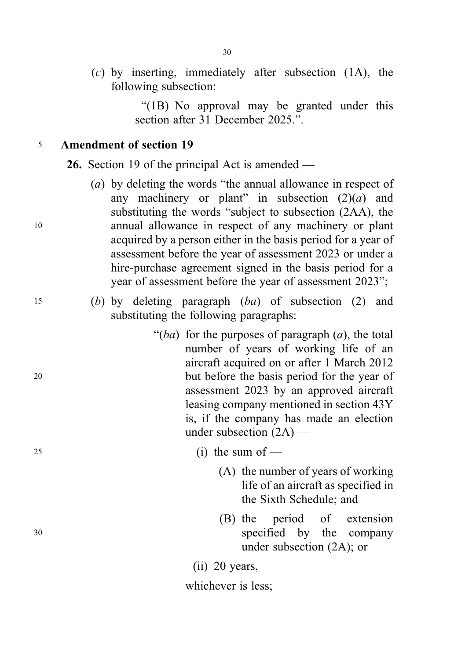(c) by inserting, immediately after subsection (1A), the following subsection:

> "(1B) No approval may be granted under this section after 31 December 2025."

# <sup>5</sup> Amendment of section 19

26. Section 19 of the principal Act is amended —

(a) by deleting the words "the annual allowance in respect of any machinery or plant" in subsection  $(2)(a)$  and substituting the words "subject to subsection (2AA), the <sup>10</sup> annual allowance in respect of any machinery or plant acquired by a person either in the basis period for a year of assessment before the year of assessment 2023 or under a hire-purchase agreement signed in the basis period for a year of assessment before the year of assessment 2023";

15 (b) by deleting paragraph  $(ba)$  of subsection (2) and substituting the following paragraphs:

" $(ba)$  for the purposes of paragraph  $(a)$ , the total number of years of working life of an aircraft acquired on or after 1 March 2012 <sup>20</sup> but before the basis period for the year of assessment 2023 by an approved aircraft leasing company mentioned in section 43Y is, if the company has made an election under subsection (2A) —

 $25$  (i) the sum of —

- (A) the number of years of working life of an aircraft as specified in the Sixth Schedule; and
- (B) the period of extension <sup>30</sup> specified by the company under subsection (2A); or

(ii) 20 years,

whichever is less;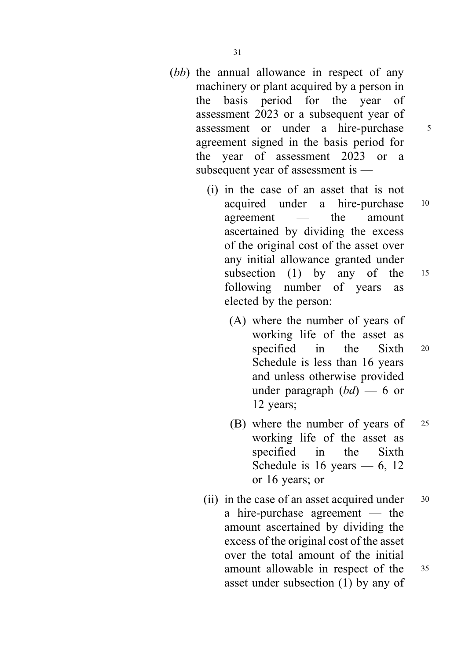- (bb) the annual allowance in respect of any machinery or plant acquired by a person in the basis period for the year of assessment 2023 or a subsequent year of assessment or under a hire-purchase <sup>5</sup> agreement signed in the basis period for the year of assessment 2023 or a subsequent year of assessment is —
	- (i) in the case of an asset that is not acquired under a hire-purchase <sup>10</sup> agreement — the amount ascertained by dividing the excess of the original cost of the asset over any initial allowance granted under subsection (1) by any of the 15 following number of years as elected by the person:
		- (A) where the number of years of working life of the asset as specified in the Sixth 20 Schedule is less than 16 years and unless otherwise provided under paragraph  $(bd)$  — 6 or 12 years;
		- (B) where the number of years of <sup>25</sup> working life of the asset as specified in the Sixth Schedule is  $16$  years  $-6$ ,  $12$ or 16 years; or
	- (ii) in the case of an asset acquired under  $30$ a hire-purchase agreement — the amount ascertained by dividing the excess of the original cost of the asset over the total amount of the initial amount allowable in respect of the <sup>35</sup> asset under subsection (1) by any of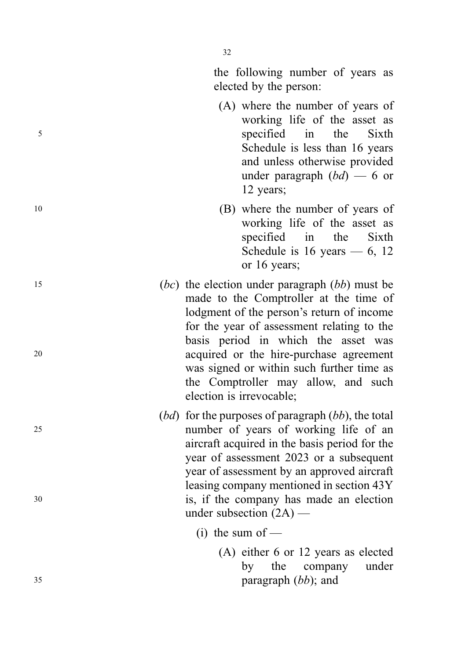32

the following number of years as elected by the person:

- (A) where the number of years of working life of the asset as <sup>5</sup> specified in the Sixth Schedule is less than 16 years and unless otherwise provided under paragraph  $(bd)$  — 6 or 12 years;
- <sup>10</sup> (B) where the number of years of working life of the asset as specified in the Sixth Schedule is  $16$  years  $-6$ ,  $12$ or 16 years;
- $(bc)$  the election under paragraph  $(bb)$  must be made to the Comptroller at the time of lodgment of the person 's return of income for the year of assessment relating to the basis period in which the asset was <sup>20</sup> acquired or the hire-purchase agreement was signed or within such further time as the Comptroller may allow, and such election is irrevocable;
- $(bd)$  for the purposes of paragraph  $(bb)$ , the total <sup>25</sup> number of years of working life of an aircraft acquired in the basis period for the year of assessment 2023 or a subsequent year of assessment by an approved aircraft leasing company mentioned in section 43Y <sup>30</sup> is, if the company has made an election under subsection (2A) —
	- $(i)$  the sum of —
- (A) either 6 or 12 years as elected by the company under  $35$  paragraph  $(bb)$ ; and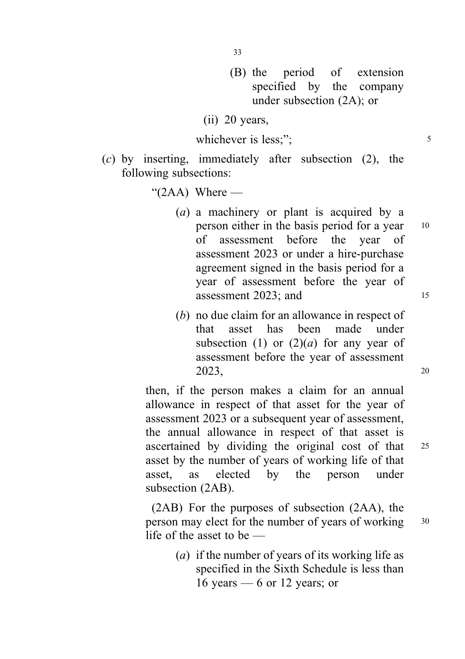- (B) the period of extension specified by the company under subsection (2A); or
- (ii) 20 years,

$$
which ever is less;"; \t\t\t\t5
$$

(c) by inserting, immediately after subsection (2), the following subsections:

" $(2AA)$  Where —

- (a) a machinery or plant is acquired by a person either in the basis period for a year 10 of assessment before the year of assessment 2023 or under a hire-purchase agreement signed in the basis period for a year of assessment before the year of assessment 2023; and 15
- (b) no due claim for an allowance in respect of that asset has been made under subsection (1) or  $(2)(a)$  for any year of assessment before the year of assessment  $2023,$  20

then, if the person makes a claim for an annual allowance in respect of that asset for the year of assessment 2023 or a subsequent year of assessment, the annual allowance in respect of that asset is ascertained by dividing the original cost of that <sup>25</sup> asset by the number of years of working life of that asset, as elected by the person under subsection (2AB).

(2AB) For the purposes of subsection (2AA), the person may elect for the number of years of working 30 life of the asset to be —

> (a) if the number of years of its working life as specified in the Sixth Schedule is less than 16 years  $-6$  or 12 years; or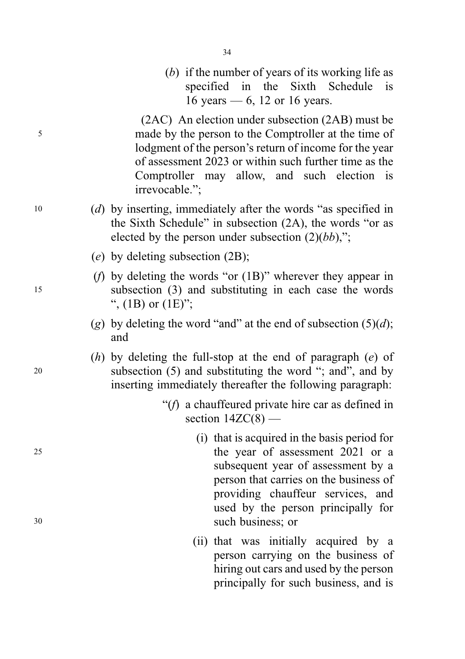(b) if the number of years of its working life as specified in the Sixth Schedule is 16 years — 6, 12 or 16 years.

(2AC) An election under subsection (2AB) must be <sup>5</sup> made by the person to the Comptroller at the time of lodgment of the person's return of income for the year of assessment 2023 or within such further time as the Comptroller may allow, and such election is irrevocable.";

- <sup>10</sup> (d) by inserting, immediately after the words "as specified in the Sixth Schedule" in subsection (2A), the words "or as elected by the person under subsection  $(2)(bb)$ ,";
	- (e) by deleting subsection (2B);
- (f) by deleting the words "or (1B)" wherever they appear in <sup>15</sup> subsection (3) and substituting in each case the words ",  $(1B)$  or  $(1E)$ ";
	- (g) by deleting the word "and" at the end of subsection  $(5)(d)$ ; and
- (h) by deleting the full-stop at the end of paragraph  $(e)$  of <sup>20</sup> subsection (5) and substituting the word "; and", and by inserting immediately thereafter the following paragraph:
	- "(f) a chauffeured private hire car as defined in section  $14ZC(8)$  —
- (i) that is acquired in the basis period for <sup>25</sup> the year of assessment 2021 or a subsequent year of assessment by a person that carries on the business of providing chauffeur services, and used by the person principally for <sup>30</sup> such business; or
	- (ii) that was initially acquired by a person carrying on the business of hiring out cars and used by the person principally for such business, and is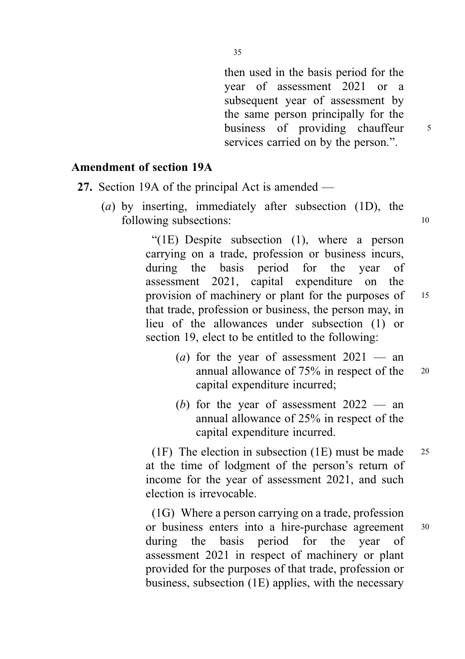then used in the basis period for the year of assessment 2021 or a subsequent year of assessment by the same person principally for the business of providing chauffeur 5 services carried on by the person.".

# Amendment of section 19A

- 27. Section 19A of the principal Act is amended
	- (a) by inserting, immediately after subsection (1D), the following subsections: 10

"(1E) Despite subsection (1), where a person carrying on a trade, profession or business incurs, during the basis period for the year of assessment 2021, capital expenditure on the provision of machinery or plant for the purposes of 15 that trade, profession or business, the person may, in lieu of the allowances under subsection (1) or section 19, elect to be entitled to the following:

- (*a*) for the year of assessment  $2021$  an annual allowance of 75% in respect of the <sup>20</sup> capital expenditure incurred;
- (b) for the year of assessment  $2022 -$  an annual allowance of 25% in respect of the capital expenditure incurred.

(1F) The election in subsection (1E) must be made  $25$ at the time of lodgment of the person's return of income for the year of assessment 2021, and such election is irrevocable.

(1G) Where a person carrying on a trade, profession or business enters into a hire-purchase agreement <sup>30</sup> during the basis period for the year of assessment 2021 in respect of machinery or plant provided for the purposes of that trade, profession or business, subsection (1E) applies, with the necessary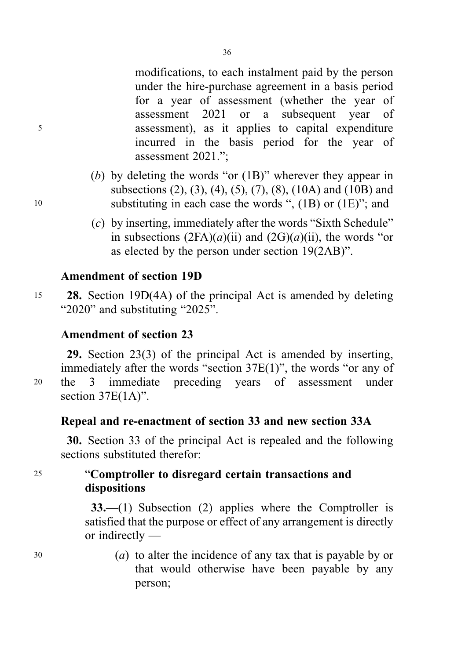modifications, to each instalment paid by the person under the hire-purchase agreement in a basis period for a year of assessment (whether the year of assessment 2021 or a subsequent year of <sup>5</sup> assessment), as it applies to capital expenditure incurred in the basis period for the year of assessment 2021.";

- (b) by deleting the words "or (1B)" wherever they appear in subsections (2), (3), (4), (5), (7), (8), (10A) and (10B) and <sup>10</sup> substituting in each case the words ", (1B) or (1E)"; and
	- (c) by inserting, immediately after the words "Sixth Schedule" in subsections  $(2FA)(a)(ii)$  and  $(2G)(a)(ii)$ , the words "or as elected by the person under section 19(2AB)".

## Amendment of section 19D

<sup>15</sup> 28. Section 19D(4A) of the principal Act is amended by deleting "2020" and substituting "2025".

# Amendment of section 23

29. Section 23(3) of the principal Act is amended by inserting, immediately after the words "section 37E(1)", the words "or any of <sup>20</sup> the 3 immediate preceding years of assessment under section 37E(1A)".

# Repeal and re-enactment of section 33 and new section 33A

30. Section 33 of the principal Act is repealed and the following sections substituted therefor:

<sup>25</sup> "Comptroller to disregard certain transactions and dispositions

> 33.—(1) Subsection (2) applies where the Comptroller is satisfied that the purpose or effect of any arrangement is directly or indirectly —

<sup>30</sup> (a) to alter the incidence of any tax that is payable by or that would otherwise have been payable by any person;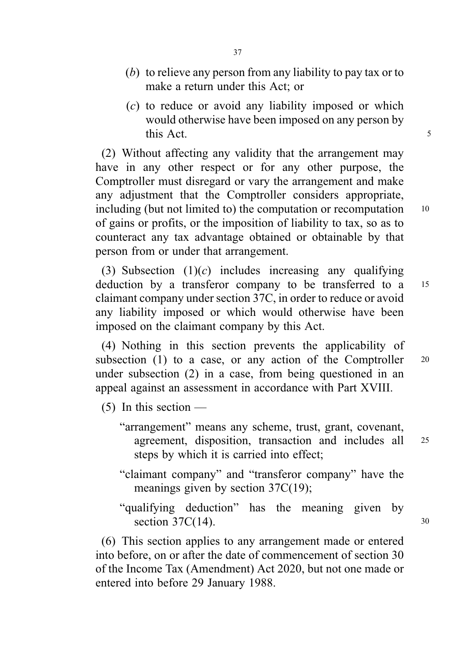- (b) to relieve any person from any liability to pay tax or to make a return under this Act; or
- (c) to reduce or avoid any liability imposed or which would otherwise have been imposed on any person by this Act.

(2) Without affecting any validity that the arrangement may have in any other respect or for any other purpose, the Comptroller must disregard or vary the arrangement and make any adjustment that the Comptroller considers appropriate, including (but not limited to) the computation or recomputation 10 of gains or profits, or the imposition of liability to tax, so as to counteract any tax advantage obtained or obtainable by that person from or under that arrangement.

(3) Subsection  $(1)(c)$  includes increasing any qualifying deduction by a transferor company to be transferred to a <sup>15</sup> claimant company under section 37C, in order to reduce or avoid any liability imposed or which would otherwise have been imposed on the claimant company by this Act.

(4) Nothing in this section prevents the applicability of subsection (1) to a case, or any action of the Comptroller  $20$ under subsection (2) in a case, from being questioned in an appeal against an assessment in accordance with Part XVIII.

- $(5)$  In this section
	- "arrangement" means any scheme, trust, grant, covenant, agreement, disposition, transaction and includes all <sup>25</sup> steps by which it is carried into effect;
	- "claimant company" and "transferor company" have the meanings given by section 37C(19);
	- "qualifying deduction" has the meaning given by section  $37C(14)$ . 30

(6) This section applies to any arrangement made or entered into before, on or after the date of commencement of section 30 of the Income Tax (Amendment) Act 2020, but not one made or entered into before 29 January 1988.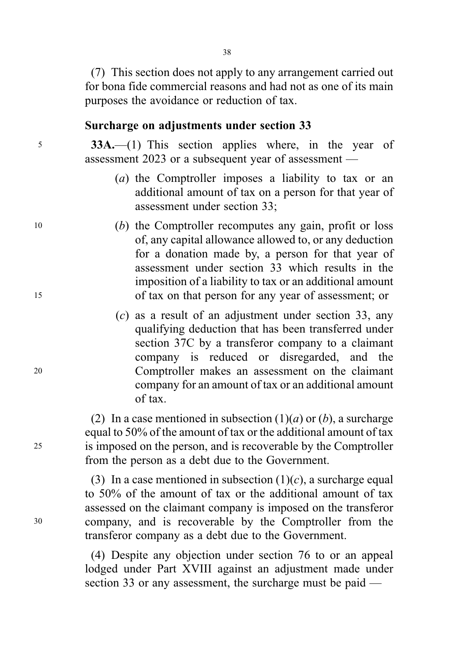(7) This section does not apply to any arrangement carried out for bona fide commercial reasons and had not as one of its main purposes the avoidance or reduction of tax.

#### Surcharge on adjustments under section 33

<sup>5</sup> 33A.—(1) This section applies where, in the year of assessment 2023 or a subsequent year of assessment —

- (a) the Comptroller imposes a liability to tax or an additional amount of tax on a person for that year of assessment under section 33;
- <sup>10</sup> (b) the Comptroller recomputes any gain, profit or loss of, any capital allowance allowed to, or any deduction for a donation made by, a person for that year of assessment under section 33 which results in the imposition of a liability to tax or an additional amount <sup>15</sup> of tax on that person for any year of assessment; or
- (c) as a result of an adjustment under section 33, any qualifying deduction that has been transferred under section 37C by a transferor company to a claimant company is reduced or disregarded, and the <sup>20</sup> Comptroller makes an assessment on the claimant company for an amount of tax or an additional amount of tax.

(2) In a case mentioned in subsection  $(1)(a)$  or  $(b)$ , a surcharge equal to 50% of the amount of tax or the additional amount of tax <sup>25</sup> is imposed on the person, and is recoverable by the Comptroller from the person as a debt due to the Government.

(3) In a case mentioned in subsection  $(1)(c)$ , a surcharge equal to 50% of the amount of tax or the additional amount of tax assessed on the claimant company is imposed on the transferor <sup>30</sup> company, and is recoverable by the Comptroller from the transferor company as a debt due to the Government.

> (4) Despite any objection under section 76 to or an appeal lodged under Part XVIII against an adjustment made under section 33 or any assessment, the surcharge must be paid —

38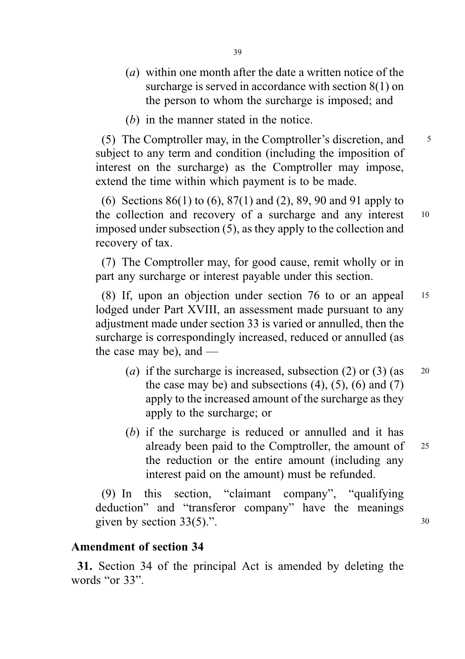- (a) within one month after the date a written notice of the surcharge is served in accordance with section 8(1) on the person to whom the surcharge is imposed; and
- (b) in the manner stated in the notice.

(5) The Comptroller may, in the Comptroller's discretion, and <sup>5</sup> subject to any term and condition (including the imposition of interest on the surcharge) as the Comptroller may impose, extend the time within which payment is to be made.

(6) Sections 86(1) to (6), 87(1) and (2), 89, 90 and 91 apply to the collection and recovery of a surcharge and any interest 10 imposed under subsection (5), as they apply to the collection and recovery of tax.

(7) The Comptroller may, for good cause, remit wholly or in part any surcharge or interest payable under this section.

(8) If, upon an objection under section 76 to or an appeal <sup>15</sup> lodged under Part XVIII, an assessment made pursuant to any adjustment made under section 33 is varied or annulled, then the surcharge is correspondingly increased, reduced or annulled (as the case may be), and —

- (a) if the surcharge is increased, subsection (2) or (3) (as  $20$ the case may be) and subsections  $(4)$ ,  $(5)$ ,  $(6)$  and  $(7)$ apply to the increased amount of the surcharge as they apply to the surcharge; or
- (b) if the surcharge is reduced or annulled and it has already been paid to the Comptroller, the amount of <sup>25</sup> the reduction or the entire amount (including any interest paid on the amount) must be refunded.

(9) In this section, "claimant company", "qualifying deduction" and "transferor company" have the meanings given by section  $33(5)$ .".  $30$ 

## Amendment of section 34

31. Section 34 of the principal Act is amended by deleting the words "or 33".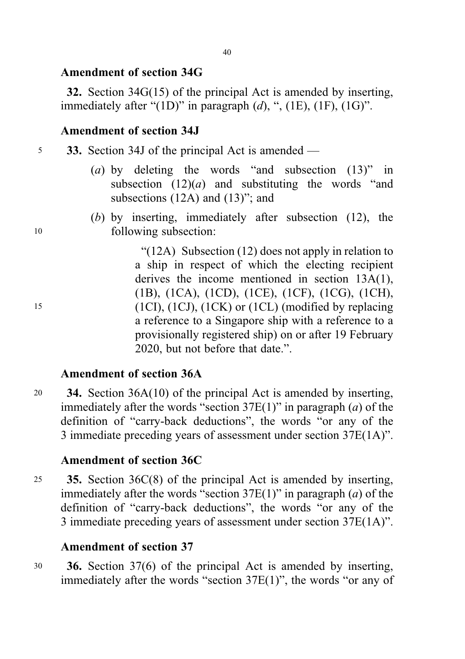# Amendment of section 34G

32. Section 34G(15) of the principal Act is amended by inserting, immediately after "(1D)" in paragraph  $(d)$ , ", (1E), (1F), (1G)".

# Amendment of section 34J

- <sup>5</sup> 33. Section 34J of the principal Act is amended
	- (a) by deleting the words "and subsection (13)" in subsection  $(12)(a)$  and substituting the words "and subsections (12A) and (13)"; and
- (b) by inserting, immediately after subsection (12), the <sup>10</sup> following subsection:

"(12A) Subsection (12) does not apply in relation to a ship in respect of which the electing recipient derives the income mentioned in section 13A(1), (1B), (1CA), (1CD), (1CE), (1CF), (1CG), (1CH), <sup>15</sup> (1CI), (1CJ), (1CK) or (1CL) (modified by replacing a reference to a Singapore ship with a reference to a provisionally registered ship) on or after 19 February 2020, but not before that date.".

# Amendment of section 36A

<sup>20</sup> 34. Section 36A(10) of the principal Act is amended by inserting, immediately after the words "section  $37E(1)$ " in paragraph (*a*) of the definition of "carry-back deductions", the words "or any of the 3 immediate preceding years of assessment under section 37E(1A)".

# Amendment of section 36C

<sup>25</sup> 35. Section 36C(8) of the principal Act is amended by inserting, immediately after the words "section  $37E(1)$ " in paragraph (*a*) of the definition of "carry-back deductions", the words "or any of the 3 immediate preceding years of assessment under section 37E(1A)".

# Amendment of section 37

<sup>30</sup> 36. Section 37(6) of the principal Act is amended by inserting, immediately after the words "section 37E(1)", the words "or any of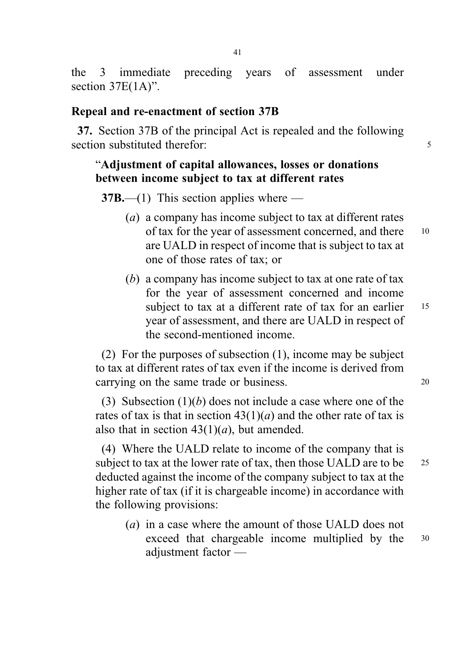the 3 immediate preceding years of assessment under section  $37E(1A)$ ".

#### Repeal and re-enactment of section 37B

37. Section 37B of the principal Act is repealed and the following section substituted therefor: 5

## "Adjustment of capital allowances, losses or donations between income subject to tax at different rates

 $37B$ —(1) This section applies where —

- (a) a company has income subject to tax at different rates of tax for the year of assessment concerned, and there <sup>10</sup> are UALD in respect of income that is subject to tax at one of those rates of tax; or
- (b) a company has income subject to tax at one rate of tax for the year of assessment concerned and income subject to tax at a different rate of tax for an earlier 15 year of assessment, and there are UALD in respect of the second-mentioned income.

(2) For the purposes of subsection (1), income may be subject to tax at different rates of tax even if the income is derived from carrying on the same trade or business. 20

(3) Subsection  $(1)(b)$  does not include a case where one of the rates of tax is that in section  $43(1)(a)$  and the other rate of tax is also that in section  $43(1)(a)$ , but amended.

(4) Where the UALD relate to income of the company that is subject to tax at the lower rate of tax, then those UALD are to be 25 deducted against the income of the company subject to tax at the higher rate of tax (if it is chargeable income) in accordance with the following provisions:

(a) in a case where the amount of those UALD does not exceed that chargeable income multiplied by the 30 adjustment factor —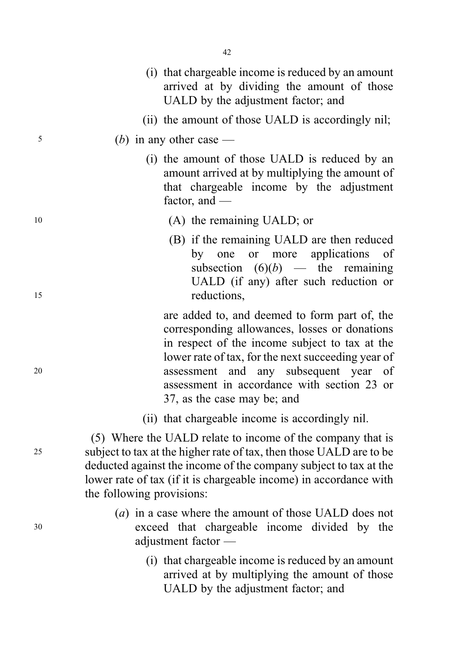|    | (i) that chargeable income is reduced by an amount<br>arrived at by dividing the amount of those<br>UALD by the adjustment factor; and                                                                                                                                                                                           |
|----|----------------------------------------------------------------------------------------------------------------------------------------------------------------------------------------------------------------------------------------------------------------------------------------------------------------------------------|
|    | (ii) the amount of those UALD is accordingly nil;                                                                                                                                                                                                                                                                                |
| 5  | ( <i>b</i> ) in any other case —                                                                                                                                                                                                                                                                                                 |
|    | (i) the amount of those UALD is reduced by an<br>amount arrived at by multiplying the amount of<br>that chargeable income by the adjustment<br>factor, and $-$                                                                                                                                                                   |
| 10 | (A) the remaining UALD; or                                                                                                                                                                                                                                                                                                       |
| 15 | (B) if the remaining UALD are then reduced<br>more<br>applications<br>by one<br>or<br>of<br>subsection $(6)(b)$ — the remaining<br>UALD (if any) after such reduction or<br>reductions,                                                                                                                                          |
| 20 | are added to, and deemed to form part of, the<br>corresponding allowances, losses or donations<br>in respect of the income subject to tax at the<br>lower rate of tax, for the next succeeding year of<br>and any subsequent year of<br>assessment<br>assessment in accordance with section 23 or<br>37, as the case may be; and |
|    | (ii) that chargeable income is accordingly nil.                                                                                                                                                                                                                                                                                  |
| 25 | (5) Where the UALD relate to income of the company that is<br>subject to tax at the higher rate of tax, then those UALD are to be<br>deducted against the income of the company subject to tax at the<br>lower rate of tax (if it is chargeable income) in accordance with<br>the following provisions:                          |
|    | (a) in a case where the amount of those UALD does not                                                                                                                                                                                                                                                                            |

- <sup>30</sup> exceed that chargeable income divided by the adjustment factor —
	- (i) that chargeable income is reduced by an amount arrived at by multiplying the amount of those UALD by the adjustment factor; and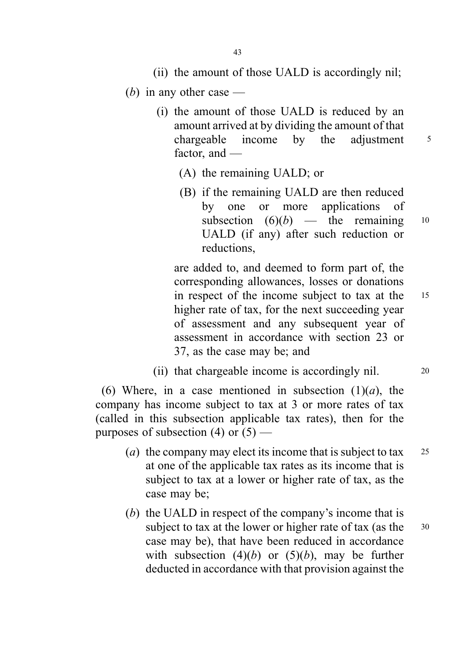- (ii) the amount of those UALD is accordingly nil;
- (b) in any other case  $-$ 
	- (i) the amount of those UALD is reduced by an amount arrived at by dividing the amount of that chargeable income by the adjustment  $5$ factor, and —
		- (A) the remaining UALD; or
		- (B) if the remaining UALD are then reduced by one or more applications of subsection  $(6)(b)$  — the remaining 10 UALD (if any) after such reduction or reductions,

are added to, and deemed to form part of, the corresponding allowances, losses or donations in respect of the income subject to tax at the <sup>15</sup> higher rate of tax, for the next succeeding year of assessment and any subsequent year of assessment in accordance with section 23 or 37, as the case may be; and

(ii) that chargeable income is accordingly nil. 20

(6) Where, in a case mentioned in subsection  $(1)(a)$ , the company has income subject to tax at 3 or more rates of tax (called in this subsection applicable tax rates), then for the purposes of subsection (4) or  $(5)$  —

- (*a*) the company may elect its income that is subject to tax  $25$ at one of the applicable tax rates as its income that is subject to tax at a lower or higher rate of tax, as the case may be;
- (b) the UALD in respect of the company's income that is subject to tax at the lower or higher rate of tax (as the 30 case may be), that have been reduced in accordance with subsection  $(4)(b)$  or  $(5)(b)$ , may be further deducted in accordance with that provision against the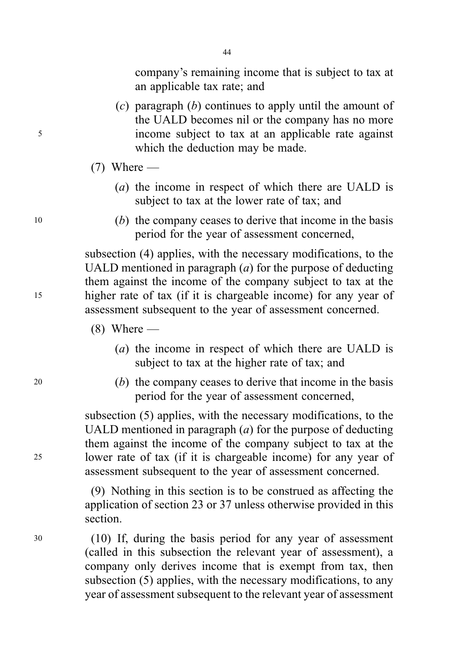company's remaining income that is subject to tax at an applicable tax rate; and

- (c) paragraph  $(b)$  continues to apply until the amount of the UALD becomes nil or the company has no more <sup>5</sup> income subject to tax at an applicable rate against which the deduction may be made.
	- $(7)$  Where
		- (a) the income in respect of which there are UALD is subject to tax at the lower rate of tax; and
- <sup>10</sup> (b) the company ceases to derive that income in the basis period for the year of assessment concerned,

subsection (4) applies, with the necessary modifications, to the UALD mentioned in paragraph  $(a)$  for the purpose of deducting them against the income of the company subject to tax at the <sup>15</sup> higher rate of tax (if it is chargeable income) for any year of assessment subsequent to the year of assessment concerned.

- $(8)$  Where
	- (a) the income in respect of which there are UALD is subject to tax at the higher rate of tax; and
- <sup>20</sup> (b) the company ceases to derive that income in the basis period for the year of assessment concerned,

subsection (5) applies, with the necessary modifications, to the UALD mentioned in paragraph  $(a)$  for the purpose of deducting them against the income of the company subject to tax at the <sup>25</sup> lower rate of tax (if it is chargeable income) for any year of assessment subsequent to the year of assessment concerned.

> (9) Nothing in this section is to be construed as affecting the application of section 23 or 37 unless otherwise provided in this section.

<sup>30</sup> (10) If, during the basis period for any year of assessment (called in this subsection the relevant year of assessment), a company only derives income that is exempt from tax, then subsection (5) applies, with the necessary modifications, to any year of assessment subsequent to the relevant year of assessment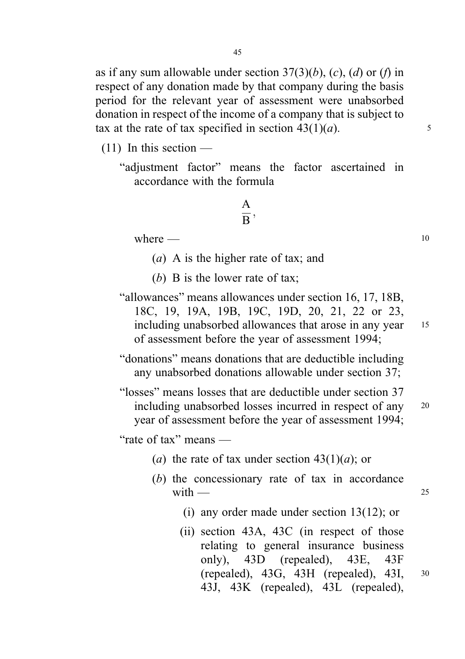as if any sum allowable under section  $37(3)(b)$ , (c), (d) or (f) in respect of any donation made by that company during the basis period for the relevant year of assessment were unabsorbed donation in respect of the income of a company that is subject to tax at the rate of tax specified in section  $43(1)(a)$ . 5

 $(11)$  In this section —

"adjustment factor" means the factor ascertained in accordance with the formula

$$
\frac{\text{A}}{\text{B}},
$$

where  $\qquad$  10

(a) A is the higher rate of tax; and

(b) B is the lower rate of tax;

"allowances" means allowances under section 16, 17, 18B, 18C, 19, 19A, 19B, 19C, 19D, 20, 21, 22 or 23, including unabsorbed allowances that arose in any year 15 of assessment before the year of assessment 1994;

"donations" means donations that are deductible including any unabsorbed donations allowable under section 37;

"losses" means losses that are deductible under section 37 including unabsorbed losses incurred in respect of any <sup>20</sup> year of assessment before the year of assessment 1994;

"rate of tax" means —

- (a) the rate of tax under section  $43(1)(a)$ ; or
- (b) the concessionary rate of tax in accordance with  $\frac{1}{25}$ 
	- (i) any order made under section 13(12); or
	- (ii) section 43A, 43C (in respect of those relating to general insurance business only), 43D (repealed), 43E, 43F (repealed), 43G, 43H (repealed), 43I, <sup>30</sup> 43J, 43K (repealed), 43L (repealed),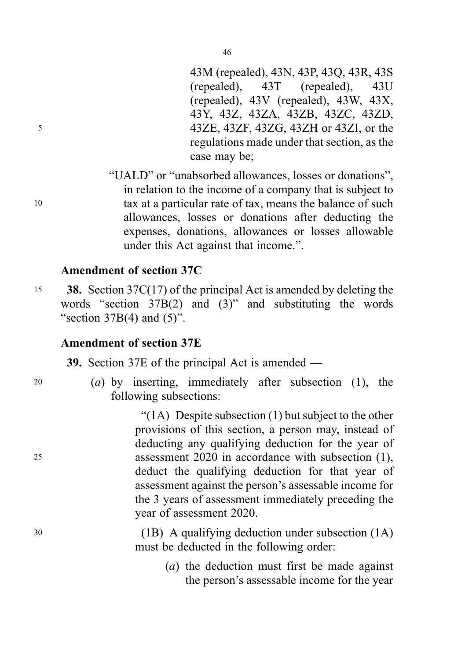43M (repealed), 43N, 43P, 43Q, 43R, 43S (repealed), 43T (repealed), 43U (repealed), 43V (repealed), 43W, 43X, 43Y, 43Z, 43ZA, 43ZB, 43ZC, 43ZD, <sup>5</sup> 43ZE, 43ZF, 43ZG, 43ZH or 43ZI, or the regulations made under that section, as the case may be;

"UALD" or "unabsorbed allowances, losses or donations", in relation to the income of a company that is subject to <sup>10</sup> tax at a particular rate of tax, means the balance of such allowances, losses or donations after deducting the expenses, donations, allowances or losses allowable under this Act against that income.".

## Amendment of section 37C

15 38. Section 37C(17) of the principal Act is amended by deleting the words "section  $37B(2)$  and  $(3)$ " and substituting the words "section  $37B(4)$  and  $(5)$ ".

## Amendment of section 37E

39. Section 37E of the principal Act is amended —

<sup>20</sup> (a) by inserting, immediately after subsection (1), the following subsections:

" $(1)$  Despite subsection  $(1)$  but subject to the other provisions of this section, a person may, instead of deducting any qualifying deduction for the year of <sup>25</sup> assessment 2020 in accordance with subsection (1), deduct the qualifying deduction for that year of assessment against the person's assessable income for the 3 years of assessment immediately preceding the year of assessment 2020.

<sup>30</sup> (1B) A qualifying deduction under subsection (1A) must be deducted in the following order:

> (a) the deduction must first be made against the person's assessable income for the year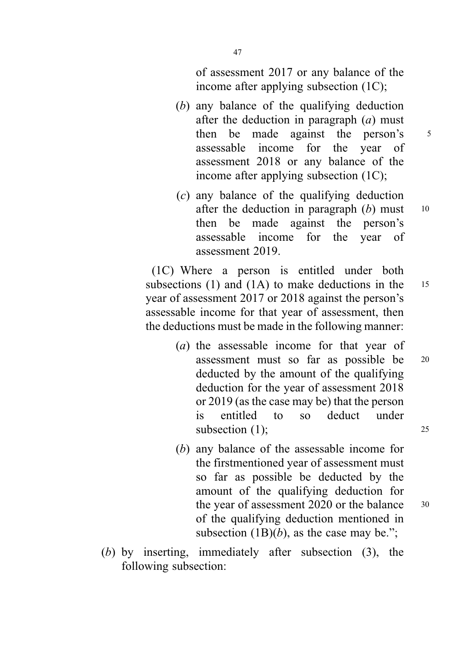of assessment 2017 or any balance of the income after applying subsection (1C);

- (b) any balance of the qualifying deduction after the deduction in paragraph  $(a)$  must then be made against the person's 5 assessable income for the year of assessment 2018 or any balance of the income after applying subsection (1C);
- (c) any balance of the qualifying deduction after the deduction in paragraph  $(b)$  must 10 then be made against the person's assessable income for the year of assessment 2019.

(1C) Where a person is entitled under both subsections (1) and (1A) to make deductions in the  $15$ year of assessment 2017 or 2018 against the person's assessable income for that year of assessment, then the deductions must be made in the following manner:

- (a) the assessable income for that year of assessment must so far as possible be <sup>20</sup> deducted by the amount of the qualifying deduction for the year of assessment 2018 or 2019 (as the case may be) that the person is entitled to so deduct under subsection (1); 25
- (b) any balance of the assessable income for the firstmentioned year of assessment must so far as possible be deducted by the amount of the qualifying deduction for the year of assessment 2020 or the balance 30 of the qualifying deduction mentioned in subsection  $(1B)(b)$ , as the case may be.";
- (b) by inserting, immediately after subsection (3), the following subsection: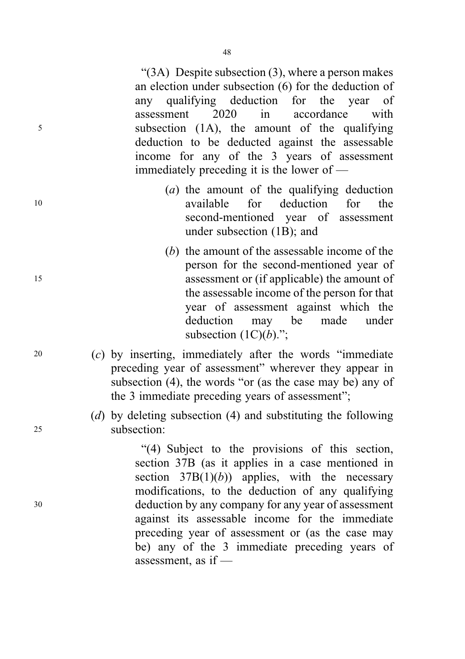" $(3A)$  Despite subsection  $(3)$ , where a person makes an election under subsection (6) for the deduction of any qualifying deduction for the year of assessment 2020 in accordance with <sup>5</sup> subsection (1A), the amount of the qualifying deduction to be deducted against the assessable income for any of the 3 years of assessment immediately preceding it is the lower of —

- (a) the amount of the qualifying deduction <sup>10</sup> available for deduction for the second-mentioned year of assessment under subsection (1B); and
- (b) the amount of the assessable income of the person for the second-mentioned year of <sup>15</sup> assessment or (if applicable) the amount of the assessable income of the person for that year of assessment against which the deduction may be made under subsection  $(1C)(b)$ .";
- <sup>20</sup> (c) by inserting, immediately after the words "immediate preceding year of assessment" wherever they appear in subsection (4), the words "or (as the case may be) any of the 3 immediate preceding years of assessment";
- (d) by deleting subsection (4) and substituting the following <sup>25</sup> subsection:

"(4) Subject to the provisions of this section, section 37B (as it applies in a case mentioned in section  $37B(1)(b)$  applies, with the necessary modifications, to the deduction of any qualifying <sup>30</sup> deduction by any company for any year of assessment against its assessable income for the immediate preceding year of assessment or (as the case may be) any of the 3 immediate preceding years of assessment, as if —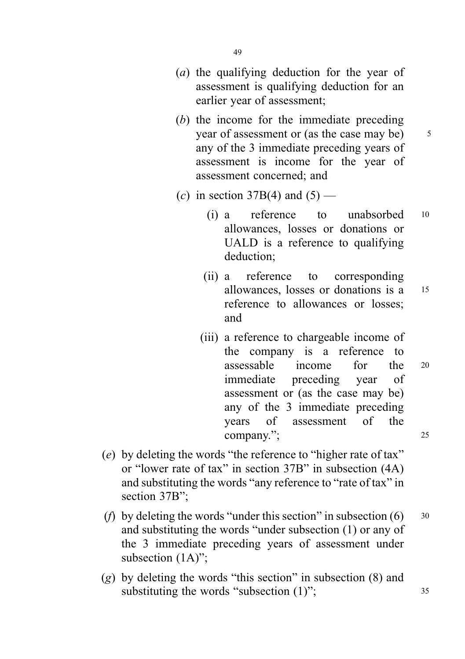- 49
- (a) the qualifying deduction for the year of assessment is qualifying deduction for an earlier year of assessment;
- (b) the income for the immediate preceding year of assessment or (as the case may be)  $\frac{5}{5}$ any of the 3 immediate preceding years of assessment is income for the year of assessment concerned; and
- (c) in section 37B(4) and  $(5)$ 
	- (i) a reference to unabsorbed <sup>10</sup> allowances, losses or donations or UALD is a reference to qualifying deduction;
	- (ii) a reference to corresponding allowances, losses or donations is a <sup>15</sup> reference to allowances or losses; and
	- (iii) a reference to chargeable income of the company is a reference to assessable income for the <sup>20</sup> immediate preceding year of assessment or (as the case may be) any of the 3 immediate preceding years of assessment of the company."; 25
- (e) by deleting the words "the reference to "higher rate of tax" or "lower rate of tax" in section 37B" in subsection (4A) and substituting the words "any reference to "rate of tax" in section 37B":
- (*f*) by deleting the words "under this section" in subsection  $(6)$  30 and substituting the words "under subsection (1) or any of the 3 immediate preceding years of assessment under subsection  $(1A)$ ";
- (g) by deleting the words "this section" in subsection (8) and substituting the words "subsection (1)"; 35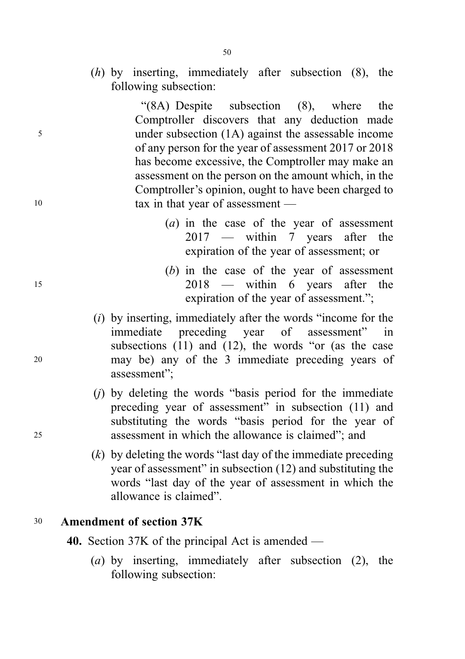(h) by inserting, immediately after subsection (8), the following subsection:

"(8A) Despite subsection (8), where the Comptroller discovers that any deduction made <sup>5</sup> under subsection (1A) against the assessable income of any person for the year of assessment 2017 or 2018 has become excessive, the Comptroller may make an assessment on the person on the amount which, in the Comptroller's opinion, ought to have been charged to 10 tax in that year of assessment —

- (a) in the case of the year of assessment 2017 — within 7 years after the expiration of the year of assessment; or
- (b) in the case of the year of assessment <sup>15</sup> 2018 — within 6 years after the expiration of the year of assessment.";
- $(i)$  by inserting, immediately after the words "income for the immediate preceding year of assessment" in subsections (11) and (12), the words "or (as the case <sup>20</sup> may be) any of the 3 immediate preceding years of assessment";
- $(i)$  by deleting the words "basis period for the immediate preceding year of assessment" in subsection (11) and substituting the words "basis period for the year of <sup>25</sup> assessment in which the allowance is claimed"; and
	- $(k)$  by deleting the words "last day of the immediate preceding year of assessment" in subsection (12) and substituting the words "last day of the year of assessment in which the allowance is claimed".

## <sup>30</sup> Amendment of section 37K

40. Section 37K of the principal Act is amended —

(a) by inserting, immediately after subsection (2), the following subsection: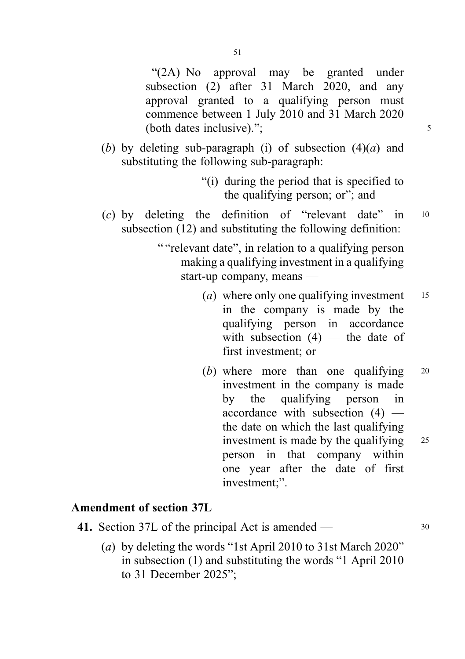"(2A) No approval may be granted under subsection (2) after 31 March 2020, and any approval granted to a qualifying person must commence between 1 July 2010 and 31 March 2020 (both dates inclusive)." $\colon$  5

- (b) by deleting sub-paragraph (i) of subsection  $(4)(a)$  and substituting the following sub-paragraph:
	- "(i) during the period that is specified to the qualifying person; or"; and
- $(c)$  by deleting the definition of "relevant date" in  $10$ subsection (12) and substituting the following definition:
	- " "relevant date", in relation to a qualifying person making a qualifying investment in a qualifying start-up company, means —
		- (a) where only one qualifying investment  $15$ in the company is made by the qualifying person in accordance with subsection  $(4)$  — the date of first investment; or
		- (b) where more than one qualifying 20 investment in the company is made by the qualifying person in accordance with subsection (4) the date on which the last qualifying investment is made by the qualifying 25 person in that company within one year after the date of first investment;".

## Amendment of section 37L

| 41. Section 37L of the principal Act is amended —                                               |  |
|-------------------------------------------------------------------------------------------------|--|
| (a) 1. $1.1.4$ ; $1.1.4$ ; $1.1.4$ ; $1.4.4$ ; $1.4.4$ ; $1.4.1$ , $1.0101$ ; $1.4.1$ , $1.4.1$ |  |

(a) by deleting the words "1st April 2010 to 31st March 2020" in subsection (1) and substituting the words "1 April 2010 to 31 December 2025";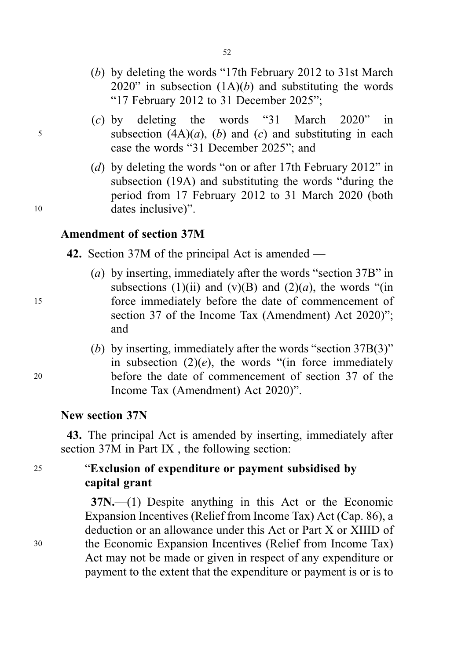- (b) by deleting the words "17th February 2012 to 31st March 2020" in subsection  $(1A)(b)$  and substituting the words "17 February 2012 to 31 December 2025";
- (c) by deleting the words "31 March 2020" in 5 subsection  $(4A)(a)$ ,  $(b)$  and  $(c)$  and substituting in each case the words "31 December 2025"; and
- (d) by deleting the words "on or after 17th February 2012" in subsection (19A) and substituting the words "during the period from 17 February 2012 to 31 March 2020 (both <sup>10</sup> dates inclusive)".

#### Amendment of section 37M

42. Section 37M of the principal Act is amended —

- (a) by inserting, immediately after the words "section 37B" in subsections (1)(ii) and (y)(B) and (2)(a), the words "(in <sup>15</sup> force immediately before the date of commencement of section 37 of the Income Tax (Amendment) Act 2020)"; and
- (b) by inserting, immediately after the words "section 37B(3)" in subsection  $(2)(e)$ , the words "(in force immediately <sup>20</sup> before the date of commencement of section 37 of the Income Tax (Amendment) Act 2020)".

#### New section 37N

43. The principal Act is amended by inserting, immediately after section 37M in Part IX , the following section:

# <sup>25</sup> "Exclusion of expenditure or payment subsidised by capital grant

37N.—(1) Despite anything in this Act or the Economic Expansion Incentives (Relief from Income Tax) Act (Cap. 86), a deduction or an allowance under this Act or Part X or XIIID of <sup>30</sup> the Economic Expansion Incentives (Relief from Income Tax) Act may not be made or given in respect of any expenditure or payment to the extent that the expenditure or payment is or is to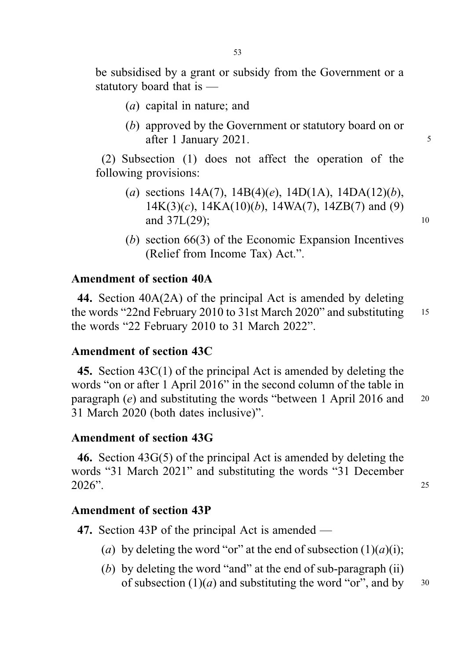be subsidised by a grant or subsidy from the Government or a statutory board that is —

- (a) capital in nature; and
- (b) approved by the Government or statutory board on or after 1 January 2021.

(2) Subsection (1) does not affect the operation of the following provisions:

- (a) sections  $14A(7)$ ,  $14B(4)(e)$ ,  $14D(1A)$ ,  $14DA(12)(b)$ ,  $14K(3)(c)$ ,  $14KA(10)(b)$ ,  $14WA(7)$ ,  $14ZB(7)$  and (9) and 37L(29); 10
- (b) section 66(3) of the Economic Expansion Incentives (Relief from Income Tax) Act.".

#### Amendment of section 40A

44. Section 40A(2A) of the principal Act is amended by deleting the words "22nd February 2010 to 31st March 2020" and substituting 15 the words "22 February 2010 to 31 March 2022".

#### Amendment of section 43C

45. Section 43C(1) of the principal Act is amended by deleting the words "on or after 1 April 2016" in the second column of the table in paragraph  $(e)$  and substituting the words "between 1 April 2016 and 20 31 March 2020 (both dates inclusive)".

## Amendment of section 43G

46. Section 43G(5) of the principal Act is amended by deleting the words "31 March 2021" and substituting the words "31 December 2026". <sup>25</sup>

Amendment of section 43P

47. Section 43P of the principal Act is amended —

- (a) by deleting the word "or" at the end of subsection  $(1)(a)(i)$ ;
- (b) by deleting the word "and" at the end of sub-paragraph (ii) of subsection  $(1)(a)$  and substituting the word "or", and by  $30$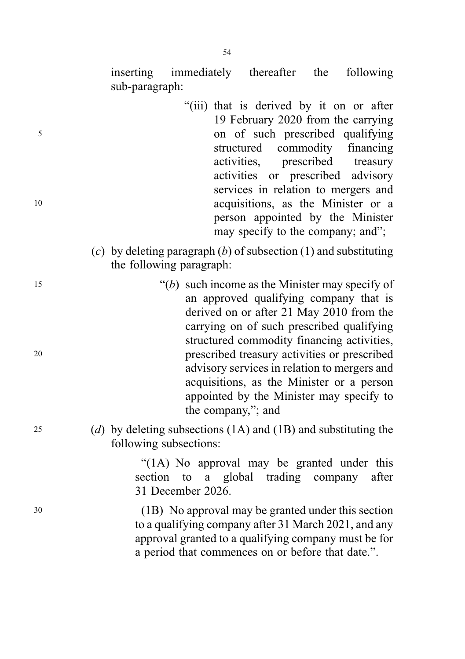inserting immediately thereafter the following sub-paragraph:

- "(iii) that is derived by it on or after 19 February 2020 from the carrying <sup>5</sup> on of such prescribed qualifying structured commodity financing activities, prescribed treasury activities or prescribed advisory services in relation to mergers and <sup>10</sup> acquisitions, as the Minister or a person appointed by the Minister may specify to the company; and";
	- (c) by deleting paragraph  $(b)$  of subsection (1) and substituting the following paragraph:
- $(6)$  such income as the Minister may specify of an approved qualifying company that is derived on or after 21 May 2010 from the carrying on of such prescribed qualifying structured commodity financing activities, <sup>20</sup> prescribed treasury activities or prescribed advisory services in relation to mergers and acquisitions, as the Minister or a person appointed by the Minister may specify to the company,"; and

25 (d) by deleting subsections  $(1A)$  and  $(1B)$  and substituting the following subsections:

> "(1A) No approval may be granted under this section to a global trading company after 31 December 2026.

<sup>30</sup> (1B) No approval may be granted under this section to a qualifying company after 31 March 2021, and any approval granted to a qualifying company must be for a period that commences on or before that date.".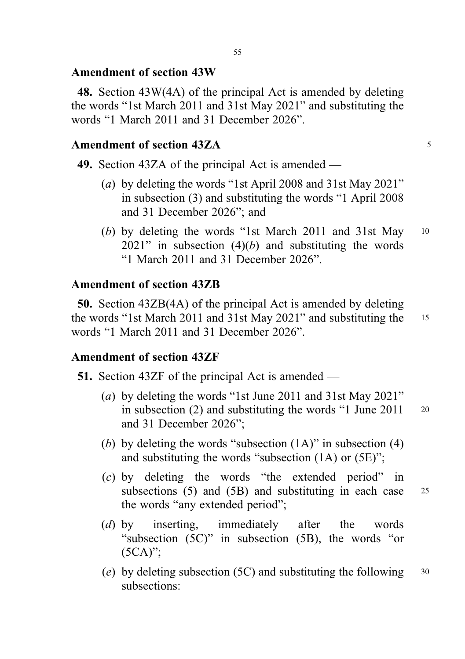## Amendment of section 43W

48. Section 43W(4A) of the principal Act is amended by deleting the words "1st March 2011 and 31st May 2021" and substituting the words "1 March 2011 and 31 December 2026".

## Amendment of section 43ZA 5

49. Section 43ZA of the principal Act is amended —

- (a) by deleting the words "1st April 2008 and 31st May 2021" in subsection (3) and substituting the words "1 April 2008 and 31 December 2026"; and
- (b) by deleting the words "1st March 2011 and 31st May 10  $2021$ " in subsection  $(4)(b)$  and substituting the words "1 March 2011 and 31 December 2026".

## Amendment of section 43ZB

50. Section 43ZB(4A) of the principal Act is amended by deleting the words "1st March 2011 and 31st May 2021" and substituting the <sup>15</sup> words "1 March 2011 and 31 December 2026".

## Amendment of section 43ZF

51. Section 43ZF of the principal Act is amended —

- (a) by deleting the words "1st June 2011 and 31st May 2021" in subsection  $(2)$  and substituting the words "1 June 2011  $\frac{1}{20}$ and 31 December 2026";
- (b) by deleting the words "subsection  $(1A)$ " in subsection  $(4)$ and substituting the words "subsection (1A) or (5E)";
- (c) by deleting the words "the extended period" in subsections (5) and (5B) and substituting in each case 25 the words "any extended period";
- (d) by inserting, immediately after the words "subsection (5C)" in subsection (5B), the words "or (5CA)";
- (e) by deleting subsection (5C) and substituting the following  $30$ subsections: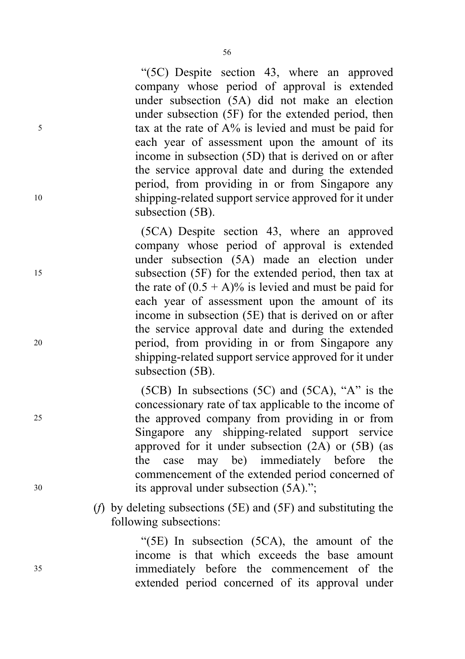"(5C) Despite section 43, where an approved company whose period of approval is extended under subsection (5A) did not make an election under subsection (5F) for the extended period, then <sup>5</sup> tax at the rate of A% is levied and must be paid for each year of assessment upon the amount of its income in subsection (5D) that is derived on or after the service approval date and during the extended period, from providing in or from Singapore any <sup>10</sup> shipping-related support service approved for it under subsection (5B).

(5CA) Despite section 43, where an approved company whose period of approval is extended under subsection (5A) made an election under <sup>15</sup> subsection (5F) for the extended period, then tax at the rate of  $(0.5 + A)\%$  is levied and must be paid for each year of assessment upon the amount of its income in subsection (5E) that is derived on or after the service approval date and during the extended <sup>20</sup> period, from providing in or from Singapore any shipping-related support service approved for it under subsection (5B).

(5CB) In subsections (5C) and (5CA), "A" is the concessionary rate of tax applicable to the income of <sup>25</sup> the approved company from providing in or from Singapore any shipping-related support service approved for it under subsection (2A) or (5B) (as the case may be) immediately before the commencement of the extended period concerned of <sup>30</sup> its approval under subsection (5A).";

> (f) by deleting subsections (5E) and (5F) and substituting the following subsections:

"(5E) In subsection (5CA), the amount of the income is that which exceeds the base amount <sup>35</sup> immediately before the commencement of the extended period concerned of its approval under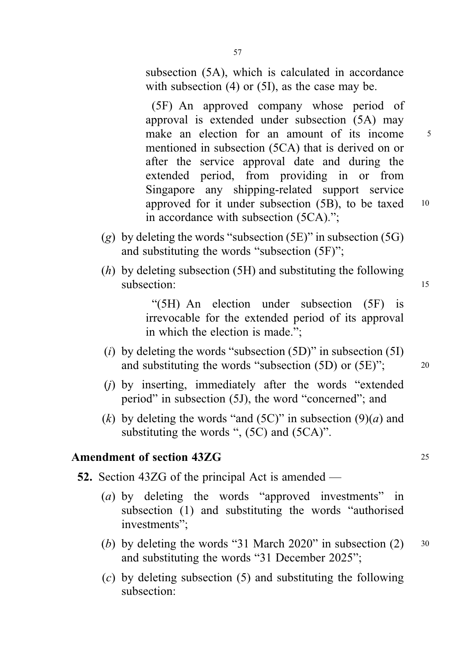subsection (5A), which is calculated in accordance with subsection (4) or (5I), as the case may be.

(5F) An approved company whose period of approval is extended under subsection (5A) may make an election for an amount of its income 5 mentioned in subsection (5CA) that is derived on or after the service approval date and during the extended period, from providing in or from Singapore any shipping-related support service approved for it under subsection  $(5B)$ , to be taxed  $10$ in accordance with subsection (5CA).";

- (g) by deleting the words "subsection  $(5E)$ " in subsection  $(5G)$ and substituting the words "subsection (5F)";
- (h) by deleting subsection (5H) and substituting the following subsection: 15

"(5H) An election under subsection (5F) is irrevocable for the extended period of its approval in which the election is made.";

- (i) by deleting the words "subsection  $(5D)$ " in subsection  $(5I)$ and substituting the words "subsection (5D) or (5E)"; <sup>20</sup>
- (j) by inserting, immediately after the words "extended period" in subsection (5J), the word "concerned"; and
- (k) by deleting the words "and (5C)" in subsection (9)(*a*) and substituting the words ", (5C) and (5CA)".

# Amendment of section 43ZG 25

52. Section 43ZG of the principal Act is amended —

- (a) by deleting the words "approved investments" in subsection (1) and substituting the words "authorised investments";
- (b) by deleting the words "31 March 2020" in subsection  $(2)$  30 and substituting the words "31 December 2025";
- (c) by deleting subsection (5) and substituting the following subsection: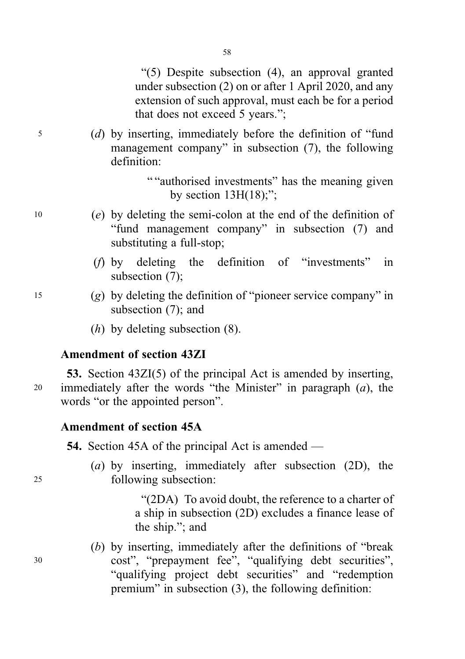"(5) Despite subsection (4), an approval granted under subsection (2) on or after 1 April 2020, and any extension of such approval, must each be for a period that does not exceed 5 years.";

<sup>5</sup> (d) by inserting, immediately before the definition of "fund management company" in subsection (7), the following definition:

> " "authorised investments" has the meaning given by section  $13H(18)$ ;";

- <sup>10</sup> (e) by deleting the semi-colon at the end of the definition of "fund management company" in subsection (7) and substituting a full-stop;
	- (f) by deleting the definition of "investments" in subsection (7);
- <sup>15</sup> (g) by deleting the definition of "pioneer service company" in subsection (7); and
	- $(h)$  by deleting subsection  $(8)$ .

# Amendment of section 43ZI

53. Section 43ZI(5) of the principal Act is amended by inserting, 20 immediately after the words "the Minister" in paragraph  $(a)$ , the words "or the appointed person".

## Amendment of section 45A

- 54. Section 45A of the principal Act is amended —
- (a) by inserting, immediately after subsection (2D), the <sup>25</sup> following subsection:

"(2DA) To avoid doubt, the reference to a charter of a ship in subsection (2D) excludes a finance lease of the ship."; and

(b) by inserting, immediately after the definitions of "break <sup>30</sup> cost", "prepayment fee", "qualifying debt securities", "qualifying project debt securities" and "redemption premium" in subsection (3), the following definition: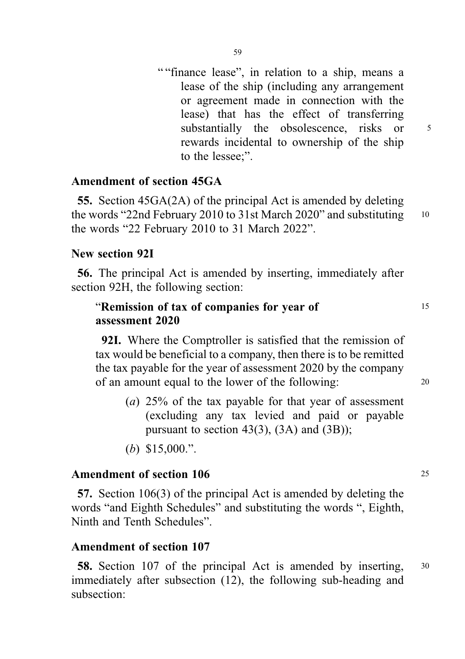" "finance lease", in relation to a ship, means a lease of the ship (including any arrangement or agreement made in connection with the lease) that has the effect of transferring substantially the obsolescence, risks or  $5$ rewards incidental to ownership of the ship to the lessee;".

## Amendment of section 45GA

55. Section 45GA(2A) of the principal Act is amended by deleting the words "22nd February 2010 to 31st March 2020" and substituting 10 the words "22 February 2010 to 31 March 2022".

## New section 92I

56. The principal Act is amended by inserting, immediately after section 92H, the following section:

## "Remission of tax of companies for year of 15 assessment 2020

92I. Where the Comptroller is satisfied that the remission of tax would be beneficial to a company, then there is to be remitted the tax payable for the year of assessment 2020 by the company of an amount equal to the lower of the following: <sup>20</sup>

- (a) 25% of the tax payable for that year of assessment (excluding any tax levied and paid or payable pursuant to section  $43(3)$ ,  $(3A)$  and  $(3B)$ ;
- (b) \$15,000.".

#### Amendment of section 106 25

57. Section 106(3) of the principal Act is amended by deleting the words "and Eighth Schedules" and substituting the words ", Eighth, Ninth and Tenth Schedules".

## Amendment of section 107

58. Section 107 of the principal Act is amended by inserting, <sup>30</sup> immediately after subsection (12), the following sub-heading and subsection: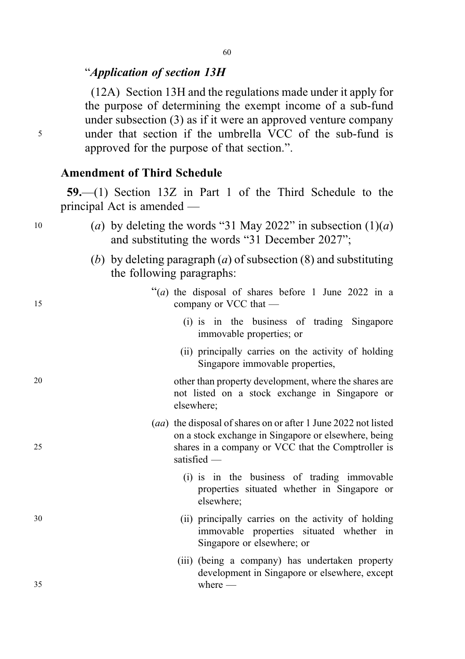#### 60

# "Application of section 13H

(12A) Section 13H and the regulations made under it apply for the purpose of determining the exempt income of a sub-fund under subsection (3) as if it were an approved venture company <sup>5</sup> under that section if the umbrella VCC of the sub-fund is approved for the purpose of that section.".

## Amendment of Third Schedule

59.—(1) Section 13Z in Part 1 of the Third Schedule to the principal Act is amended —

| 10 | (a) by deleting the words "31 May 2022" in subsection $(1)(a)$<br>and substituting the words "31 December 2027";                                                                            |
|----|---------------------------------------------------------------------------------------------------------------------------------------------------------------------------------------------|
|    | (b) by deleting paragraph (a) of subsection $(8)$ and substituting<br>the following paragraphs:                                                                                             |
| 15 | "( <i>a</i> ) the disposal of shares before 1 June 2022 in a<br>company or VCC that —                                                                                                       |
|    | (i) is in the business of trading Singapore<br>immovable properties; or                                                                                                                     |
|    | (ii) principally carries on the activity of holding<br>Singapore immovable properties,                                                                                                      |
| 20 | other than property development, where the shares are<br>not listed on a stock exchange in Singapore or<br>elsewhere;                                                                       |
| 25 | (aa) the disposal of shares on or after 1 June 2022 not listed<br>on a stock exchange in Singapore or elsewhere, being<br>shares in a company or VCC that the Comptroller is<br>satisfied - |
|    | (i) is in the business of trading immovable<br>properties situated whether in Singapore or<br>elsewhere;                                                                                    |
| 30 | (ii) principally carries on the activity of holding<br>immovable properties situated whether in<br>Singapore or elsewhere; or                                                               |
| 35 | (iii) (being a company) has undertaken property<br>development in Singapore or elsewhere, except<br>where $-$                                                                               |
|    |                                                                                                                                                                                             |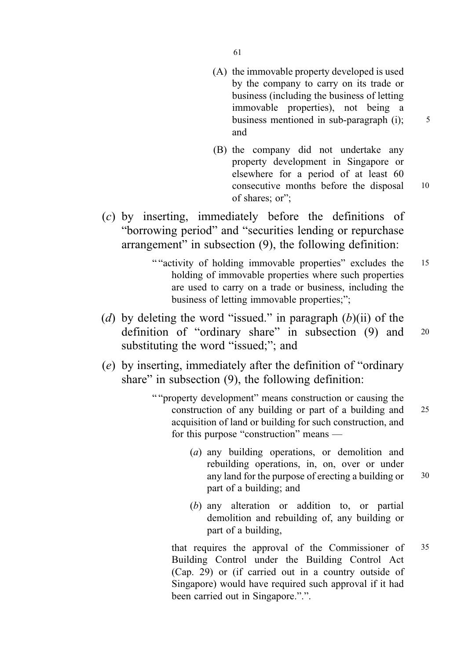61

(A) the immovable property developed is used by the company to carry on its trade or business (including the business of letting immovable properties), not being a business mentioned in sub-paragraph  $(i)$ :  $5$ and

(B) the company did not undertake any property development in Singapore or elsewhere for a period of at least 60 consecutive months before the disposal 10 of shares; or";

(c) by inserting, immediately before the definitions of "borrowing period" and "securities lending or repurchase arrangement" in subsection (9), the following definition:

- " "activity of holding immovable properties" excludes the 15 holding of immovable properties where such properties are used to carry on a trade or business, including the business of letting immovable properties;";
- (d) by deleting the word "issued." in paragraph  $(b)(ii)$  of the definition of "ordinary share" in subsection (9) and 20 substituting the word "issued;"; and
- (e) by inserting, immediately after the definition of "ordinary share" in subsection (9), the following definition:
	- " "property development" means construction or causing the construction of any building or part of a building and 25 acquisition of land or building for such construction, and for this purpose "construction" means —
		- (a) any building operations, or demolition and rebuilding operations, in, on, over or under any land for the purpose of erecting a building or 30 part of a building; and
		- (b) any alteration or addition to, or partial demolition and rebuilding of, any building or part of a building,

that requires the approval of the Commissioner of 35 Building Control under the Building Control Act (Cap. 29) or (if carried out in a country outside of Singapore) would have required such approval if it had been carried out in Singapore.".".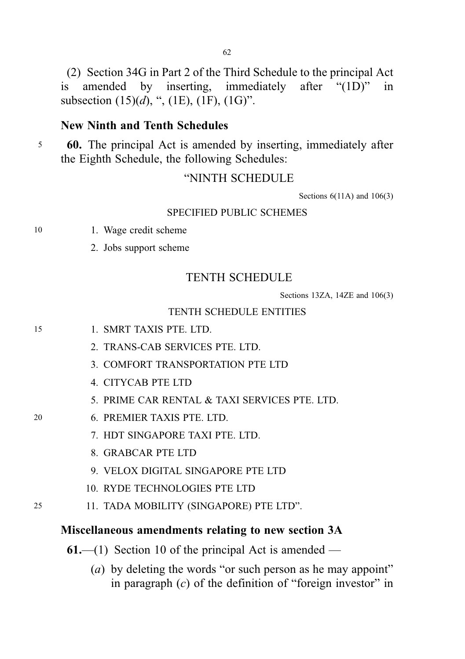(2) Section 34G in Part 2 of the Third Schedule to the principal Act is amended by inserting, immediately after "(1D)" in subsection  $(15)(d)$ , ",  $(1E)$ ,  $(1F)$ ,  $(1G)$ ".

#### New Ninth and Tenth Schedules

<sup>5</sup> 60. The principal Act is amended by inserting, immediately after the Eighth Schedule, the following Schedules:

#### "NINTH SCHEDULE

Sections 6(11A) and 106(3)

#### SPECIFIED PUBLIC SCHEMES

- 10 1. Wage credit scheme
	- 2. Jobs support scheme

## TENTH SCHEDULE

Sections 13ZA, 14ZE and 106(3)

#### TENTH SCHEDULE ENTITIES

- 15 1. SMRT TAXIS PTE. LTD.
	- 2. TRANS-CAB SERVICES PTE. LTD.
	- 3. COMFORT TRANSPORTATION PTE LTD
	- 4. CITYCAB PTE LTD
	- 5. PRIME CAR RENTAL & TAXI SERVICES PTE. LTD.
- 20 6. PREMIER TAXIS PTE. LTD.
	- 7. HDT SINGAPORE TAXI PTE. LTD.
	- 8. GRABCAR PTE LTD
	- 9. VELOX DIGITAL SINGAPORE PTE LTD
	- 10. RYDE TECHNOLOGIES PTE LTD
- 25 11. TADA MOBILITY (SINGAPORE) PTE LTD".

#### Miscellaneous amendments relating to new section 3A

- $61$ —(1) Section 10 of the principal Act is amended
	- (*a*) by deleting the words "or such person as he may appoint" in paragraph  $(c)$  of the definition of "foreign investor" in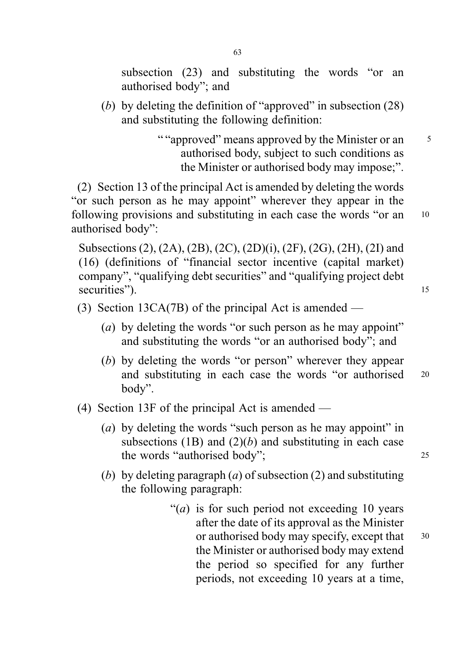subsection (23) and substituting the words "or an authorised body"; and

(b) by deleting the definition of "approved" in subsection (28) and substituting the following definition:

> " "approved" means approved by the Minister or an 5 authorised body, subject to such conditions as the Minister or authorised body may impose;".

(2) Section 13 of the principal Act is amended by deleting the words "or such person as he may appoint" wherever they appear in the following provisions and substituting in each case the words "or an 10 authorised body":

Subsections (2), (2A), (2B), (2C), (2D)(i), (2F), (2G), (2H), (2I) and (16) (definitions of "financial sector incentive (capital market) company", "qualifying debt securities" and "qualifying project debt securities"). 15

- (3) Section 13CA(7B) of the principal Act is amended
	- (a) by deleting the words "or such person as he may appoint" and substituting the words "or an authorised body"; and
	- (b) by deleting the words "or person" wherever they appear and substituting in each case the words "or authorised <sup>20</sup> body".
- (4) Section 13F of the principal Act is amended
	- (*a*) by deleting the words "such person as he may appoint" in subsections (1B) and  $(2)(b)$  and substituting in each case the words "authorised body"; 25
	- (b) by deleting paragraph  $(a)$  of subsection  $(2)$  and substituting the following paragraph:
		- "(*a*) is for such period not exceeding 10 years after the date of its approval as the Minister or authorised body may specify, except that 30 the Minister or authorised body may extend the period so specified for any further periods, not exceeding 10 years at a time,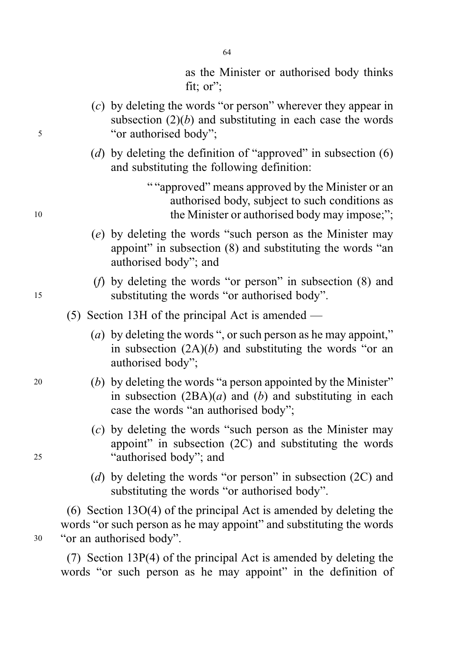as the Minister or authorised body thinks fit; or";

- (c) by deleting the words "or person" wherever they appear in subsection  $(2)(b)$  and substituting in each case the words <sup>5</sup> "or authorised body";
	- (d) by deleting the definition of "approved" in subsection  $(6)$ and substituting the following definition:

" "approved" means approved by the Minister or an authorised body, subject to such conditions as 10 the Minister or authorised body may impose;";

- (e) by deleting the words "such person as the Minister may appoint" in subsection (8) and substituting the words "an authorised body"; and
- (f) by deleting the words "or person" in subsection (8) and <sup>15</sup> substituting the words "or authorised body".

(5) Section 13H of the principal Act is amended —

- (a) by deleting the words ", or such person as he may appoint," in subsection  $(2A)(b)$  and substituting the words "or an authorised body";
- <sup>20</sup> (b) by deleting the words "a person appointed by the Minister" in subsection  $(2BA)(a)$  and (b) and substituting in each case the words "an authorised body";
- (c) by deleting the words "such person as the Minister may appoint" in subsection (2C) and substituting the words <sup>25</sup> "authorised body"; and
	- (d) by deleting the words "or person" in subsection (2C) and substituting the words "or authorised body".

(6) Section 13O(4) of the principal Act is amended by deleting the words "or such person as he may appoint" and substituting the words <sup>30</sup> "or an authorised body".

(7) Section 13P(4) of the principal Act is amended by deleting the words "or such person as he may appoint" in the definition of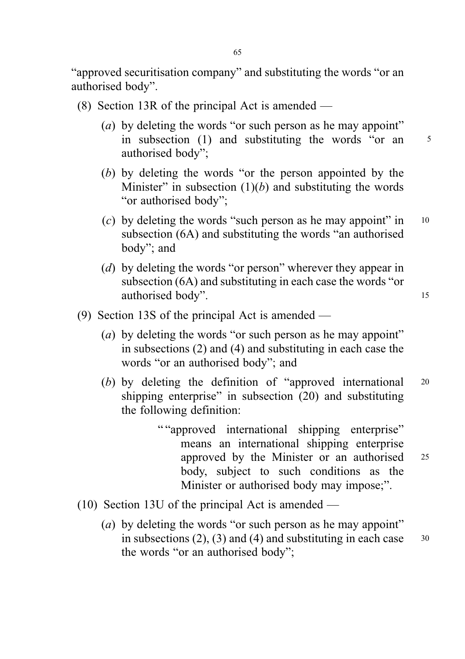"approved securitisation company" and substituting the words "or an authorised body".

- (8) Section 13R of the principal Act is amended
	- (a) by deleting the words "or such person as he may appoint" in subsection (1) and substituting the words "or an <sup>5</sup> authorised body";
	- (b) by deleting the words "or the person appointed by the Minister" in subsection  $(1)(b)$  and substituting the words "or authorised body";
	- (c) by deleting the words "such person as he may appoint" in  $10$ subsection (6A) and substituting the words "an authorised body"; and
	- (d) by deleting the words "or person" wherever they appear in subsection (6A) and substituting in each case the words "or authorised body". 15
- (9) Section 13S of the principal Act is amended
	- (a) by deleting the words "or such person as he may appoint" in subsections (2) and (4) and substituting in each case the words "or an authorised body"; and
	- (b) by deleting the definition of "approved international <sup>20</sup> shipping enterprise" in subsection (20) and substituting the following definition:
		- " "approved international shipping enterprise" means an international shipping enterprise approved by the Minister or an authorised <sup>25</sup> body, subject to such conditions as the Minister or authorised body may impose;".
- (10) Section 13U of the principal Act is amended
	- (a) by deleting the words "or such person as he may appoint" in subsections  $(2)$ ,  $(3)$  and  $(4)$  and substituting in each case  $30$ the words "or an authorised body";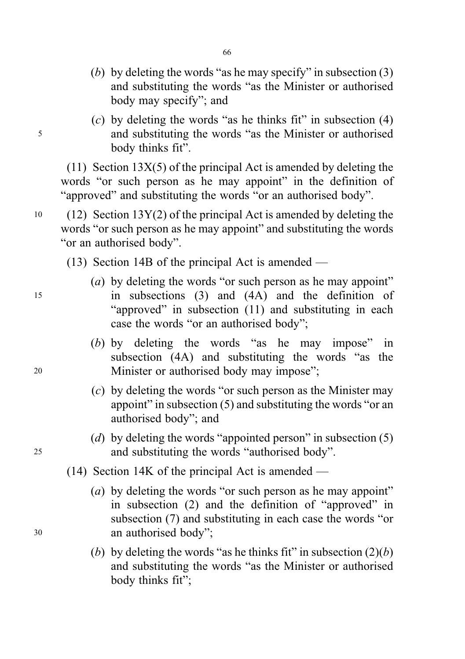- (b) by deleting the words "as he may specify" in subsection  $(3)$ and substituting the words "as the Minister or authorised body may specify"; and
- $(c)$  by deleting the words "as he thinks fit" in subsection  $(4)$ <sup>5</sup> and substituting the words "as the Minister or authorised body thinks fit".

(11) Section  $13X(5)$  of the principal Act is amended by deleting the words "or such person as he may appoint" in the definition of "approved" and substituting the words "or an authorised body".

- $10 \quad (12)$  Section 13Y(2) of the principal Act is amended by deleting the words "or such person as he may appoint" and substituting the words "or an authorised body".
	- (13) Section 14B of the principal Act is amended —
- (*a*) by deleting the words "or such person as he may appoint" <sup>15</sup> in subsections (3) and (4A) and the definition of "approved" in subsection (11) and substituting in each case the words "or an authorised body";
- (b) by deleting the words "as he may impose" in subsection (4A) and substituting the words "as the <sup>20</sup> Minister or authorised body may impose";
	- (c) by deleting the words "or such person as the Minister may appoint" in subsection (5) and substituting the words "or an authorised body"; and
- (d) by deleting the words "appointed person" in subsection  $(5)$ <sup>25</sup> and substituting the words "authorised body".
	- (14) Section 14K of the principal Act is amended —
- (*a*) by deleting the words "or such person as he may appoint" in subsection (2) and the definition of "approved" in subsection (7) and substituting in each case the words "or <sup>30</sup> an authorised body";
	- (b) by deleting the words "as he thinks fit" in subsection  $(2)(b)$ and substituting the words "as the Minister or authorised body thinks fit";

66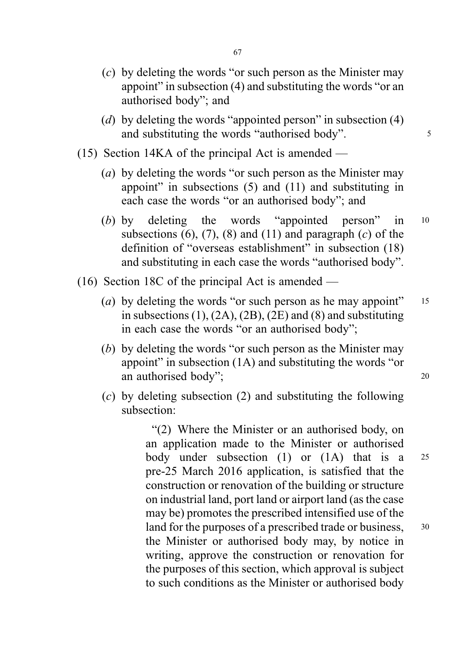- (c) by deleting the words "or such person as the Minister may appoint" in subsection (4) and substituting the words "or an authorised body"; and
- (d) by deleting the words "appointed person" in subsection  $(4)$ and substituting the words "authorised body".
- (15) Section 14KA of the principal Act is amended
	- (a) by deleting the words "or such person as the Minister may appoint" in subsections (5) and (11) and substituting in each case the words "or an authorised body"; and
	- (b) by deleting the words "appointed person" in <sup>10</sup> subsections (6), (7), (8) and (11) and paragraph (c) of the definition of "overseas establishment" in subsection (18) and substituting in each case the words "authorised body".
- (16) Section 18C of the principal Act is amended
	- (a) by deleting the words "or such person as he may appoint"  $15$ in subsections  $(1)$ ,  $(2A)$ ,  $(2B)$ ,  $(2E)$  and  $(8)$  and substituting in each case the words "or an authorised body";
	- (b) by deleting the words "or such person as the Minister may appoint" in subsection (1A) and substituting the words "or an authorised body"; 20
		-
	- (c) by deleting subsection (2) and substituting the following subsection:

"(2) Where the Minister or an authorised body, on an application made to the Minister or authorised body under subsection (1) or (1A) that is a <sup>25</sup> pre-25 March 2016 application, is satisfied that the construction or renovation of the building or structure on industrial land, port land or airport land (as the case may be) promotes the prescribed intensified use of the land for the purposes of a prescribed trade or business,  $30$ the Minister or authorised body may, by notice in writing, approve the construction or renovation for the purposes of this section, which approval is subject to such conditions as the Minister or authorised body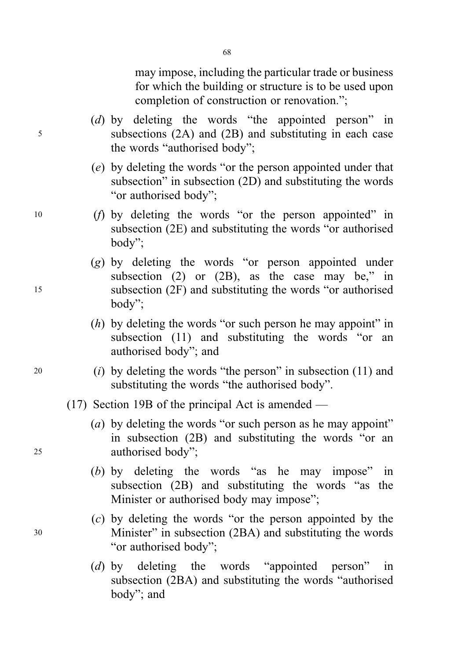may impose, including the particular trade or business for which the building or structure is to be used upon completion of construction or renovation.";

(d) by deleting the words "the appointed person" in <sup>5</sup> subsections (2A) and (2B) and substituting in each case the words "authorised body";

68

- (e) by deleting the words "or the person appointed under that subsection" in subsection (2D) and substituting the words "or authorised body";
- <sup>10</sup> (f) by deleting the words "or the person appointed" in subsection (2E) and substituting the words "or authorised body";
- (g) by deleting the words "or person appointed under subsection (2) or (2B), as the case may be," in <sup>15</sup> subsection (2F) and substituting the words "or authorised body";
	- $(h)$  by deleting the words "or such person he may appoint" in subsection (11) and substituting the words "or an authorised body"; and
- <sup>20</sup> (i) by deleting the words "the person" in subsection (11) and substituting the words "the authorised body".
	- (17) Section 19B of the principal Act is amended —
- (a) by deleting the words "or such person as he may appoint" in subsection (2B) and substituting the words "or an <sup>25</sup> authorised body";
	- (b) by deleting the words "as he may impose" in subsection (2B) and substituting the words "as the Minister or authorised body may impose";
- (c) by deleting the words "or the person appointed by the <sup>30</sup> Minister" in subsection (2BA) and substituting the words "or authorised body";
	- (d) by deleting the words "appointed person" in subsection (2BA) and substituting the words "authorised body"; and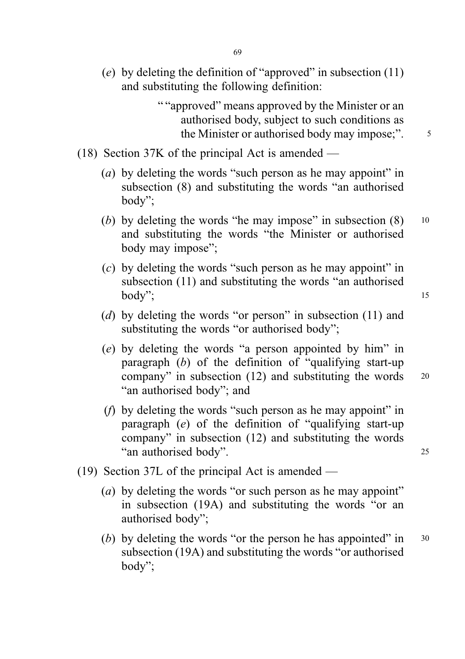(e) by deleting the definition of "approved" in subsection  $(11)$ and substituting the following definition:

> " "approved" means approved by the Minister or an authorised body, subject to such conditions as the Minister or authorised body may impose;".  $\frac{5}{10}$

- (18) Section 37K of the principal Act is amended
	- (a) by deleting the words "such person as he may appoint" in subsection (8) and substituting the words "an authorised body";
	- (b) by deleting the words "he may impose" in subsection  $(8)$  10 and substituting the words "the Minister or authorised body may impose";
	- (c) by deleting the words "such person as he may appoint" in subsection (11) and substituting the words "an authorised  $body$ ";  $15$
	- (d) by deleting the words "or person" in subsection (11) and substituting the words "or authorised body";
	- (e) by deleting the words "a person appointed by him" in paragraph  $(b)$  of the definition of "qualifying start-up" company" in subsection (12) and substituting the words <sup>20</sup> "an authorised body"; and
	- (f) by deleting the words "such person as he may appoint" in paragraph (e) of the definition of "qualifying start-up company" in subsection (12) and substituting the words "an authorised body". <sup>25</sup>
- (19) Section 37L of the principal Act is amended
	- (a) by deleting the words "or such person as he may appoint" in subsection (19A) and substituting the words "or an authorised body";
	- (b) by deleting the words "or the person he has appointed" in  $30$ subsection (19A) and substituting the words "or authorised body";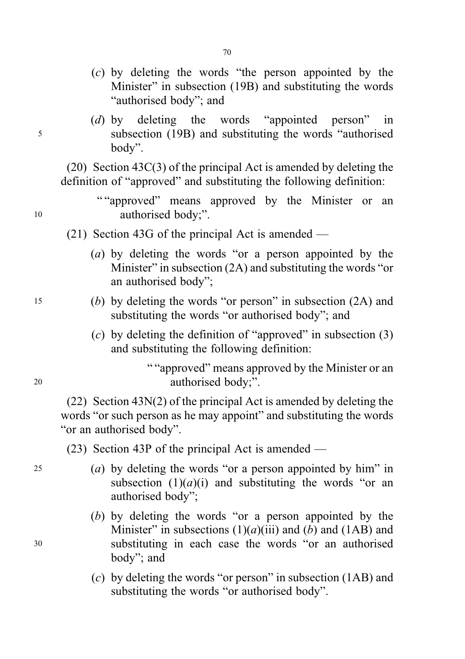- (c) by deleting the words "the person appointed by the Minister" in subsection (19B) and substituting the words "authorised body"; and
- (d) by deleting the words "appointed person" in <sup>5</sup> subsection (19B) and substituting the words "authorised body".

(20) Section 43C(3) of the principal Act is amended by deleting the definition of "approved" and substituting the following definition:

- ""approved" means approved by the Minister or an 10 authorised body;".
	- $(21)$  Section 43G of the principal Act is amended
		- (a) by deleting the words "or a person appointed by the Minister" in subsection (2A) and substituting the words "or an authorised body";
- <sup>15</sup> (b) by deleting the words "or person" in subsection (2A) and substituting the words "or authorised body"; and
	- (c) by deleting the definition of "approved" in subsection  $(3)$ and substituting the following definition:

" "approved" means approved by the Minister or an <sup>20</sup> authorised body;".

(22) Section 43N(2) of the principal Act is amended by deleting the words "or such person as he may appoint" and substituting the words "or an authorised body".

(23) Section 43P of the principal Act is amended —

- 25 (a) by deleting the words "or a person appointed by him" in subsection  $(1)(a)(i)$  and substituting the words "or an authorised body";
- (b) by deleting the words "or a person appointed by the Minister" in subsections  $(1)(a)(iii)$  and  $(b)$  and  $(1AB)$  and <sup>30</sup> substituting in each case the words "or an authorised body"; and
	- (c) by deleting the words "or person" in subsection (1AB) and substituting the words "or authorised body".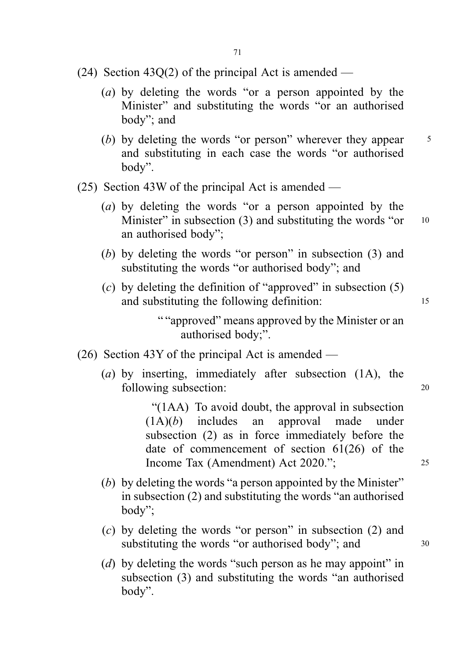- (24) Section 43Q(2) of the principal Act is amended
	- (a) by deleting the words "or a person appointed by the Minister" and substituting the words "or an authorised body"; and
	- (b) by deleting the words "or person" wherever they appear  $5$ and substituting in each case the words "or authorised body".
- (25) Section 43W of the principal Act is amended
	- (a) by deleting the words "or a person appointed by the Minister" in subsection (3) and substituting the words "or  $10$ an authorised body";
	- (b) by deleting the words "or person" in subsection (3) and substituting the words "or authorised body"; and
	- (c) by deleting the definition of "approved" in subsection  $(5)$ and substituting the following definition: 15

""approved" means approved by the Minister or an authorised body;".

- (26) Section 43Y of the principal Act is amended
	- (a) by inserting, immediately after subsection (1A), the following subsection: 20

"(1AA) To avoid doubt, the approval in subsection  $(1A)(b)$  includes an approval made under subsection (2) as in force immediately before the date of commencement of section 61(26) of the Income Tax (Amendment) Act 2020."; <sup>25</sup>

- (b) by deleting the words "a person appointed by the Minister" in subsection (2) and substituting the words "an authorised body";
- (c) by deleting the words "or person" in subsection (2) and substituting the words "or authorised body"; and  $30$
- (d) by deleting the words "such person as he may appoint" in subsection (3) and substituting the words "an authorised body".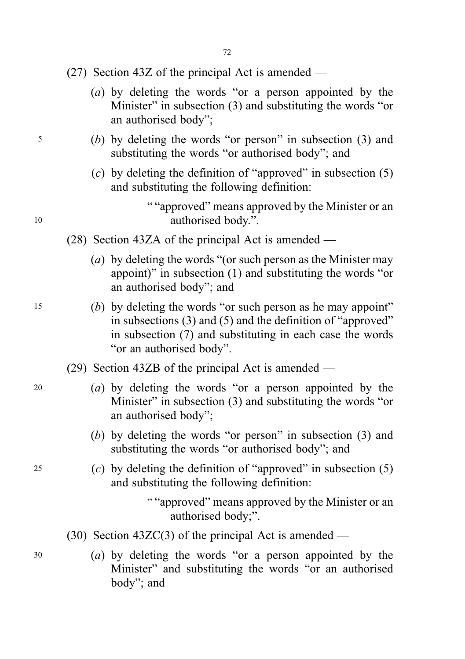- (27) Section 43Z of the principal Act is amended
	- (a) by deleting the words "or a person appointed by the Minister" in subsection (3) and substituting the words "or an authorised body";
- <sup>5</sup> (b) by deleting the words "or person" in subsection (3) and substituting the words "or authorised body"; and
	- (c) by deleting the definition of "approved" in subsection  $(5)$ and substituting the following definition:

" "approved" means approved by the Minister or an 10 authorised body.".

- (28) Section 43ZA of the principal Act is amended
	- (a) by deleting the words "(or such person as the Minister may appoint)" in subsection (1) and substituting the words "or an authorised body"; and
- <sup>15</sup> (b) by deleting the words "or such person as he may appoint" in subsections (3) and (5) and the definition of "approved" in subsection (7) and substituting in each case the words "or an authorised body".
	- (29) Section 43ZB of the principal Act is amended —
- <sup>20</sup> (a) by deleting the words "or a person appointed by the Minister" in subsection (3) and substituting the words "or an authorised body";
	- (b) by deleting the words "or person" in subsection (3) and substituting the words "or authorised body"; and
- 25 (c) by deleting the definition of "approved" in subsection  $(5)$ and substituting the following definition:

" "approved" means approved by the Minister or an authorised body;".

- (30) Section 43ZC(3) of the principal Act is amended —
- <sup>30</sup> (a) by deleting the words "or a person appointed by the Minister" and substituting the words "or an authorised body"; and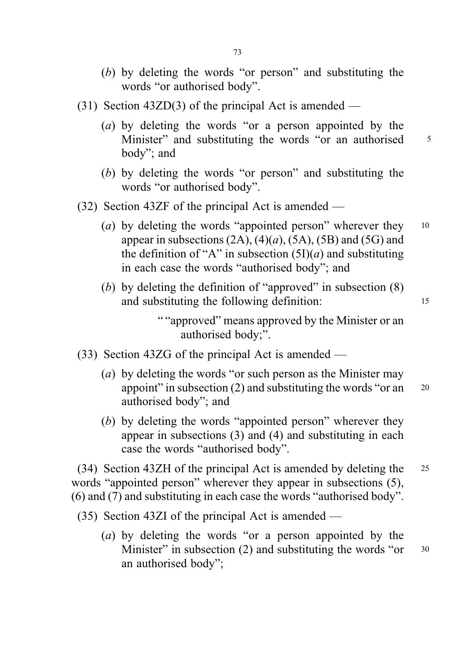- (b) by deleting the words "or person" and substituting the words "or authorised body".
- (31) Section 43ZD(3) of the principal Act is amended
	- (a) by deleting the words "or a person appointed by the Minister" and substituting the words "or an authorised 5 body"; and
	- (b) by deleting the words "or person" and substituting the words "or authorised body".
- (32) Section 43ZF of the principal Act is amended
	- (a) by deleting the words "appointed person" wherever they  $10$ appear in subsections  $(2A)$ ,  $(4)(a)$ ,  $(5A)$ ,  $(5B)$  and  $(5G)$  and the definition of "A" in subsection  $(5I)(a)$  and substituting in each case the words "authorised body"; and
	- (b) by deleting the definition of "approved" in subsection  $(8)$ and substituting the following definition: 15

""approved" means approved by the Minister or an authorised body;".

- (33) Section 43ZG of the principal Act is amended
	- (a) by deleting the words "or such person as the Minister may appoint" in subsection  $(2)$  and substituting the words "or an  $20$ authorised body"; and
	- (b) by deleting the words "appointed person" wherever they appear in subsections (3) and (4) and substituting in each case the words "authorised body".

(34) Section 43ZH of the principal Act is amended by deleting the <sup>25</sup> words "appointed person" wherever they appear in subsections (5), (6) and (7) and substituting in each case the words "authorised body".

(35) Section 43ZI of the principal Act is amended —

(a) by deleting the words "or a person appointed by the Minister" in subsection (2) and substituting the words "or  $30$ an authorised body";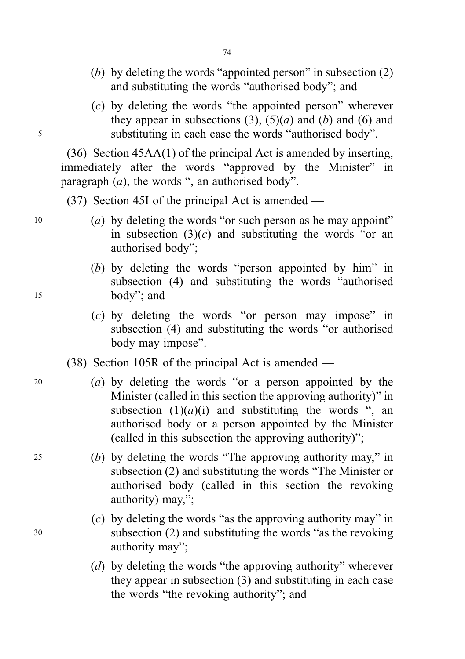- (b) by deleting the words "appointed person" in subsection (2) and substituting the words "authorised body"; and
- (c) by deleting the words "the appointed person" wherever they appear in subsections (3),  $(5)(a)$  and (b) and (6) and <sup>5</sup> substituting in each case the words "authorised body".

(36) Section 45AA(1) of the principal Act is amended by inserting, immediately after the words "approved by the Minister" in paragraph  $(a)$ , the words ", an authorised body".

(37) Section 45I of the principal Act is amended —

- $10$  (a) by deleting the words "or such person as he may appoint" in subsection  $(3)(c)$  and substituting the words "or an authorised body";
- (b) by deleting the words "person appointed by him" in subsection (4) and substituting the words "authorised <sup>15</sup> body"; and
	- (c) by deleting the words "or person may impose" in subsection (4) and substituting the words "or authorised body may impose".
	- (38) Section 105R of the principal Act is amended —
- <sup>20</sup> (a) by deleting the words "or a person appointed by the Minister (called in this section the approving authority)" in subsection  $(1)(a)(i)$  and substituting the words ", an authorised body or a person appointed by the Minister (called in this subsection the approving authority)";
- <sup>25</sup> (b) by deleting the words "The approving authority may," in subsection (2) and substituting the words "The Minister or authorised body (called in this section the revoking authority) may,";
- (c) by deleting the words "as the approving authority may" in <sup>30</sup> subsection (2) and substituting the words "as the revoking authority may";
	- (d) by deleting the words "the approving authority" wherever they appear in subsection (3) and substituting in each case the words "the revoking authority"; and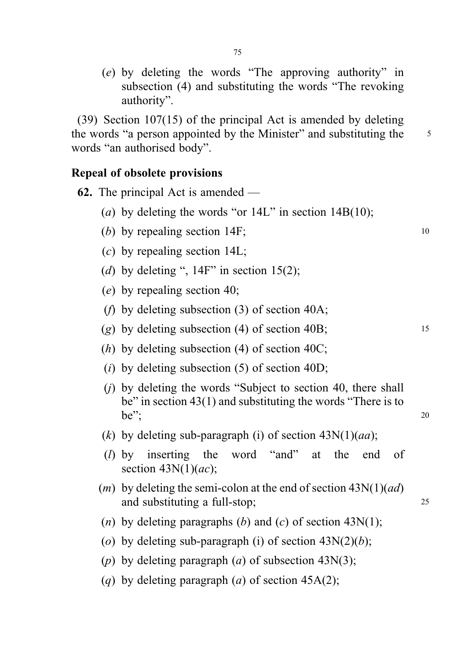(e) by deleting the words "The approving authority" in subsection (4) and substituting the words "The revoking authority".

(39) Section 107(15) of the principal Act is amended by deleting the words "a person appointed by the Minister" and substituting the 5 words "an authorised body".

## Repeal of obsolete provisions

- 62. The principal Act is amended (a) by deleting the words "or  $14L$ " in section  $14B(10)$ ;
	- (b) by repealing section 14F;  $\frac{10}{20}$
	- (c) by repealing section 14L;
	- (d) by deleting ",  $14F$ " in section 15(2);
	- (e) by repealing section 40;
	- (f) by deleting subsection (3) of section 40A;
	- (g) by deleting subsection (4) of section 40B;  $15$
	- (*h*) by deleting subsection (4) of section 40C;
	- (*i*) by deleting subsection  $(5)$  of section  $40D$ ;
	- (j) by deleting the words "Subject to section 40, there shall be" in section 43(1) and substituting the words "There is to be";  $20$
	- (k) by deleting sub-paragraph (i) of section  $43N(1)(aa)$ ;
	- (l) by inserting the word "and" at the end of section  $43N(1)(ac)$ ;
	- (*m*) by deleting the semi-colon at the end of section  $43N(1)(ad)$ and substituting a full-stop; 25
	- (*n*) by deleting paragraphs (*b*) and (*c*) of section 43N(1);
	- (o) by deleting sub-paragraph (i) of section  $43N(2)(b)$ ;
	- (p) by deleting paragraph (a) of subsection 43 $N(3)$ ;
	- (q) by deleting paragraph (a) of section  $45A(2)$ ;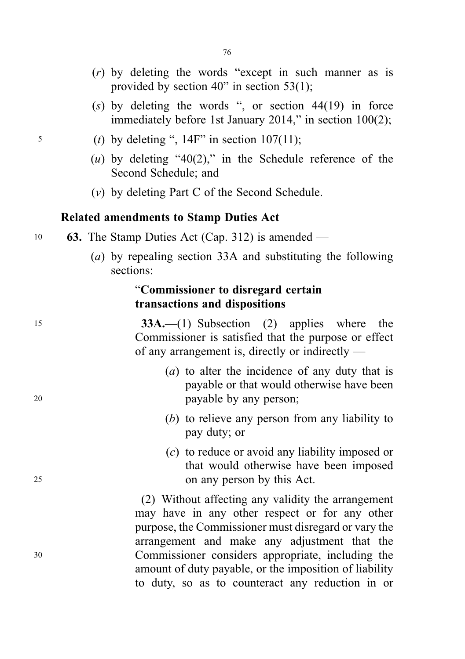- (r) by deleting the words "except in such manner as is provided by section 40" in section 53(1);
- (s) by deleting the words ", or section  $44(19)$  in force immediately before 1st January 2014," in section 100(2);
- $5$  (t) by deleting ", 14F" in section 107(11);
	- (u) by deleting "40(2)," in the Schedule reference of the Second Schedule; and
	- (v) by deleting Part C of the Second Schedule.

# Related amendments to Stamp Duties Act

- 10 63. The Stamp Duties Act (Cap. 312) is amended
	- (a) by repealing section 33A and substituting the following sections:

# "Commissioner to disregard certain transactions and dispositions

<sup>15</sup> 33A.—(1) Subsection (2) applies where the Commissioner is satisfied that the purpose or effect of any arrangement is, directly or indirectly —

- (a) to alter the incidence of any duty that is payable or that would otherwise have been <sup>20</sup> payable by any person;
	- (b) to relieve any person from any liability to pay duty; or
- (c) to reduce or avoid any liability imposed or that would otherwise have been imposed <sup>25</sup> on any person by this Act.

(2) Without affecting any validity the arrangement may have in any other respect or for any other purpose, the Commissioner must disregard or vary the arrangement and make any adjustment that the <sup>30</sup> Commissioner considers appropriate, including the amount of duty payable, or the imposition of liability to duty, so as to counteract any reduction in or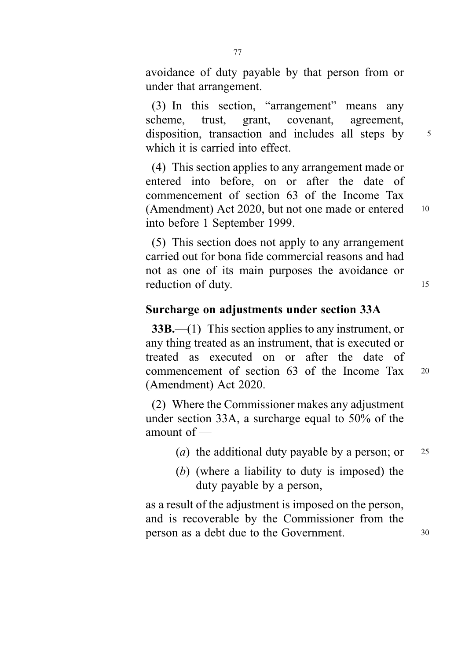avoidance of duty payable by that person from or under that arrangement.

(3) In this section, "arrangement" means any scheme, trust, grant, covenant, agreement, disposition, transaction and includes all steps by 5 which it is carried into effect.

(4) This section applies to any arrangement made or entered into before, on or after the date of commencement of section 63 of the Income Tax (Amendment) Act 2020, but not one made or entered 10 into before 1 September 1999.

(5) This section does not apply to any arrangement carried out for bona fide commercial reasons and had not as one of its main purposes the avoidance or reduction of duty.

## Surcharge on adjustments under section 33A

33B.—(1) This section applies to any instrument, or any thing treated as an instrument, that is executed or treated as executed on or after the date of commencement of section 63 of the Income Tax <sup>20</sup> (Amendment) Act 2020.

(2) Where the Commissioner makes any adjustment under section 33A, a surcharge equal to 50% of the amount of —

- (*a*) the additional duty payable by a person; or  $25$
- (b) (where a liability to duty is imposed) the duty payable by a person,

as a result of the adjustment is imposed on the person, and is recoverable by the Commissioner from the person as a debt due to the Government. <sup>30</sup>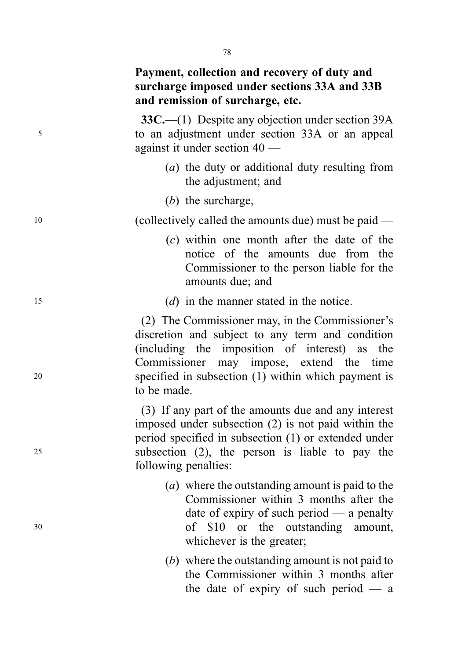# Payment, collection and recovery of duty and surcharge imposed under sections 33A and 33B and remission of surcharge, etc.

33C.—(1) Despite any objection under section 39A <sup>5</sup> to an adjustment under section 33A or an appeal against it under section 40 —

- (a) the duty or additional duty resulting from the adjustment; and
- (b) the surcharge,

<sup>10</sup> (collectively called the amounts due) must be paid —

- (c) within one month after the date of the notice of the amounts due from the Commissioner to the person liable for the amounts due; and
- <sup>15</sup> (d) in the manner stated in the notice.

(2) The Commissioner may, in the Commissioner's discretion and subject to any term and condition (including the imposition of interest) as the Commissioner may impose, extend the time <sup>20</sup> specified in subsection (1) within which payment is to be made.

(3) If any part of the amounts due and any interest imposed under subsection (2) is not paid within the period specified in subsection (1) or extended under <sup>25</sup> subsection (2), the person is liable to pay the following penalties:

- (a) where the outstanding amount is paid to the Commissioner within 3 months after the date of expiry of such period — a penalty <sup>30</sup> of \$10 or the outstanding amount, whichever is the greater;
	- (b) where the outstanding amount is not paid to the Commissioner within 3 months after the date of expiry of such period  $-$  a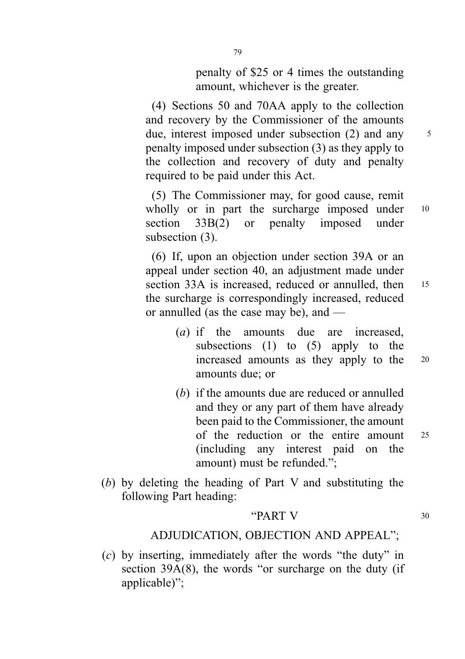penalty of \$25 or 4 times the outstanding amount, whichever is the greater.

(4) Sections 50 and 70AA apply to the collection and recovery by the Commissioner of the amounts due, interest imposed under subsection (2) and any 5 penalty imposed under subsection (3) as they apply to the collection and recovery of duty and penalty required to be paid under this Act.

(5) The Commissioner may, for good cause, remit wholly or in part the surcharge imposed under 10 section 33B(2) or penalty imposed under subsection  $(3)$ .

(6) If, upon an objection under section 39A or an appeal under section 40, an adjustment made under section 33A is increased, reduced or annulled, then 15 the surcharge is correspondingly increased, reduced or annulled (as the case may be), and —

- (a) if the amounts due are increased, subsections  $(1)$  to  $(5)$  apply to the increased amounts as they apply to the <sup>20</sup> amounts due; or
- (b) if the amounts due are reduced or annulled and they or any part of them have already been paid to the Commissioner, the amount of the reduction or the entire amount <sup>25</sup> (including any interest paid on the amount) must be refunded.";
- (b) by deleting the heading of Part V and substituting the following Part heading:

### " $PART V$  30

# ADJUDICATION, OBJECTION AND APPEAL";

(c) by inserting, immediately after the words "the duty" in section 39A(8), the words "or surcharge on the duty (if applicable)";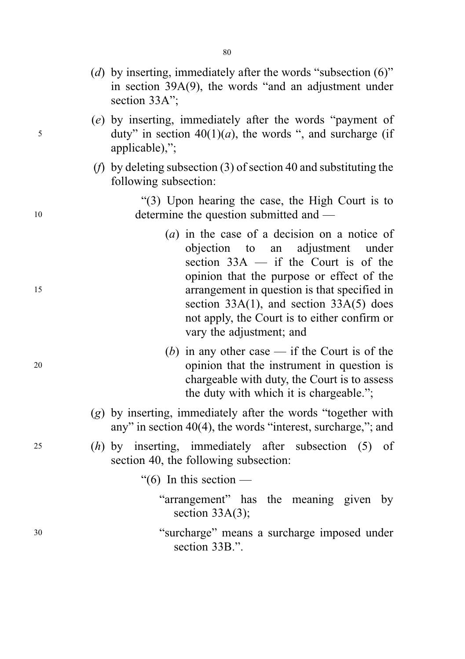- (d) by inserting, immediately after the words "subsection  $(6)$ " in section 39A(9), the words "and an adjustment under section 33A":
- (e) by inserting, immediately after the words "payment of  $5$  duty" in section 40(1)(*a*), the words ", and surcharge (if applicable),";
	- (f) by deleting subsection (3) of section 40 and substituting the following subsection:

"(3) Upon hearing the case, the High Court is to 10 determine the question submitted and —

- (a) in the case of a decision on a notice of objection to an adjustment under section  $33A - if$  the Court is of the opinion that the purpose or effect of the <sup>15</sup> arrangement in question is that specified in section 33A(1), and section 33A(5) does not apply, the Court is to either confirm or vary the adjustment; and
- (b) in any other case  $-$  if the Court is of the <sup>20</sup> opinion that the instrument in question is chargeable with duty, the Court is to assess the duty with which it is chargeable.";
	- (g) by inserting, immediately after the words "together with any" in section 40(4), the words "interest, surcharge,"; and
- <sup>25</sup> (h) by inserting, immediately after subsection (5) of section 40, the following subsection:
	- "(6) In this section  $-$ 
		- "arrangement" has the meaning given by section 33A(3):
- <sup>30</sup> "surcharge" means a surcharge imposed under section 33B.".

80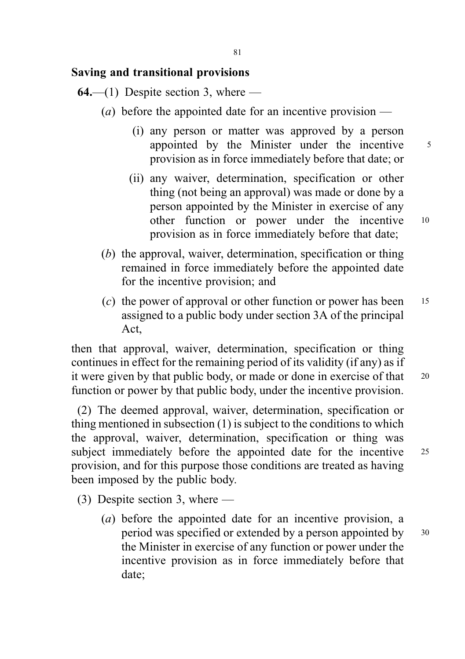### Saving and transitional provisions

 $64$ —(1) Despite section 3, where —

- (*a*) before the appointed date for an incentive provision
	- (i) any person or matter was approved by a person appointed by the Minister under the incentive 5 provision as in force immediately before that date; or
	- (ii) any waiver, determination, specification or other thing (not being an approval) was made or done by a person appointed by the Minister in exercise of any other function or power under the incentive <sup>10</sup> provision as in force immediately before that date;
- (b) the approval, waiver, determination, specification or thing remained in force immediately before the appointed date for the incentive provision; and
- (c) the power of approval or other function or power has been  $15$ assigned to a public body under section 3A of the principal Act,

then that approval, waiver, determination, specification or thing continues in effect for the remaining period of its validity (if any) as if it were given by that public body, or made or done in exercise of that 20 function or power by that public body, under the incentive provision.

(2) The deemed approval, waiver, determination, specification or thing mentioned in subsection (1) is subject to the conditions to which the approval, waiver, determination, specification or thing was subject immediately before the appointed date for the incentive 25 provision, and for this purpose those conditions are treated as having been imposed by the public body.

- (3) Despite section 3, where
	- (a) before the appointed date for an incentive provision, a period was specified or extended by a person appointed by <sup>30</sup> the Minister in exercise of any function or power under the incentive provision as in force immediately before that date;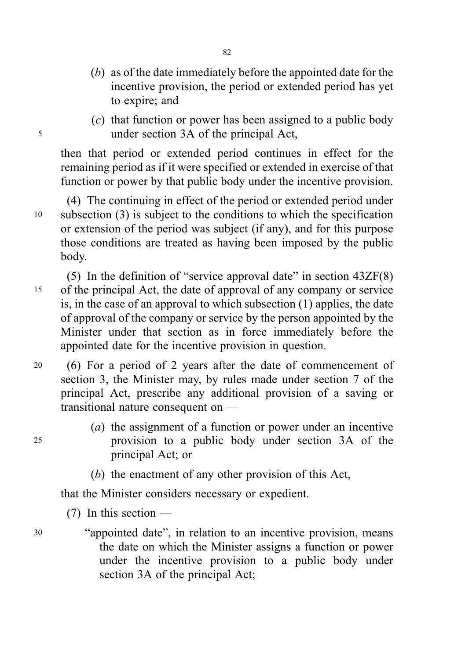- (b) as of the date immediately before the appointed date for the incentive provision, the period or extended period has yet to expire; and
- (c) that function or power has been assigned to a public body <sup>5</sup> under section 3A of the principal Act,

then that period or extended period continues in effect for the remaining period as if it were specified or extended in exercise of that function or power by that public body under the incentive provision.

(4) The continuing in effect of the period or extended period under <sup>10</sup> subsection (3) is subject to the conditions to which the specification or extension of the period was subject (if any), and for this purpose those conditions are treated as having been imposed by the public body.

(5) In the definition of "service approval date" in section 43ZF(8) <sup>15</sup> of the principal Act, the date of approval of any company or service is, in the case of an approval to which subsection (1) applies, the date of approval of the company or service by the person appointed by the Minister under that section as in force immediately before the appointed date for the incentive provision in question.

- <sup>20</sup> (6) For a period of 2 years after the date of commencement of section 3, the Minister may, by rules made under section 7 of the principal Act, prescribe any additional provision of a saving or transitional nature consequent on —
- (a) the assignment of a function or power under an incentive <sup>25</sup> provision to a public body under section 3A of the principal Act; or
	- (b) the enactment of any other provision of this Act,

that the Minister considers necessary or expedient.

 $(7)$  In this section —

<sup>30</sup> "appointed date", in relation to an incentive provision, means the date on which the Minister assigns a function or power under the incentive provision to a public body under section 3A of the principal Act;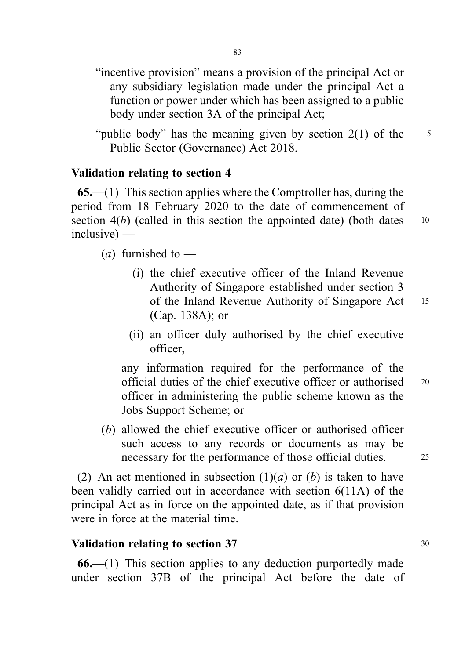- "incentive provision" means a provision of the principal Act or any subsidiary legislation made under the principal Act a function or power under which has been assigned to a public body under section 3A of the principal Act;
- "public body" has the meaning given by section  $2(1)$  of the  $5$ Public Sector (Governance) Act 2018.

## Validation relating to section 4

 $65$ — $(1)$  This section applies where the Comptroller has, during the period from 18 February 2020 to the date of commencement of section  $4(b)$  (called in this section the appointed date) (both dates  $10$ inclusive) —

(*a*) furnished to  $-$ 

- (i) the chief executive officer of the Inland Revenue Authority of Singapore established under section 3 of the Inland Revenue Authority of Singapore Act <sup>15</sup> (Cap. 138A); or
- (ii) an officer duly authorised by the chief executive officer,

any information required for the performance of the official duties of the chief executive officer or authorised <sup>20</sup> officer in administering the public scheme known as the Jobs Support Scheme; or

(b) allowed the chief executive officer or authorised officer such access to any records or documents as may be necessary for the performance of those official duties. 25

(2) An act mentioned in subsection  $(1)(a)$  or  $(b)$  is taken to have been validly carried out in accordance with section 6(11A) of the principal Act as in force on the appointed date, as if that provision were in force at the material time.

#### Validation relating to section 37 30

66.—(1) This section applies to any deduction purportedly made under section 37B of the principal Act before the date of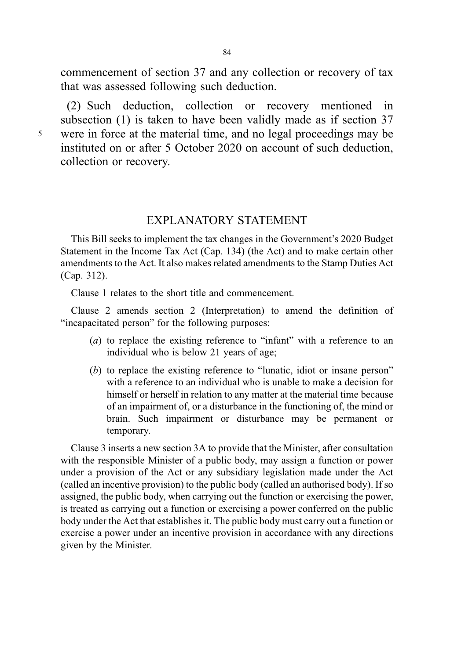commencement of section 37 and any collection or recovery of tax that was assessed following such deduction.

(2) Such deduction, collection or recovery mentioned in subsection (1) is taken to have been validly made as if section 37 <sup>5</sup> were in force at the material time, and no legal proceedings may be instituted on or after 5 October 2020 on account of such deduction, collection or recovery.

### EXPLANATORY STATEMENT

This Bill seeks to implement the tax changes in the Government's 2020 Budget Statement in the Income Tax Act (Cap. 134) (the Act) and to make certain other amendments to the Act. It also makes related amendments to the Stamp Duties Act (Cap. 312).

Clause 1 relates to the short title and commencement.

Clause 2 amends section 2 (Interpretation) to amend the definition of "incapacitated person" for the following purposes:

- (a) to replace the existing reference to "infant" with a reference to an individual who is below 21 years of age;
- (b) to replace the existing reference to "lunatic, idiot or insane person" with a reference to an individual who is unable to make a decision for himself or herself in relation to any matter at the material time because of an impairment of, or a disturbance in the functioning of, the mind or brain. Such impairment or disturbance may be permanent or temporary.

Clause 3 inserts a new section 3A to provide that the Minister, after consultation with the responsible Minister of a public body, may assign a function or power under a provision of the Act or any subsidiary legislation made under the Act (called an incentive provision) to the public body (called an authorised body). If so assigned, the public body, when carrying out the function or exercising the power, is treated as carrying out a function or exercising a power conferred on the public body under the Act that establishes it. The public body must carry out a function or exercise a power under an incentive provision in accordance with any directions given by the Minister.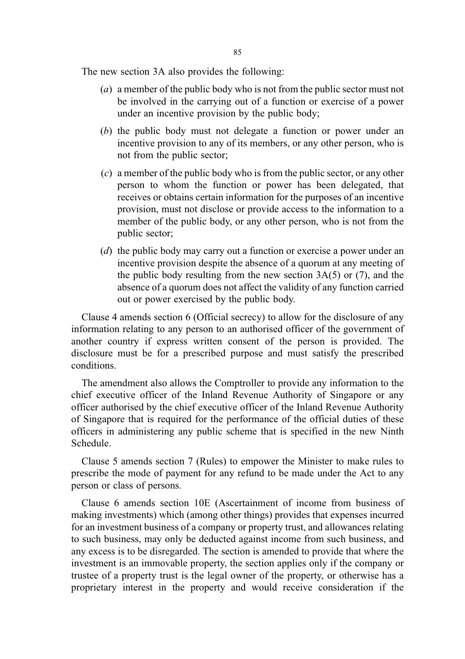The new section 3A also provides the following:

- (a) a member of the public body who is not from the public sector must not be involved in the carrying out of a function or exercise of a power under an incentive provision by the public body;
- (b) the public body must not delegate a function or power under an incentive provision to any of its members, or any other person, who is not from the public sector;
- (c) a member of the public body who is from the public sector, or any other person to whom the function or power has been delegated, that receives or obtains certain information for the purposes of an incentive provision, must not disclose or provide access to the information to a member of the public body, or any other person, who is not from the public sector;
- (d) the public body may carry out a function or exercise a power under an incentive provision despite the absence of a quorum at any meeting of the public body resulting from the new section 3A(5) or (7), and the absence of a quorum does not affect the validity of any function carried out or power exercised by the public body.

Clause 4 amends section 6 (Official secrecy) to allow for the disclosure of any information relating to any person to an authorised officer of the government of another country if express written consent of the person is provided. The disclosure must be for a prescribed purpose and must satisfy the prescribed conditions.

The amendment also allows the Comptroller to provide any information to the chief executive officer of the Inland Revenue Authority of Singapore or any officer authorised by the chief executive officer of the Inland Revenue Authority of Singapore that is required for the performance of the official duties of these officers in administering any public scheme that is specified in the new Ninth Schedule.

Clause 5 amends section 7 (Rules) to empower the Minister to make rules to prescribe the mode of payment for any refund to be made under the Act to any person or class of persons.

Clause 6 amends section 10E (Ascertainment of income from business of making investments) which (among other things) provides that expenses incurred for an investment business of a company or property trust, and allowances relating to such business, may only be deducted against income from such business, and any excess is to be disregarded. The section is amended to provide that where the investment is an immovable property, the section applies only if the company or trustee of a property trust is the legal owner of the property, or otherwise has a proprietary interest in the property and would receive consideration if the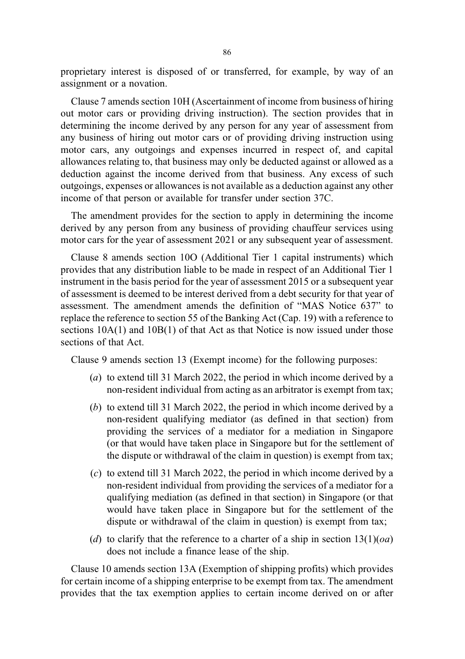proprietary interest is disposed of or transferred, for example, by way of an assignment or a novation.

Clause 7 amends section 10H (Ascertainment of income from business of hiring out motor cars or providing driving instruction). The section provides that in determining the income derived by any person for any year of assessment from any business of hiring out motor cars or of providing driving instruction using motor cars, any outgoings and expenses incurred in respect of, and capital allowances relating to, that business may only be deducted against or allowed as a deduction against the income derived from that business. Any excess of such outgoings, expenses or allowances is not available as a deduction against any other income of that person or available for transfer under section 37C.

The amendment provides for the section to apply in determining the income derived by any person from any business of providing chauffeur services using motor cars for the year of assessment 2021 or any subsequent year of assessment.

Clause 8 amends section 10O (Additional Tier 1 capital instruments) which provides that any distribution liable to be made in respect of an Additional Tier 1 instrument in the basis period for the year of assessment 2015 or a subsequent year of assessment is deemed to be interest derived from a debt security for that year of assessment. The amendment amends the definition of "MAS Notice 637" to replace the reference to section 55 of the Banking Act (Cap. 19) with a reference to sections  $10A(1)$  and  $10B(1)$  of that Act as that Notice is now issued under those sections of that Act.

Clause 9 amends section 13 (Exempt income) for the following purposes:

- (a) to extend till 31 March 2022, the period in which income derived by a non-resident individual from acting as an arbitrator is exempt from tax;
- (b) to extend till 31 March 2022, the period in which income derived by a non-resident qualifying mediator (as defined in that section) from providing the services of a mediator for a mediation in Singapore (or that would have taken place in Singapore but for the settlement of the dispute or withdrawal of the claim in question) is exempt from tax;
- (c) to extend till 31 March 2022, the period in which income derived by a non-resident individual from providing the services of a mediator for a qualifying mediation (as defined in that section) in Singapore (or that would have taken place in Singapore but for the settlement of the dispute or withdrawal of the claim in question) is exempt from tax;
- (d) to clarify that the reference to a charter of a ship in section  $13(1)(oa)$ does not include a finance lease of the ship.

Clause 10 amends section 13A (Exemption of shipping profits) which provides for certain income of a shipping enterprise to be exempt from tax. The amendment provides that the tax exemption applies to certain income derived on or after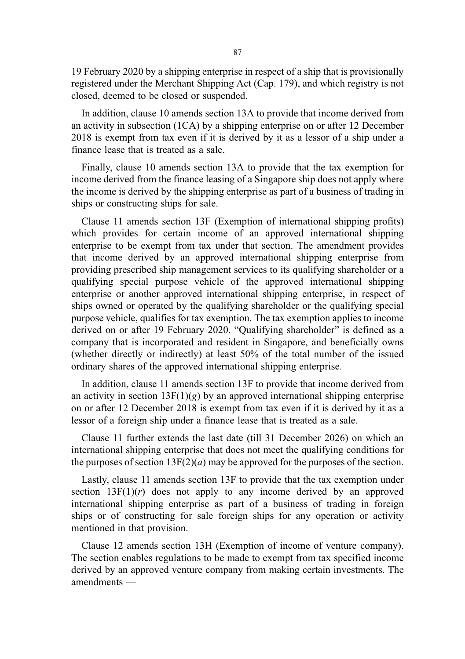19 February 2020 by a shipping enterprise in respect of a ship that is provisionally registered under the Merchant Shipping Act (Cap. 179), and which registry is not closed, deemed to be closed or suspended.

In addition, clause 10 amends section 13A to provide that income derived from an activity in subsection (1CA) by a shipping enterprise on or after 12 December 2018 is exempt from tax even if it is derived by it as a lessor of a ship under a finance lease that is treated as a sale.

Finally, clause 10 amends section 13A to provide that the tax exemption for income derived from the finance leasing of a Singapore ship does not apply where the income is derived by the shipping enterprise as part of a business of trading in ships or constructing ships for sale.

Clause 11 amends section 13F (Exemption of international shipping profits) which provides for certain income of an approved international shipping enterprise to be exempt from tax under that section. The amendment provides that income derived by an approved international shipping enterprise from providing prescribed ship management services to its qualifying shareholder or a qualifying special purpose vehicle of the approved international shipping enterprise or another approved international shipping enterprise, in respect of ships owned or operated by the qualifying shareholder or the qualifying special purpose vehicle, qualifies for tax exemption. The tax exemption applies to income derived on or after 19 February 2020. "Qualifying shareholder" is defined as a company that is incorporated and resident in Singapore, and beneficially owns (whether directly or indirectly) at least 50% of the total number of the issued ordinary shares of the approved international shipping enterprise.

In addition, clause 11 amends section 13F to provide that income derived from an activity in section  $13F(1)(g)$  by an approved international shipping enterprise on or after 12 December 2018 is exempt from tax even if it is derived by it as a lessor of a foreign ship under a finance lease that is treated as a sale.

Clause 11 further extends the last date (till 31 December 2026) on which an international shipping enterprise that does not meet the qualifying conditions for the purposes of section  $13F(2)(a)$  may be approved for the purposes of the section.

Lastly, clause 11 amends section 13F to provide that the tax exemption under section  $13F(1)(r)$  does not apply to any income derived by an approved international shipping enterprise as part of a business of trading in foreign ships or of constructing for sale foreign ships for any operation or activity mentioned in that provision.

Clause 12 amends section 13H (Exemption of income of venture company). The section enables regulations to be made to exempt from tax specified income derived by an approved venture company from making certain investments. The amendments —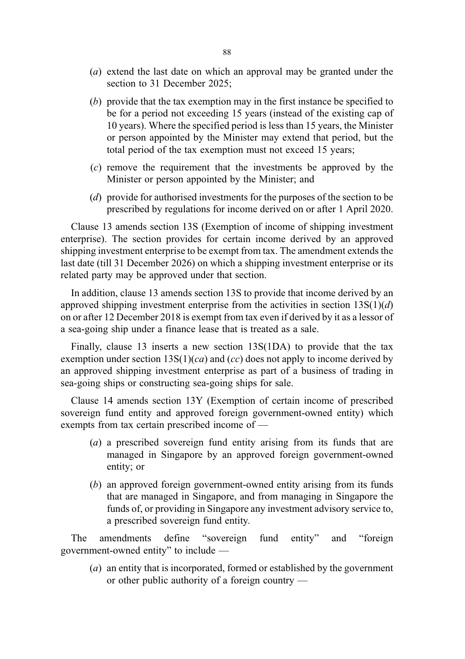- (a) extend the last date on which an approval may be granted under the section to 31 December 2025;
- (b) provide that the tax exemption may in the first instance be specified to be for a period not exceeding 15 years (instead of the existing cap of 10 years). Where the specified period is less than 15 years, the Minister or person appointed by the Minister may extend that period, but the total period of the tax exemption must not exceed 15 years;
- (c) remove the requirement that the investments be approved by the Minister or person appointed by the Minister; and
- (d) provide for authorised investments for the purposes of the section to be prescribed by regulations for income derived on or after 1 April 2020.

Clause 13 amends section 13S (Exemption of income of shipping investment enterprise). The section provides for certain income derived by an approved shipping investment enterprise to be exempt from tax. The amendment extends the last date (till 31 December 2026) on which a shipping investment enterprise or its related party may be approved under that section.

In addition, clause 13 amends section 13S to provide that income derived by an approved shipping investment enterprise from the activities in section  $13S(1)(d)$ on or after 12 December 2018 is exempt from tax even if derived by it as a lessor of a sea-going ship under a finance lease that is treated as a sale.

Finally, clause 13 inserts a new section 13S(1DA) to provide that the tax exemption under section  $13S(1)(ca)$  and  $(cc)$  does not apply to income derived by an approved shipping investment enterprise as part of a business of trading in sea-going ships or constructing sea-going ships for sale.

Clause 14 amends section 13Y (Exemption of certain income of prescribed sovereign fund entity and approved foreign government-owned entity) which exempts from tax certain prescribed income of —

- (a) a prescribed sovereign fund entity arising from its funds that are managed in Singapore by an approved foreign government-owned entity; or
- (b) an approved foreign government-owned entity arising from its funds that are managed in Singapore, and from managing in Singapore the funds of, or providing in Singapore any investment advisory service to, a prescribed sovereign fund entity.

The amendments define "sovereign fund entity" and "foreign government-owned entity" to include —

(a) an entity that is incorporated, formed or established by the government or other public authority of a foreign country —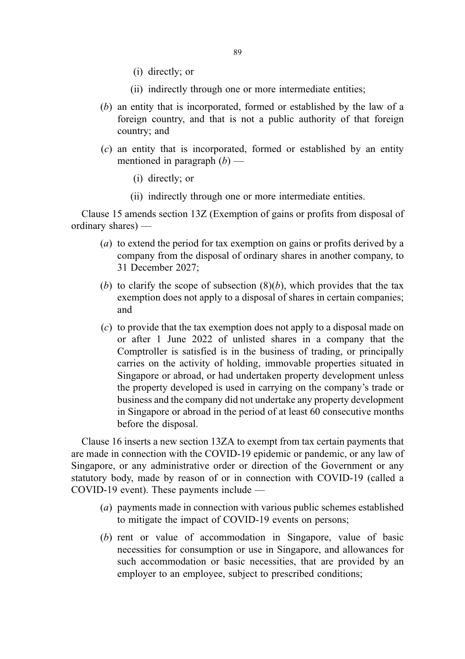- (i) directly; or
- (ii) indirectly through one or more intermediate entities;
- (b) an entity that is incorporated, formed or established by the law of a foreign country, and that is not a public authority of that foreign country; and
- (c) an entity that is incorporated, formed or established by an entity mentioned in paragraph  $(b)$  —
	- (i) directly; or
	- (ii) indirectly through one or more intermediate entities.

Clause 15 amends section 13Z (Exemption of gains or profits from disposal of ordinary shares) —

- (a) to extend the period for tax exemption on gains or profits derived by a company from the disposal of ordinary shares in another company, to 31 December 2027;
- (b) to clarify the scope of subsection  $(8)(b)$ , which provides that the tax exemption does not apply to a disposal of shares in certain companies; and
- (c) to provide that the tax exemption does not apply to a disposal made on or after 1 June 2022 of unlisted shares in a company that the Comptroller is satisfied is in the business of trading, or principally carries on the activity of holding, immovable properties situated in Singapore or abroad, or had undertaken property development unless the property developed is used in carrying on the company's trade or business and the company did not undertake any property development in Singapore or abroad in the period of at least 60 consecutive months before the disposal.

Clause 16 inserts a new section 13ZA to exempt from tax certain payments that are made in connection with the COVID-19 epidemic or pandemic, or any law of Singapore, or any administrative order or direction of the Government or any statutory body, made by reason of or in connection with COVID-19 (called a COVID-19 event). These payments include —

- (a) payments made in connection with various public schemes established to mitigate the impact of COVID-19 events on persons;
- (b) rent or value of accommodation in Singapore, value of basic necessities for consumption or use in Singapore, and allowances for such accommodation or basic necessities, that are provided by an employer to an employee, subject to prescribed conditions;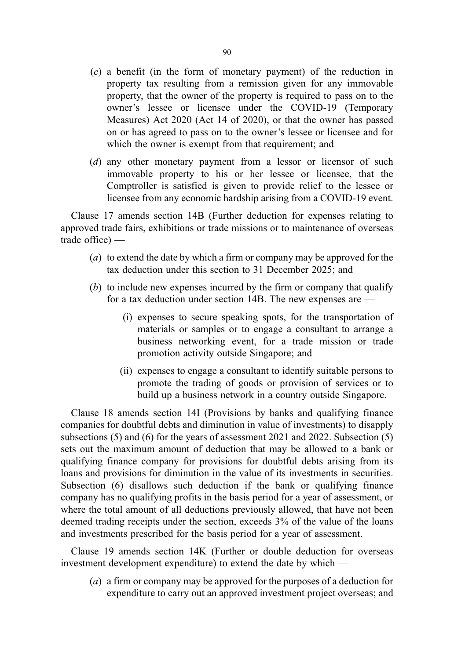- (c) a benefit (in the form of monetary payment) of the reduction in property tax resulting from a remission given for any immovable property, that the owner of the property is required to pass on to the owner's lessee or licensee under the COVID-19 (Temporary Measures) Act 2020 (Act 14 of 2020), or that the owner has passed on or has agreed to pass on to the owner's lessee or licensee and for which the owner is exempt from that requirement; and
- (d) any other monetary payment from a lessor or licensor of such immovable property to his or her lessee or licensee, that the Comptroller is satisfied is given to provide relief to the lessee or licensee from any economic hardship arising from a COVID-19 event.

Clause 17 amends section 14B (Further deduction for expenses relating to approved trade fairs, exhibitions or trade missions or to maintenance of overseas trade office) —

- (a) to extend the date by which a firm or company may be approved for the tax deduction under this section to 31 December 2025; and
- (b) to include new expenses incurred by the firm or company that qualify for a tax deduction under section 14B. The new expenses are —
	- (i) expenses to secure speaking spots, for the transportation of materials or samples or to engage a consultant to arrange a business networking event, for a trade mission or trade promotion activity outside Singapore; and
	- (ii) expenses to engage a consultant to identify suitable persons to promote the trading of goods or provision of services or to build up a business network in a country outside Singapore.

Clause 18 amends section 14I (Provisions by banks and qualifying finance companies for doubtful debts and diminution in value of investments) to disapply subsections (5) and (6) for the years of assessment 2021 and 2022. Subsection (5) sets out the maximum amount of deduction that may be allowed to a bank or qualifying finance company for provisions for doubtful debts arising from its loans and provisions for diminution in the value of its investments in securities. Subsection (6) disallows such deduction if the bank or qualifying finance company has no qualifying profits in the basis period for a year of assessment, or where the total amount of all deductions previously allowed, that have not been deemed trading receipts under the section, exceeds 3% of the value of the loans and investments prescribed for the basis period for a year of assessment.

Clause 19 amends section 14K (Further or double deduction for overseas investment development expenditure) to extend the date by which —

(a) a firm or company may be approved for the purposes of a deduction for expenditure to carry out an approved investment project overseas; and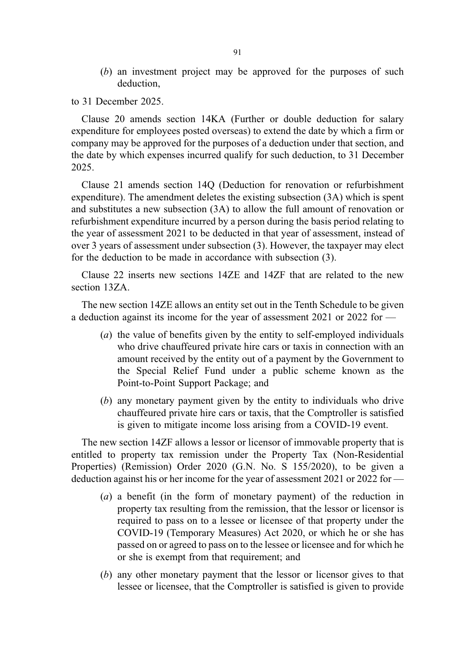(b) an investment project may be approved for the purposes of such deduction,

to 31 December 2025.

Clause 20 amends section 14KA (Further or double deduction for salary expenditure for employees posted overseas) to extend the date by which a firm or company may be approved for the purposes of a deduction under that section, and the date by which expenses incurred qualify for such deduction, to 31 December 2025.

Clause 21 amends section 14Q (Deduction for renovation or refurbishment expenditure). The amendment deletes the existing subsection (3A) which is spent and substitutes a new subsection (3A) to allow the full amount of renovation or refurbishment expenditure incurred by a person during the basis period relating to the year of assessment 2021 to be deducted in that year of assessment, instead of over 3 years of assessment under subsection (3). However, the taxpayer may elect for the deduction to be made in accordance with subsection (3).

Clause 22 inserts new sections 14ZE and 14ZF that are related to the new section 13ZA.

The new section 14ZE allows an entity set out in the Tenth Schedule to be given a deduction against its income for the year of assessment 2021 or 2022 for —

- (a) the value of benefits given by the entity to self-employed individuals who drive chauffeured private hire cars or taxis in connection with an amount received by the entity out of a payment by the Government to the Special Relief Fund under a public scheme known as the Point-to-Point Support Package; and
- (b) any monetary payment given by the entity to individuals who drive chauffeured private hire cars or taxis, that the Comptroller is satisfied is given to mitigate income loss arising from a COVID-19 event.

The new section 14ZF allows a lessor or licensor of immovable property that is entitled to property tax remission under the Property Tax (Non-Residential Properties) (Remission) Order 2020 (G.N. No. S 155/2020), to be given a deduction against his or her income for the year of assessment 2021 or 2022 for —

- (a) a benefit (in the form of monetary payment) of the reduction in property tax resulting from the remission, that the lessor or licensor is required to pass on to a lessee or licensee of that property under the COVID-19 (Temporary Measures) Act 2020, or which he or she has passed on or agreed to pass on to the lessee or licensee and for which he or she is exempt from that requirement; and
- (b) any other monetary payment that the lessor or licensor gives to that lessee or licensee, that the Comptroller is satisfied is given to provide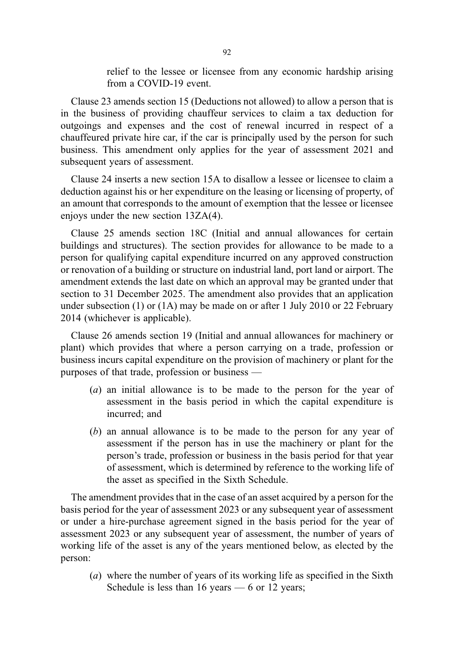relief to the lessee or licensee from any economic hardship arising from a COVID-19 event.

Clause 23 amends section 15 (Deductions not allowed) to allow a person that is in the business of providing chauffeur services to claim a tax deduction for outgoings and expenses and the cost of renewal incurred in respect of a chauffeured private hire car, if the car is principally used by the person for such business. This amendment only applies for the year of assessment 2021 and subsequent years of assessment.

Clause 24 inserts a new section 15A to disallow a lessee or licensee to claim a deduction against his or her expenditure on the leasing or licensing of property, of an amount that corresponds to the amount of exemption that the lessee or licensee enjoys under the new section 13ZA(4).

Clause 25 amends section 18C (Initial and annual allowances for certain buildings and structures). The section provides for allowance to be made to a person for qualifying capital expenditure incurred on any approved construction or renovation of a building or structure on industrial land, port land or airport. The amendment extends the last date on which an approval may be granted under that section to 31 December 2025. The amendment also provides that an application under subsection (1) or  $(1)$  may be made on or after 1 July 2010 or 22 February 2014 (whichever is applicable).

Clause 26 amends section 19 (Initial and annual allowances for machinery or plant) which provides that where a person carrying on a trade, profession or business incurs capital expenditure on the provision of machinery or plant for the purposes of that trade, profession or business —

- (a) an initial allowance is to be made to the person for the year of assessment in the basis period in which the capital expenditure is incurred; and
- (b) an annual allowance is to be made to the person for any year of assessment if the person has in use the machinery or plant for the person's trade, profession or business in the basis period for that year of assessment, which is determined by reference to the working life of the asset as specified in the Sixth Schedule.

The amendment provides that in the case of an asset acquired by a person for the basis period for the year of assessment 2023 or any subsequent year of assessment or under a hire-purchase agreement signed in the basis period for the year of assessment 2023 or any subsequent year of assessment, the number of years of working life of the asset is any of the years mentioned below, as elected by the person:

(a) where the number of years of its working life as specified in the Sixth Schedule is less than  $16$  years  $-6$  or  $12$  years;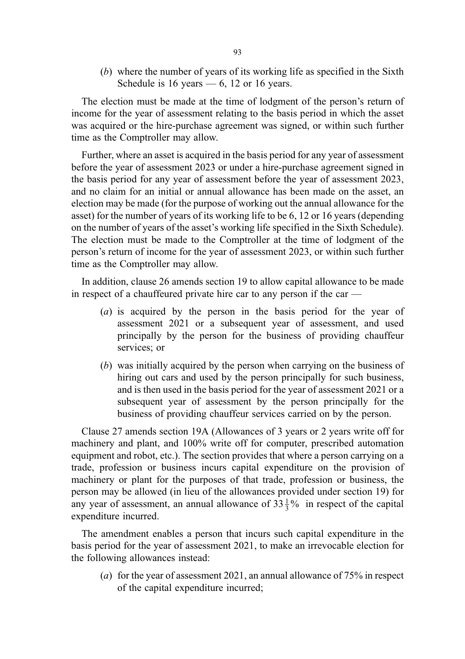(b) where the number of years of its working life as specified in the Sixth Schedule is 16 years  $-6$ , 12 or 16 years.

The election must be made at the time of lodgment of the person's return of income for the year of assessment relating to the basis period in which the asset was acquired or the hire-purchase agreement was signed, or within such further time as the Comptroller may allow.

Further, where an asset is acquired in the basis period for any year of assessment before the year of assessment 2023 or under a hire-purchase agreement signed in the basis period for any year of assessment before the year of assessment 2023, and no claim for an initial or annual allowance has been made on the asset, an election may be made (for the purpose of working out the annual allowance for the asset) for the number of years of its working life to be 6, 12 or 16 years (depending on the number of years of the asset's working life specified in the Sixth Schedule). The election must be made to the Comptroller at the time of lodgment of the person's return of income for the year of assessment 2023, or within such further time as the Comptroller may allow.

In addition, clause 26 amends section 19 to allow capital allowance to be made in respect of a chauffeured private hire car to any person if the car —

- (a) is acquired by the person in the basis period for the year of assessment 2021 or a subsequent year of assessment, and used principally by the person for the business of providing chauffeur services; or
- (b) was initially acquired by the person when carrying on the business of hiring out cars and used by the person principally for such business, and is then used in the basis period for the year of assessment 2021 or a subsequent year of assessment by the person principally for the business of providing chauffeur services carried on by the person.

Clause 27 amends section 19A (Allowances of 3 years or 2 years write off for machinery and plant, and 100% write off for computer, prescribed automation equipment and robot, etc.). The section provides that where a person carrying on a trade, profession or business incurs capital expenditure on the provision of machinery or plant for the purposes of that trade, profession or business, the person may be allowed (in lieu of the allowances provided under section 19) for any year of assessment, an annual allowance of  $33\frac{1}{3}\%$  in respect of the capital expenditure incurred.

The amendment enables a person that incurs such capital expenditure in the basis period for the year of assessment 2021, to make an irrevocable election for the following allowances instead:

(a) for the year of assessment 2021, an annual allowance of 75% in respect of the capital expenditure incurred;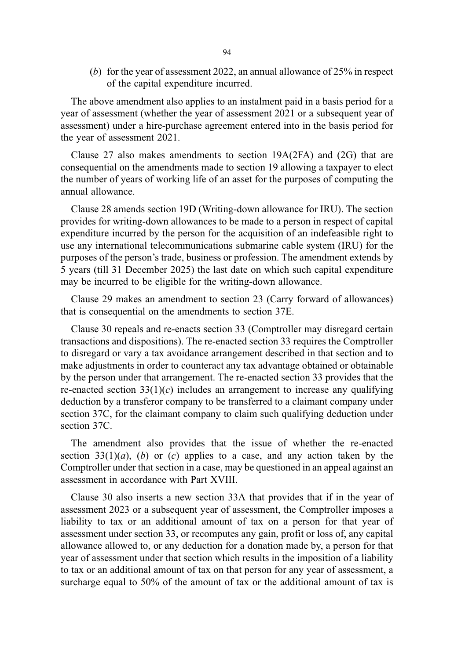(b) for the year of assessment 2022, an annual allowance of 25% in respect of the capital expenditure incurred.

The above amendment also applies to an instalment paid in a basis period for a year of assessment (whether the year of assessment 2021 or a subsequent year of assessment) under a hire-purchase agreement entered into in the basis period for the year of assessment 2021.

Clause 27 also makes amendments to section 19A(2FA) and (2G) that are consequential on the amendments made to section 19 allowing a taxpayer to elect the number of years of working life of an asset for the purposes of computing the annual allowance.

Clause 28 amends section 19D (Writing-down allowance for IRU). The section provides for writing-down allowances to be made to a person in respect of capital expenditure incurred by the person for the acquisition of an indefeasible right to use any international telecommunications submarine cable system (IRU) for the purposes of the person's trade, business or profession. The amendment extends by 5 years (till 31 December 2025) the last date on which such capital expenditure may be incurred to be eligible for the writing-down allowance.

Clause 29 makes an amendment to section 23 (Carry forward of allowances) that is consequential on the amendments to section 37E.

Clause 30 repeals and re-enacts section 33 (Comptroller may disregard certain transactions and dispositions). The re-enacted section 33 requires the Comptroller to disregard or vary a tax avoidance arrangement described in that section and to make adjustments in order to counteract any tax advantage obtained or obtainable by the person under that arrangement. The re-enacted section 33 provides that the re-enacted section  $33(1)(c)$  includes an arrangement to increase any qualifying deduction by a transferor company to be transferred to a claimant company under section 37C, for the claimant company to claim such qualifying deduction under section 37C.

The amendment also provides that the issue of whether the re-enacted section  $33(1)(a)$ , (b) or (c) applies to a case, and any action taken by the Comptroller under that section in a case, may be questioned in an appeal against an assessment in accordance with Part XVIII.

Clause 30 also inserts a new section 33A that provides that if in the year of assessment 2023 or a subsequent year of assessment, the Comptroller imposes a liability to tax or an additional amount of tax on a person for that year of assessment under section 33, or recomputes any gain, profit or loss of, any capital allowance allowed to, or any deduction for a donation made by, a person for that year of assessment under that section which results in the imposition of a liability to tax or an additional amount of tax on that person for any year of assessment, a surcharge equal to 50% of the amount of tax or the additional amount of tax is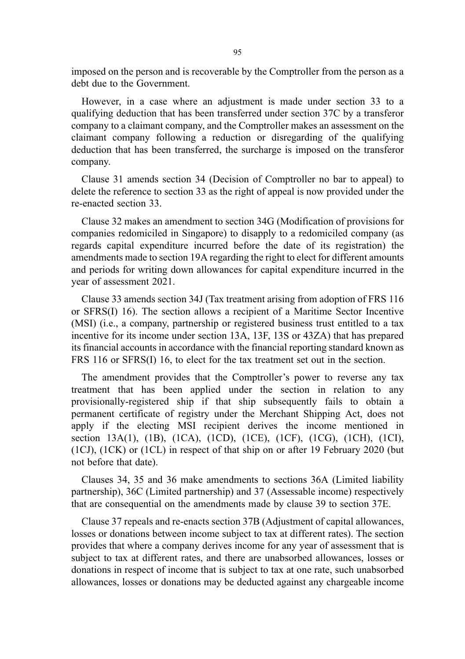imposed on the person and is recoverable by the Comptroller from the person as a debt due to the Government.

However, in a case where an adjustment is made under section 33 to a qualifying deduction that has been transferred under section 37C by a transferor company to a claimant company, and the Comptroller makes an assessment on the claimant company following a reduction or disregarding of the qualifying deduction that has been transferred, the surcharge is imposed on the transferor company.

Clause 31 amends section 34 (Decision of Comptroller no bar to appeal) to delete the reference to section 33 as the right of appeal is now provided under the re-enacted section 33.

Clause 32 makes an amendment to section 34G (Modification of provisions for companies redomiciled in Singapore) to disapply to a redomiciled company (as regards capital expenditure incurred before the date of its registration) the amendments made to section 19A regarding the right to elect for different amounts and periods for writing down allowances for capital expenditure incurred in the year of assessment 2021.

Clause 33 amends section 34J (Tax treatment arising from adoption of FRS 116 or SFRS(I) 16). The section allows a recipient of a Maritime Sector Incentive (MSI) (i.e., a company, partnership or registered business trust entitled to a tax incentive for its income under section 13A, 13F, 13S or 43ZA) that has prepared its financial accounts in accordance with the financial reporting standard known as FRS 116 or SFRS(I) 16, to elect for the tax treatment set out in the section.

The amendment provides that the Comptroller's power to reverse any tax treatment that has been applied under the section in relation to any provisionally-registered ship if that ship subsequently fails to obtain a permanent certificate of registry under the Merchant Shipping Act, does not apply if the electing MSI recipient derives the income mentioned in section 13A(1), (1B), (1CA), (1CD), (1CE), (1CF), (1CG), (1CH), (1CI), (1CJ), (1CK) or (1CL) in respect of that ship on or after 19 February 2020 (but not before that date).

Clauses 34, 35 and 36 make amendments to sections 36A (Limited liability partnership), 36C (Limited partnership) and 37 (Assessable income) respectively that are consequential on the amendments made by clause 39 to section 37E.

Clause 37 repeals and re-enacts section 37B (Adjustment of capital allowances, losses or donations between income subject to tax at different rates). The section provides that where a company derives income for any year of assessment that is subject to tax at different rates, and there are unabsorbed allowances, losses or donations in respect of income that is subject to tax at one rate, such unabsorbed allowances, losses or donations may be deducted against any chargeable income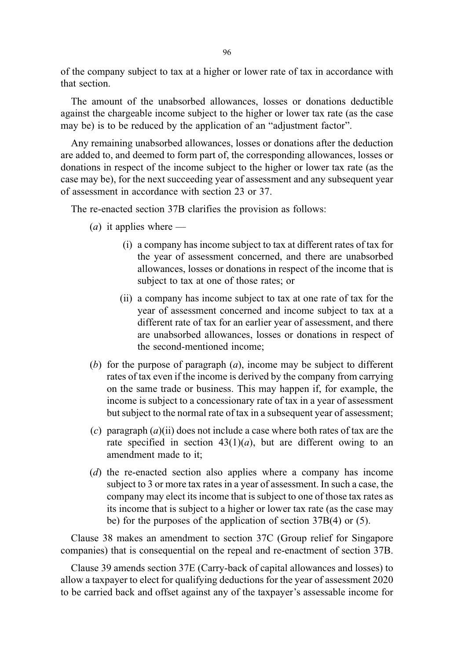of the company subject to tax at a higher or lower rate of tax in accordance with that section.

The amount of the unabsorbed allowances, losses or donations deductible against the chargeable income subject to the higher or lower tax rate (as the case may be) is to be reduced by the application of an "adjustment factor".

Any remaining unabsorbed allowances, losses or donations after the deduction are added to, and deemed to form part of, the corresponding allowances, losses or donations in respect of the income subject to the higher or lower tax rate (as the case may be), for the next succeeding year of assessment and any subsequent year of assessment in accordance with section 23 or 37.

The re-enacted section 37B clarifies the provision as follows:

- (*a*) it applies where
	- (i) a company has income subject to tax at different rates of tax for the year of assessment concerned, and there are unabsorbed allowances, losses or donations in respect of the income that is subject to tax at one of those rates; or
	- (ii) a company has income subject to tax at one rate of tax for the year of assessment concerned and income subject to tax at a different rate of tax for an earlier year of assessment, and there are unabsorbed allowances, losses or donations in respect of the second-mentioned income;
- (b) for the purpose of paragraph  $(a)$ , income may be subject to different rates of tax even if the income is derived by the company from carrying on the same trade or business. This may happen if, for example, the income is subject to a concessionary rate of tax in a year of assessment but subject to the normal rate of tax in a subsequent year of assessment;
- (c) paragraph  $(a)$ (ii) does not include a case where both rates of tax are the rate specified in section  $43(1)(a)$ , but are different owing to an amendment made to it;
- (d) the re-enacted section also applies where a company has income subject to 3 or more tax rates in a year of assessment. In such a case, the company may elect its income that is subject to one of those tax rates as its income that is subject to a higher or lower tax rate (as the case may be) for the purposes of the application of section 37B(4) or (5).

Clause 38 makes an amendment to section 37C (Group relief for Singapore companies) that is consequential on the repeal and re-enactment of section 37B.

Clause 39 amends section 37E (Carry-back of capital allowances and losses) to allow a taxpayer to elect for qualifying deductions for the year of assessment 2020 to be carried back and offset against any of the taxpayer's assessable income for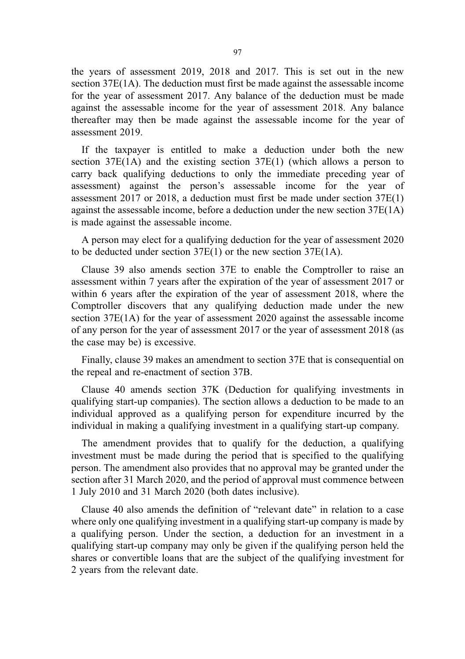the years of assessment 2019, 2018 and 2017. This is set out in the new section 37E(1A). The deduction must first be made against the assessable income for the year of assessment 2017. Any balance of the deduction must be made against the assessable income for the year of assessment 2018. Any balance thereafter may then be made against the assessable income for the year of assessment 2019.

If the taxpayer is entitled to make a deduction under both the new section  $37E(1)$  and the existing section  $37E(1)$  (which allows a person to carry back qualifying deductions to only the immediate preceding year of assessment) against the person's assessable income for the year of assessment 2017 or 2018, a deduction must first be made under section 37E(1) against the assessable income, before a deduction under the new section  $37E(1A)$ is made against the assessable income.

A person may elect for a qualifying deduction for the year of assessment 2020 to be deducted under section 37E(1) or the new section 37E(1A).

Clause 39 also amends section 37E to enable the Comptroller to raise an assessment within 7 years after the expiration of the year of assessment 2017 or within 6 years after the expiration of the year of assessment 2018, where the Comptroller discovers that any qualifying deduction made under the new section 37E(1A) for the year of assessment 2020 against the assessable income of any person for the year of assessment 2017 or the year of assessment 2018 (as the case may be) is excessive.

Finally, clause 39 makes an amendment to section 37E that is consequential on the repeal and re-enactment of section 37B.

Clause 40 amends section 37K (Deduction for qualifying investments in qualifying start-up companies). The section allows a deduction to be made to an individual approved as a qualifying person for expenditure incurred by the individual in making a qualifying investment in a qualifying start-up company.

The amendment provides that to qualify for the deduction, a qualifying investment must be made during the period that is specified to the qualifying person. The amendment also provides that no approval may be granted under the section after 31 March 2020, and the period of approval must commence between 1 July 2010 and 31 March 2020 (both dates inclusive).

Clause 40 also amends the definition of "relevant date" in relation to a case where only one qualifying investment in a qualifying start-up company is made by a qualifying person. Under the section, a deduction for an investment in a qualifying start-up company may only be given if the qualifying person held the shares or convertible loans that are the subject of the qualifying investment for 2 years from the relevant date.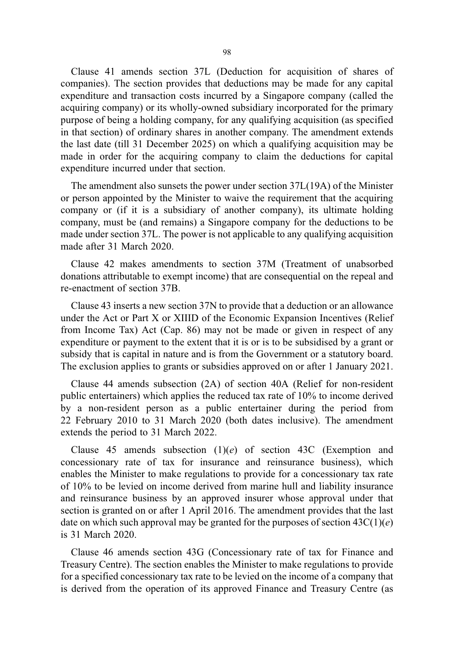Clause 41 amends section 37L (Deduction for acquisition of shares of companies). The section provides that deductions may be made for any capital expenditure and transaction costs incurred by a Singapore company (called the acquiring company) or its wholly-owned subsidiary incorporated for the primary purpose of being a holding company, for any qualifying acquisition (as specified in that section) of ordinary shares in another company. The amendment extends the last date (till 31 December 2025) on which a qualifying acquisition may be made in order for the acquiring company to claim the deductions for capital expenditure incurred under that section.

The amendment also sunsets the power under section 37L(19A) of the Minister or person appointed by the Minister to waive the requirement that the acquiring company or (if it is a subsidiary of another company), its ultimate holding company, must be (and remains) a Singapore company for the deductions to be made under section 37L. The power is not applicable to any qualifying acquisition made after 31 March 2020.

Clause 42 makes amendments to section 37M (Treatment of unabsorbed donations attributable to exempt income) that are consequential on the repeal and re-enactment of section 37B.

Clause 43 inserts a new section 37N to provide that a deduction or an allowance under the Act or Part X or XIIID of the Economic Expansion Incentives (Relief from Income Tax) Act (Cap. 86) may not be made or given in respect of any expenditure or payment to the extent that it is or is to be subsidised by a grant or subsidy that is capital in nature and is from the Government or a statutory board. The exclusion applies to grants or subsidies approved on or after 1 January 2021.

Clause 44 amends subsection (2A) of section 40A (Relief for non-resident public entertainers) which applies the reduced tax rate of 10% to income derived by a non-resident person as a public entertainer during the period from 22 February 2010 to 31 March 2020 (both dates inclusive). The amendment extends the period to 31 March 2022.

Clause 45 amends subsection  $(1)(e)$  of section 43C (Exemption and concessionary rate of tax for insurance and reinsurance business), which enables the Minister to make regulations to provide for a concessionary tax rate of 10% to be levied on income derived from marine hull and liability insurance and reinsurance business by an approved insurer whose approval under that section is granted on or after 1 April 2016. The amendment provides that the last date on which such approval may be granted for the purposes of section  $43C(1)(e)$ is 31 March 2020.

Clause 46 amends section 43G (Concessionary rate of tax for Finance and Treasury Centre). The section enables the Minister to make regulations to provide for a specified concessionary tax rate to be levied on the income of a company that is derived from the operation of its approved Finance and Treasury Centre (as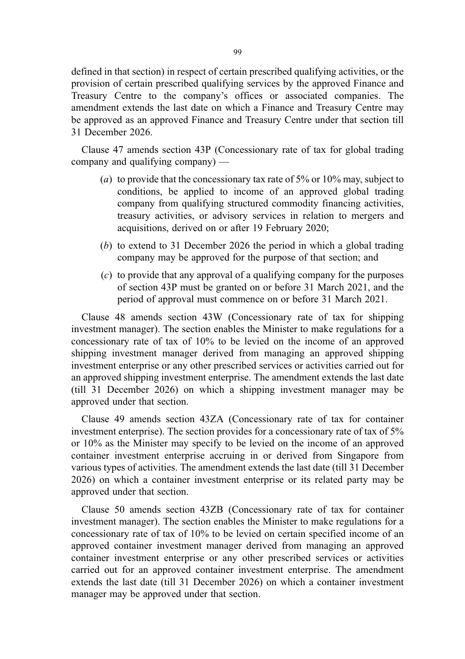defined in that section) in respect of certain prescribed qualifying activities, or the provision of certain prescribed qualifying services by the approved Finance and Treasury Centre to the company's offices or associated companies. The amendment extends the last date on which a Finance and Treasury Centre may be approved as an approved Finance and Treasury Centre under that section till 31 December 2026.

Clause 47 amends section 43P (Concessionary rate of tax for global trading company and qualifying company) —

- (a) to provide that the concessionary tax rate of  $5\%$  or  $10\%$  may, subject to conditions, be applied to income of an approved global trading company from qualifying structured commodity financing activities, treasury activities, or advisory services in relation to mergers and acquisitions, derived on or after 19 February 2020;
- (b) to extend to 31 December 2026 the period in which a global trading company may be approved for the purpose of that section; and
- (c) to provide that any approval of a qualifying company for the purposes of section 43P must be granted on or before 31 March 2021, and the period of approval must commence on or before 31 March 2021.

Clause 48 amends section 43W (Concessionary rate of tax for shipping investment manager). The section enables the Minister to make regulations for a concessionary rate of tax of 10% to be levied on the income of an approved shipping investment manager derived from managing an approved shipping investment enterprise or any other prescribed services or activities carried out for an approved shipping investment enterprise. The amendment extends the last date (till 31 December 2026) on which a shipping investment manager may be approved under that section.

Clause 49 amends section 43ZA (Concessionary rate of tax for container investment enterprise). The section provides for a concessionary rate of tax of 5% or 10% as the Minister may specify to be levied on the income of an approved container investment enterprise accruing in or derived from Singapore from various types of activities. The amendment extends the last date (till 31 December 2026) on which a container investment enterprise or its related party may be approved under that section.

Clause 50 amends section 43ZB (Concessionary rate of tax for container investment manager). The section enables the Minister to make regulations for a concessionary rate of tax of 10% to be levied on certain specified income of an approved container investment manager derived from managing an approved container investment enterprise or any other prescribed services or activities carried out for an approved container investment enterprise. The amendment extends the last date (till 31 December 2026) on which a container investment manager may be approved under that section.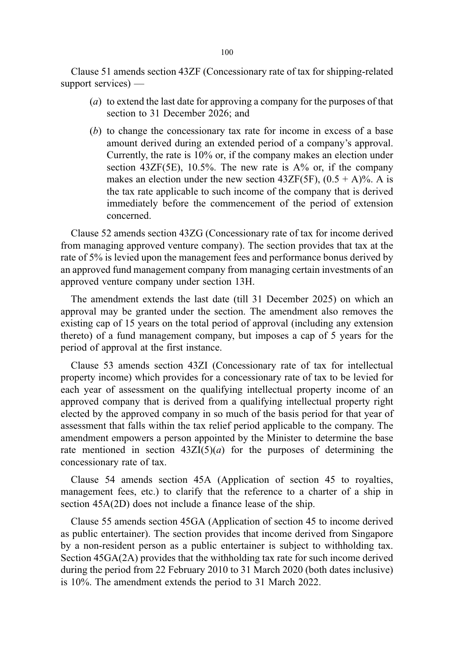Clause 51 amends section 43ZF (Concessionary rate of tax for shipping-related support services) —

- (a) to extend the last date for approving a company for the purposes of that section to 31 December 2026; and
- (b) to change the concessionary tax rate for income in excess of a base amount derived during an extended period of a company's approval. Currently, the rate is 10% or, if the company makes an election under section  $43ZF(5E)$ , 10.5%. The new rate is  $A\%$  or, if the company makes an election under the new section 43ZF(5F),  $(0.5 + A)\%$ . A is the tax rate applicable to such income of the company that is derived immediately before the commencement of the period of extension concerned.

Clause 52 amends section 43ZG (Concessionary rate of tax for income derived from managing approved venture company). The section provides that tax at the rate of 5% is levied upon the management fees and performance bonus derived by an approved fund management company from managing certain investments of an approved venture company under section 13H.

The amendment extends the last date (till 31 December 2025) on which an approval may be granted under the section. The amendment also removes the existing cap of 15 years on the total period of approval (including any extension thereto) of a fund management company, but imposes a cap of 5 years for the period of approval at the first instance.

Clause 53 amends section 43ZI (Concessionary rate of tax for intellectual property income) which provides for a concessionary rate of tax to be levied for each year of assessment on the qualifying intellectual property income of an approved company that is derived from a qualifying intellectual property right elected by the approved company in so much of the basis period for that year of assessment that falls within the tax relief period applicable to the company. The amendment empowers a person appointed by the Minister to determine the base rate mentioned in section  $43ZI(5)(a)$  for the purposes of determining the concessionary rate of tax.

Clause 54 amends section 45A (Application of section 45 to royalties, management fees, etc.) to clarify that the reference to a charter of a ship in section 45A(2D) does not include a finance lease of the ship.

Clause 55 amends section 45GA (Application of section 45 to income derived as public entertainer). The section provides that income derived from Singapore by a non-resident person as a public entertainer is subject to withholding tax. Section 45GA(2A) provides that the withholding tax rate for such income derived during the period from 22 February 2010 to 31 March 2020 (both dates inclusive) is 10%. The amendment extends the period to 31 March 2022.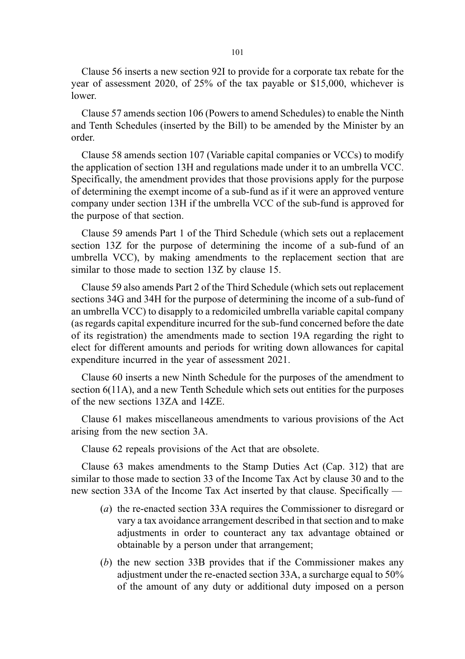Clause 56 inserts a new section 92I to provide for a corporate tax rebate for the year of assessment 2020, of 25% of the tax payable or \$15,000, whichever is lower.

Clause 57 amends section 106 (Powers to amend Schedules) to enable the Ninth and Tenth Schedules (inserted by the Bill) to be amended by the Minister by an order.

Clause 58 amends section 107 (Variable capital companies or VCCs) to modify the application of section 13H and regulations made under it to an umbrella VCC. Specifically, the amendment provides that those provisions apply for the purpose of determining the exempt income of a sub-fund as if it were an approved venture company under section 13H if the umbrella VCC of the sub-fund is approved for the purpose of that section.

Clause 59 amends Part 1 of the Third Schedule (which sets out a replacement section 13Z for the purpose of determining the income of a sub-fund of an umbrella VCC), by making amendments to the replacement section that are similar to those made to section 13Z by clause 15.

Clause 59 also amends Part 2 of the Third Schedule (which sets out replacement sections 34G and 34H for the purpose of determining the income of a sub-fund of an umbrella VCC) to disapply to a redomiciled umbrella variable capital company (as regards capital expenditure incurred for the sub-fund concerned before the date of its registration) the amendments made to section 19A regarding the right to elect for different amounts and periods for writing down allowances for capital expenditure incurred in the year of assessment 2021.

Clause 60 inserts a new Ninth Schedule for the purposes of the amendment to section 6(11A), and a new Tenth Schedule which sets out entities for the purposes of the new sections 13ZA and 14ZE.

Clause 61 makes miscellaneous amendments to various provisions of the Act arising from the new section 3A.

Clause 62 repeals provisions of the Act that are obsolete.

Clause 63 makes amendments to the Stamp Duties Act (Cap. 312) that are similar to those made to section 33 of the Income Tax Act by clause 30 and to the new section 33A of the Income Tax Act inserted by that clause. Specifically —

- (a) the re-enacted section 33A requires the Commissioner to disregard or vary a tax avoidance arrangement described in that section and to make adjustments in order to counteract any tax advantage obtained or obtainable by a person under that arrangement;
- (b) the new section 33B provides that if the Commissioner makes any adjustment under the re-enacted section 33A, a surcharge equal to 50% of the amount of any duty or additional duty imposed on a person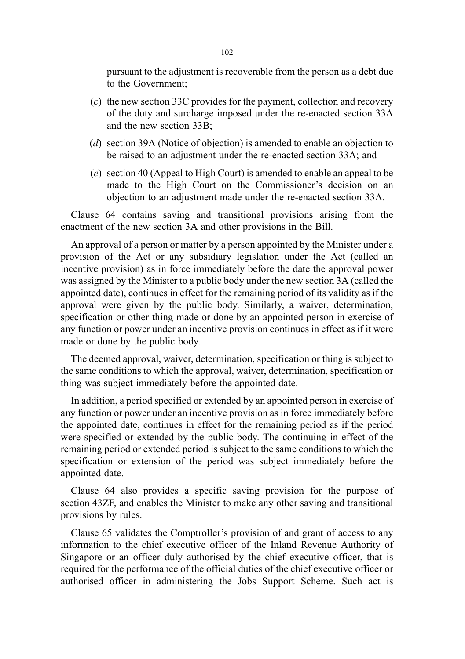pursuant to the adjustment is recoverable from the person as a debt due to the Government;

- (c) the new section 33C provides for the payment, collection and recovery of the duty and surcharge imposed under the re-enacted section 33A and the new section 33B;
- (d) section 39A (Notice of objection) is amended to enable an objection to be raised to an adjustment under the re-enacted section 33A; and
- (e) section 40 (Appeal to High Court) is amended to enable an appeal to be made to the High Court on the Commissioner's decision on an objection to an adjustment made under the re-enacted section 33A.

Clause 64 contains saving and transitional provisions arising from the enactment of the new section 3A and other provisions in the Bill.

An approval of a person or matter by a person appointed by the Minister under a provision of the Act or any subsidiary legislation under the Act (called an incentive provision) as in force immediately before the date the approval power was assigned by the Minister to a public body under the new section 3A (called the appointed date), continues in effect for the remaining period of its validity as if the approval were given by the public body. Similarly, a waiver, determination, specification or other thing made or done by an appointed person in exercise of any function or power under an incentive provision continues in effect as if it were made or done by the public body.

The deemed approval, waiver, determination, specification or thing is subject to the same conditions to which the approval, waiver, determination, specification or thing was subject immediately before the appointed date.

In addition, a period specified or extended by an appointed person in exercise of any function or power under an incentive provision as in force immediately before the appointed date, continues in effect for the remaining period as if the period were specified or extended by the public body. The continuing in effect of the remaining period or extended period is subject to the same conditions to which the specification or extension of the period was subject immediately before the appointed date.

Clause 64 also provides a specific saving provision for the purpose of section 43ZF, and enables the Minister to make any other saving and transitional provisions by rules.

Clause 65 validates the Comptroller's provision of and grant of access to any information to the chief executive officer of the Inland Revenue Authority of Singapore or an officer duly authorised by the chief executive officer, that is required for the performance of the official duties of the chief executive officer or authorised officer in administering the Jobs Support Scheme. Such act is